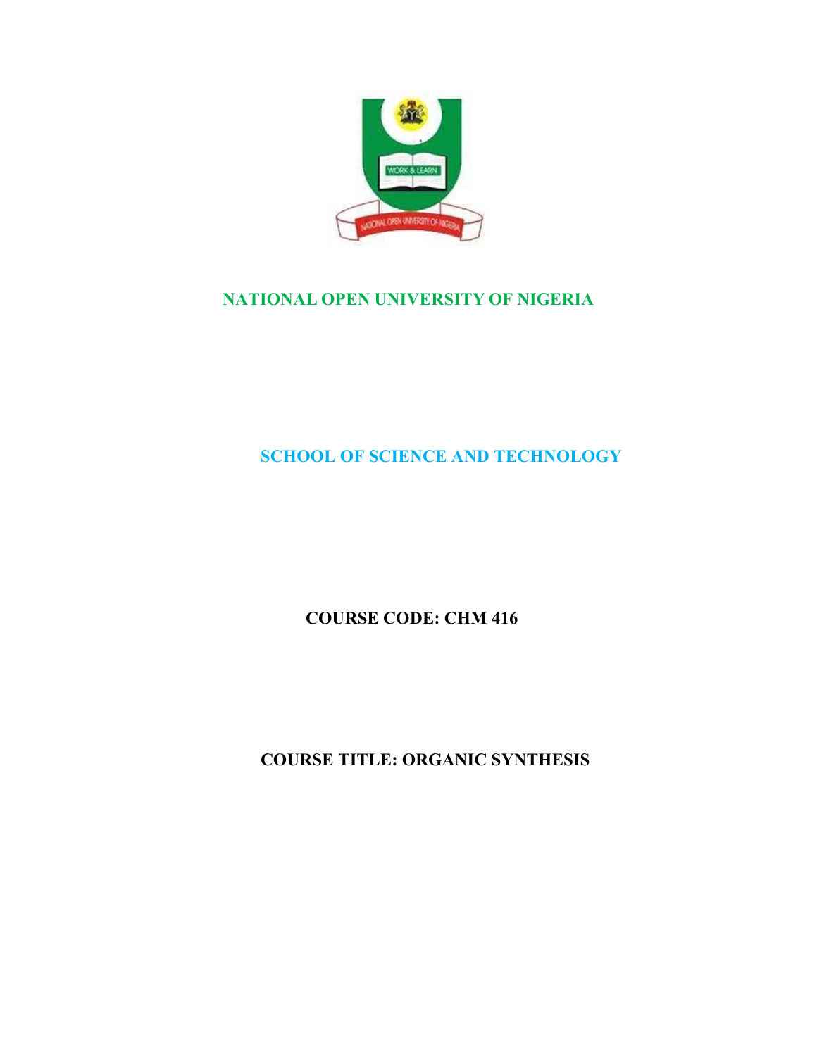

# **NATIONAL OPEN UNIVERSITY OF NIGERIA**

# **SCHOOL OF SCIENCE AND TECHNOLOGY**

**COURSE CODE: CHM 416** 

**COURSE TITLE: ORGANIC SYNTHESIS**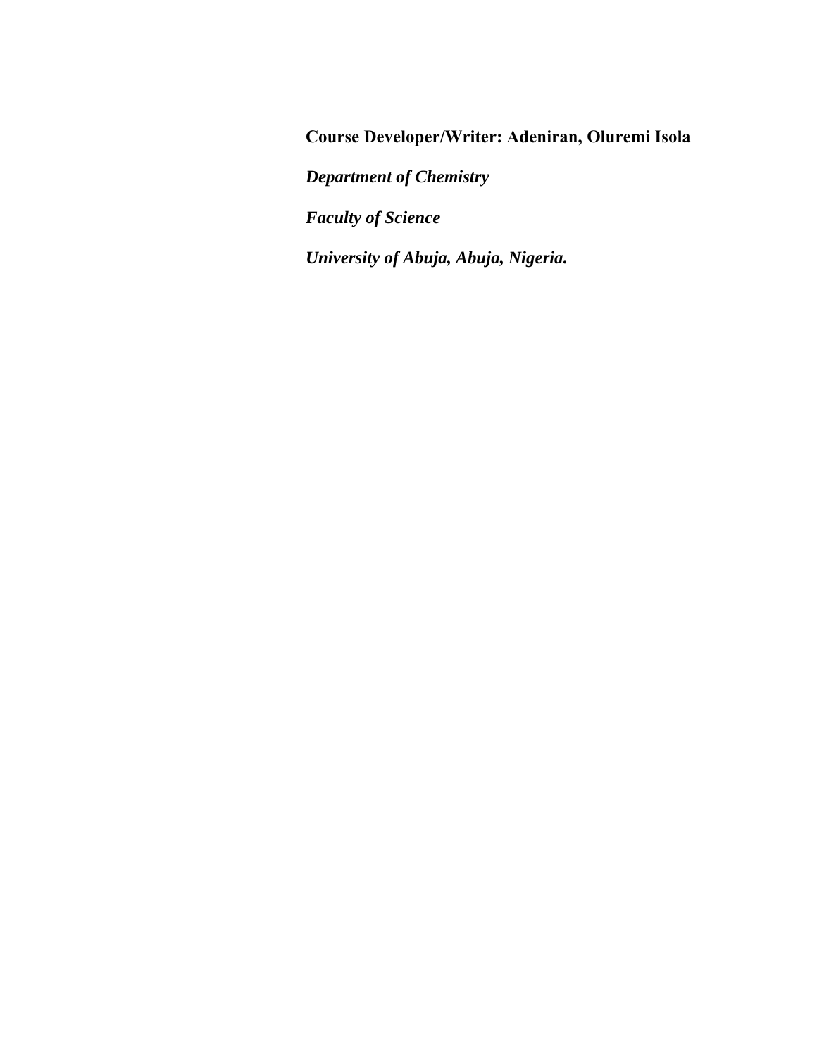**Course Developer/Writer: Adeniran, Oluremi Isola** 

*Department of Chemistry* 

*Faculty of Science* 

*University of Abuja, Abuja, Nigeria.*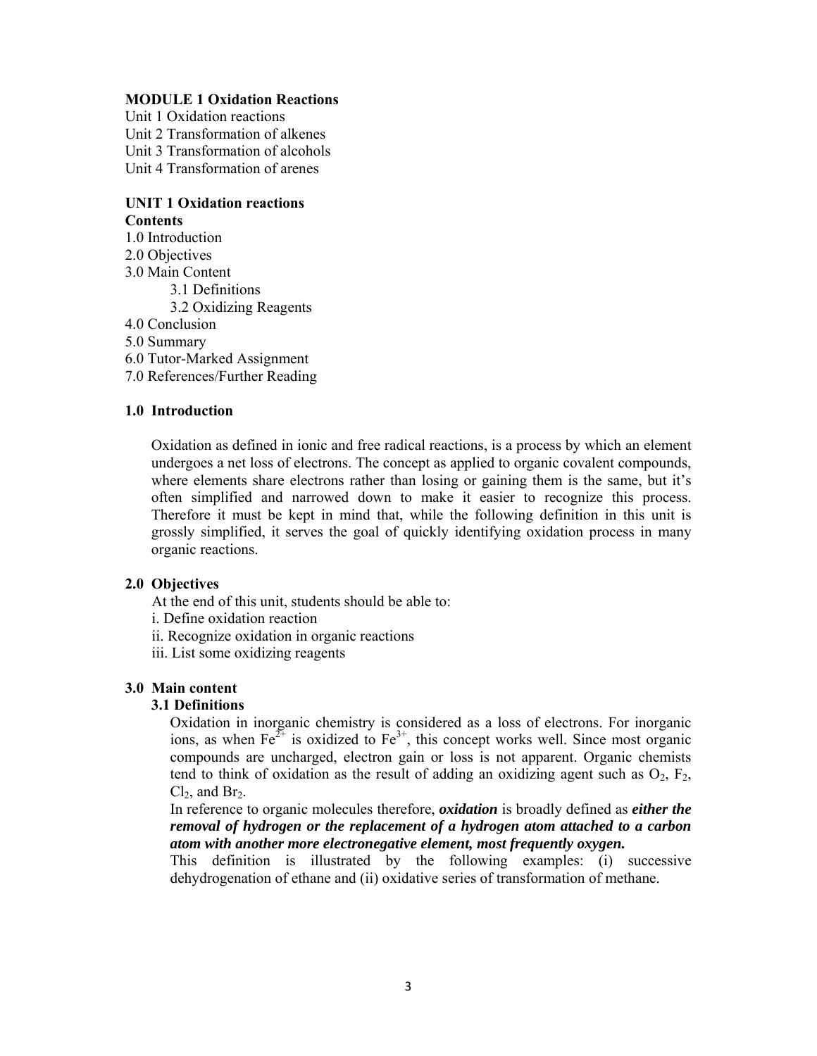### **MODULE 1 Oxidation Reactions**

Unit 1 Oxidation reactions Unit 2 Transformation of alkenes Unit 3 Transformation of alcohols Unit 4 Transformation of arenes

### **UNIT 1 Oxidation reactions Contents**

1.0 Introduction 2.0 Objectives

3.0 Main Content

3.1 Definitions

3.2 Oxidizing Reagents

4.0 Conclusion

5.0 Summary

6.0 Tutor-Marked Assignment

7.0 References/Further Reading

### **1.0 Introduction**

Oxidation as defined in ionic and free radical reactions, is a process by which an element undergoes a net loss of electrons. The concept as applied to organic covalent compounds, where elements share electrons rather than losing or gaining them is the same, but it's often simplified and narrowed down to make it easier to recognize this process. Therefore it must be kept in mind that, while the following definition in this unit is grossly simplified, it serves the goal of quickly identifying oxidation process in many organic reactions.

### **2.0 Objectives**

At the end of this unit, students should be able to:

- i. Define oxidation reaction
- ii. Recognize oxidation in organic reactions
- iii. List some oxidizing reagents

### **3.0 Main content**

### **3.1 Definitions**

Oxidation in inorganic chemistry is considered as a loss of electrons. For inorganic ions, as when  $Fe^{2+}$  is oxidized to  $Fe^{3+}$ , this concept works well. Since most organic compounds are uncharged, electron gain or loss is not apparent. Organic chemists tend to think of oxidation as the result of adding an oxidizing agent such as  $O_2$ ,  $F_2$ ,  $Cl<sub>2</sub>$ , and Br<sub>2</sub>.

In reference to organic molecules therefore, *oxidation* is broadly defined as *either the removal of hydrogen or the replacement of a hydrogen atom attached to a carbon atom with another more electronegative element, most frequently oxygen.*

This definition is illustrated by the following examples: (i) successive dehydrogenation of ethane and (ii) oxidative series of transformation of methane.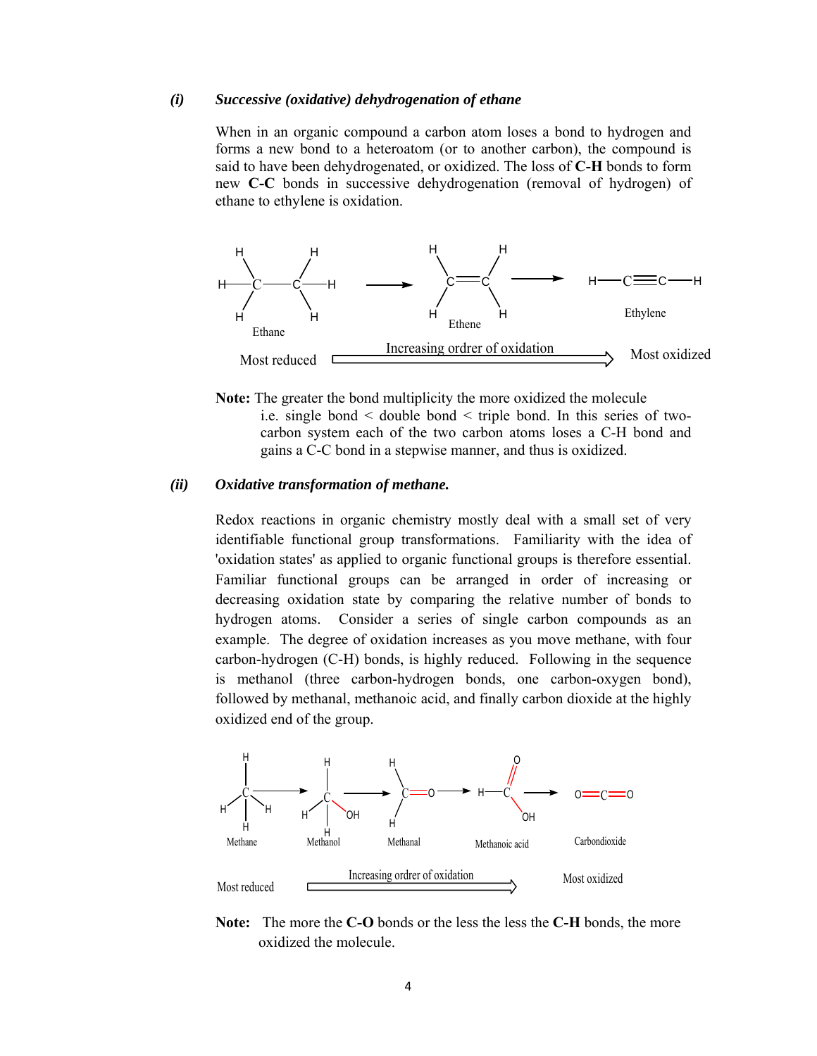#### *(i) Successive (oxidative) dehydrogenation of ethane*

When in an organic compound a carbon atom loses a bond to hydrogen and forms a new bond to a heteroatom (or to another carbon), the compound is said to have been dehydrogenated, or oxidized. The loss of **C-H** bonds to form new **C-C** bonds in successive dehydrogenation (removal of hydrogen) of ethane to ethylene is oxidation.



**Note:** The greater the bond multiplicity the more oxidized the molecule i.e. single bond < double bond < triple bond. In this series of twocarbon system each of the two carbon atoms loses a C-H bond and gains a C-C bond in a stepwise manner, and thus is oxidized.

#### *(ii) Oxidative transformation of methane.*

Redox reactions in organic chemistry mostly deal with a small set of very identifiable functional group transformations. Familiarity with the idea of 'oxidation states' as applied to organic functional groups is therefore essential. Familiar functional groups can be arranged in order of increasing or decreasing oxidation state by comparing the relative number of bonds to hydrogen atoms. Consider a series of single carbon compounds as an example. The degree of oxidation increases as you move methane, with four carbon-hydrogen (C-H) bonds, is highly reduced. Following in the sequence is methanol (three carbon-hydrogen bonds, one carbon-oxygen bond), followed by methanal, methanoic acid, and finally carbon dioxide at the highly oxidized end of the group.



**Note:** The more the **C-O** bonds or the less the less the **C-H** bonds, the more oxidized the molecule.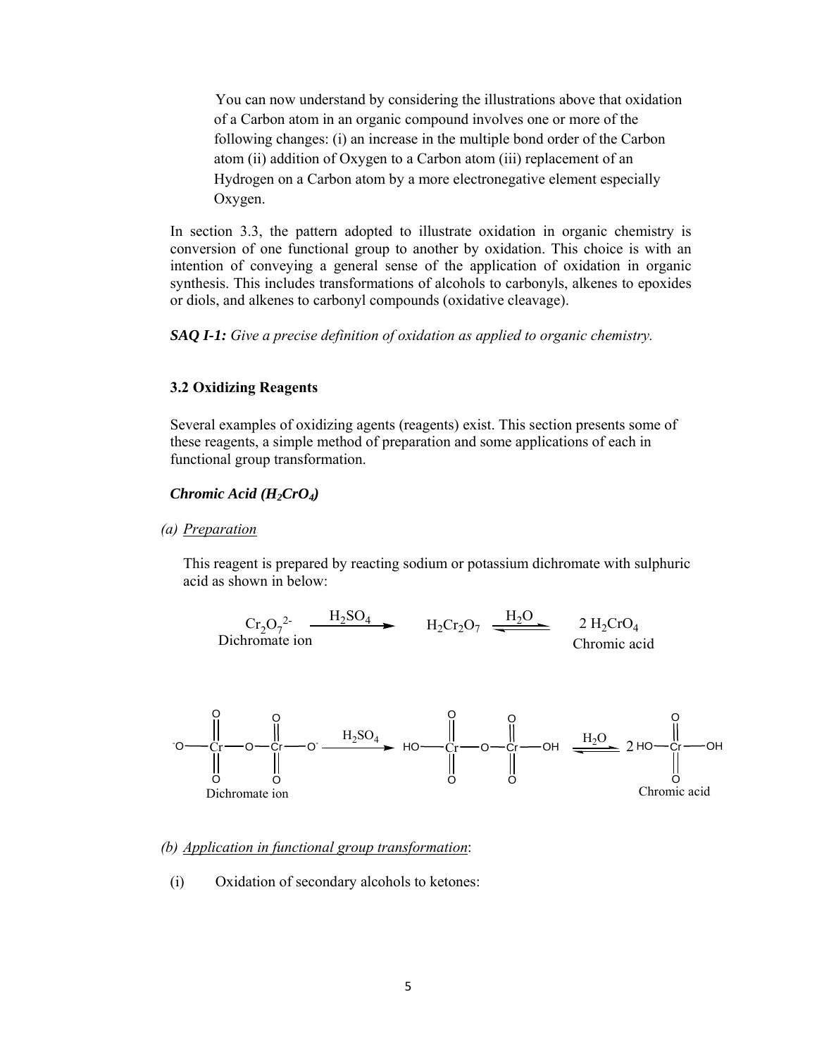You can now understand by considering the illustrations above that oxidation of a Carbon atom in an organic compound involves one or more of the following changes: (i) an increase in the multiple bond order of the Carbon atom (ii) addition of Oxygen to a Carbon atom (iii) replacement of an Hydrogen on a Carbon atom by a more electronegative element especially Oxygen.

In section 3.3, the pattern adopted to illustrate oxidation in organic chemistry is conversion of one functional group to another by oxidation. This choice is with an intention of conveying a general sense of the application of oxidation in organic synthesis. This includes transformations of alcohols to carbonyls, alkenes to epoxides or diols, and alkenes to carbonyl compounds (oxidative cleavage).

*SAQ I-1: Give a precise definition of oxidation as applied to organic chemistry.* 

#### **3.2 Oxidizing Reagents**

Several examples of oxidizing agents (reagents) exist. This section presents some of these reagents, a simple method of preparation and some applications of each in functional group transformation.

### *Chromic Acid (H2CrO4)*

### *(a) Preparation*

This reagent is prepared by reacting sodium or potassium dichromate with sulphuric acid as shown in below:





### *(b) Application in functional group transformation*:

(i) Oxidation of secondary alcohols to ketones: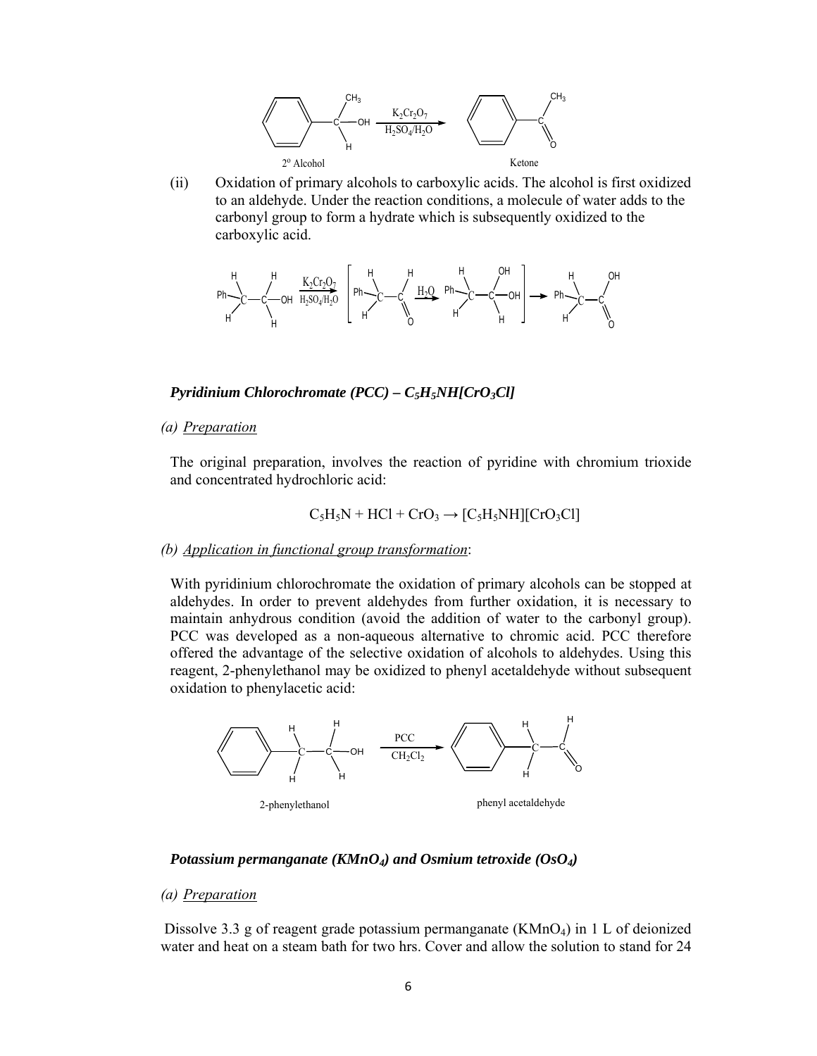

(ii) Oxidation of primary alcohols to carboxylic acids. The alcohol is first oxidized to an aldehyde. Under the reaction conditions, a molecule of water adds to the carbonyl group to form a hydrate which is subsequently oxidized to the carboxylic acid.



*Pyridinium Chlorochromate (PCC) – C5H5NH[CrO3Cl]* 

*(a) Preparation* 

The original preparation, involves the reaction of pyridine with chromium trioxide and concentrated hydrochloric acid:

$$
C_5H_5N + HCl + CrO_3 \rightarrow [C_5H_5NH][CrO_3Cl]
$$

*(b) Application in functional group transformation*:

With pyridinium chlorochromate the oxidation of primary alcohols can be stopped at aldehydes. In order to prevent aldehydes from further oxidation, it is necessary to maintain anhydrous condition (avoid the addition of water to the carbonyl group). PCC was developed as a non-aqueous alternative to chromic acid. PCC therefore offered the advantage of the selective oxidation of alcohols to aldehydes. Using this reagent, 2-phenylethanol may be oxidized to phenyl acetaldehyde without subsequent oxidation to phenylacetic acid:



### *Potassium permanganate (KMnO4) and Osmium tetroxide (OsO4)*

### *(a) Preparation*

Dissolve 3.3 g of reagent grade potassium permanganate  $(KMnO<sub>4</sub>)$  in 1 L of deionized water and heat on a steam bath for two hrs. Cover and allow the solution to stand for 24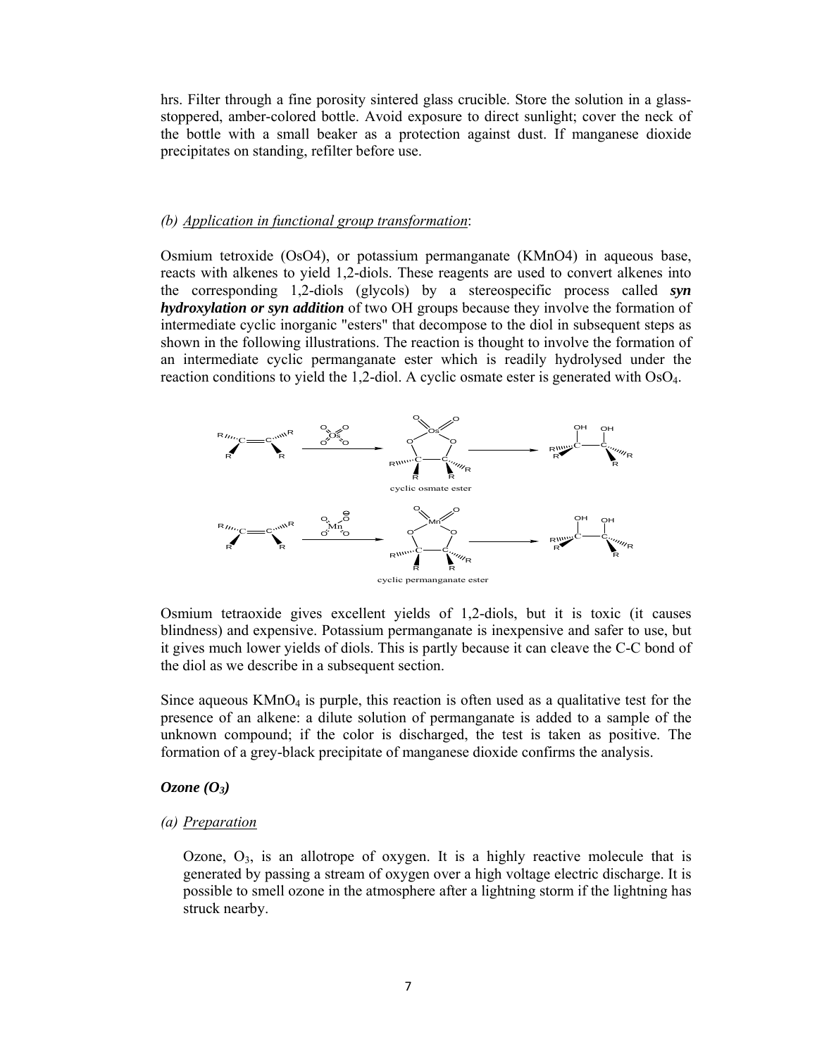hrs. Filter through a fine porosity sintered glass crucible. Store the solution in a glassstoppered, amber-colored bottle. Avoid exposure to direct sunlight; cover the neck of the bottle with a small beaker as a protection against dust. If manganese dioxide precipitates on standing, refilter before use.

### *(b) Application in functional group transformation*:

Osmium tetroxide (OsO4), or potassium permanganate (KMnO4) in aqueous base, reacts with alkenes to yield 1,2-diols. These reagents are used to convert alkenes into the corresponding 1,2-diols (glycols) by a stereospecific process called *syn hydroxylation or syn addition* of two OH groups because they involve the formation of intermediate cyclic inorganic "esters" that decompose to the diol in subsequent steps as shown in the following illustrations. The reaction is thought to involve the formation of an intermediate cyclic permanganate ester which is readily hydrolysed under the reaction conditions to yield the 1,2-diol. A cyclic osmate ester is generated with OsO4.



Osmium tetraoxide gives excellent yields of 1,2-diols, but it is toxic (it causes blindness) and expensive. Potassium permanganate is inexpensive and safer to use, but it gives much lower yields of diols. This is partly because it can cleave the C-C bond of the diol as we describe in a subsequent section.

Since aqueous  $KMnO<sub>4</sub>$  is purple, this reaction is often used as a qualitative test for the presence of an alkene: a dilute solution of permanganate is added to a sample of the unknown compound; if the color is discharged, the test is taken as positive. The formation of a grey-black precipitate of manganese dioxide confirms the analysis.

### *Ozone (O3)*

#### *(a) Preparation*

Ozone,  $O_3$ , is an allotrope of oxygen. It is a highly reactive molecule that is generated by passing a stream of oxygen over a high voltage electric discharge. It is possible to smell ozone in the atmosphere after a lightning storm if the lightning has struck nearby.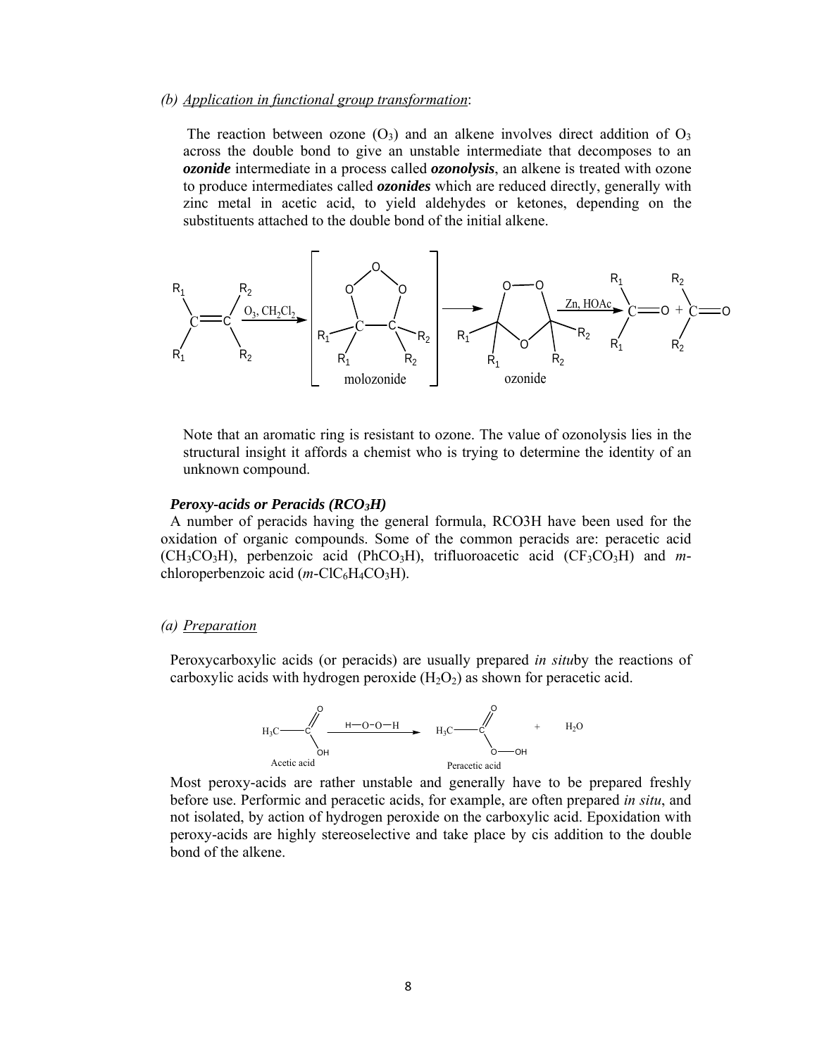### *(b) Application in functional group transformation*:

The reaction between ozone  $(O_3)$  and an alkene involves direct addition of  $O_3$ across the double bond to give an unstable intermediate that decomposes to an *ozonide* intermediate in a process called *ozonolysis*, an alkene is treated with ozone to produce intermediates called *ozonides* which are reduced directly, generally with zinc metal in acetic acid, to yield aldehydes or ketones, depending on the substituents attached to the double bond of the initial alkene.



Note that an aromatic ring is resistant to ozone. The value of ozonolysis lies in the structural insight it affords a chemist who is trying to determine the identity of an unknown compound.

#### *Peroxy-acids or Peracids (RCO3H)*

A number of peracids having the general formula, RCO3H have been used for the oxidation of organic compounds. Some of the common peracids are: peracetic acid  $(CH_3CO_3H)$ , perbenzoic acid (PhCO<sub>3</sub>H), trifluoroacetic acid (CF<sub>3</sub>CO<sub>3</sub>H) and *m*chloroperbenzoic acid  $(m\text{-}ClC_6H_4CO_3H)$ .

#### *(a) Preparation*

Peroxycarboxylic acids (or peracids) are usually prepared *in situ*by the reactions of carboxylic acids with hydrogen peroxide  $(H_2O_2)$  as shown for peracetic acid.



Most peroxy-acids are rather unstable and generally have to be prepared freshly before use. Performic and peracetic acids, for example, are often prepared *in situ*, and not isolated, by action of hydrogen peroxide on the carboxylic acid. Epoxidation with peroxy-acids are highly stereoselective and take place by cis addition to the double bond of the alkene.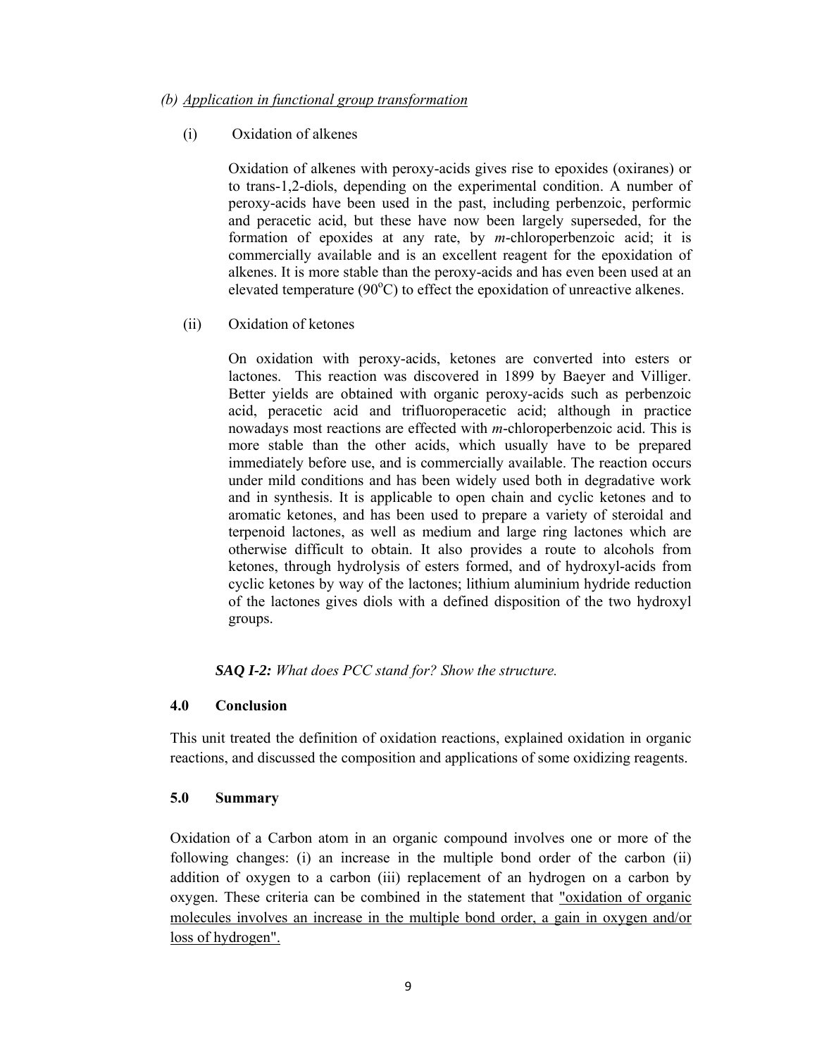### *(b) Application in functional group transformation*

## (i) Oxidation of alkenes

Oxidation of alkenes with peroxy-acids gives rise to epoxides (oxiranes) or to trans-1,2-diols, depending on the experimental condition. A number of peroxy-acids have been used in the past, including perbenzoic, performic and peracetic acid, but these have now been largely superseded, for the formation of epoxides at any rate, by *m*-chloroperbenzoic acid; it is commercially available and is an excellent reagent for the epoxidation of alkenes. It is more stable than the peroxy-acids and has even been used at an elevated temperature  $(90^{\circ}C)$  to effect the epoxidation of unreactive alkenes.

### (ii) Oxidation of ketones

On oxidation with peroxy-acids, ketones are converted into esters or lactones. This reaction was discovered in 1899 by Baeyer and Villiger. Better yields are obtained with organic peroxy-acids such as perbenzoic acid, peracetic acid and trifluoroperacetic acid; although in practice nowadays most reactions are effected with *m*-chloroperbenzoic acid. This is more stable than the other acids, which usually have to be prepared immediately before use, and is commercially available. The reaction occurs under mild conditions and has been widely used both in degradative work and in synthesis. It is applicable to open chain and cyclic ketones and to aromatic ketones, and has been used to prepare a variety of steroidal and terpenoid lactones, as well as medium and large ring lactones which are otherwise difficult to obtain. It also provides a route to alcohols from ketones, through hydrolysis of esters formed, and of hydroxyl-acids from cyclic ketones by way of the lactones; lithium aluminium hydride reduction of the lactones gives diols with a defined disposition of the two hydroxyl groups.

*SAQ I-2: What does PCC stand for? Show the structure.* 

### **4.0 Conclusion**

This unit treated the definition of oxidation reactions, explained oxidation in organic reactions, and discussed the composition and applications of some oxidizing reagents.

### **5.0 Summary**

Oxidation of a Carbon atom in an organic compound involves one or more of the following changes: (i) an increase in the multiple bond order of the carbon (ii) addition of oxygen to a carbon (iii) replacement of an hydrogen on a carbon by oxygen. These criteria can be combined in the statement that "oxidation of organic molecules involves an increase in the multiple bond order, a gain in oxygen and/or loss of hydrogen".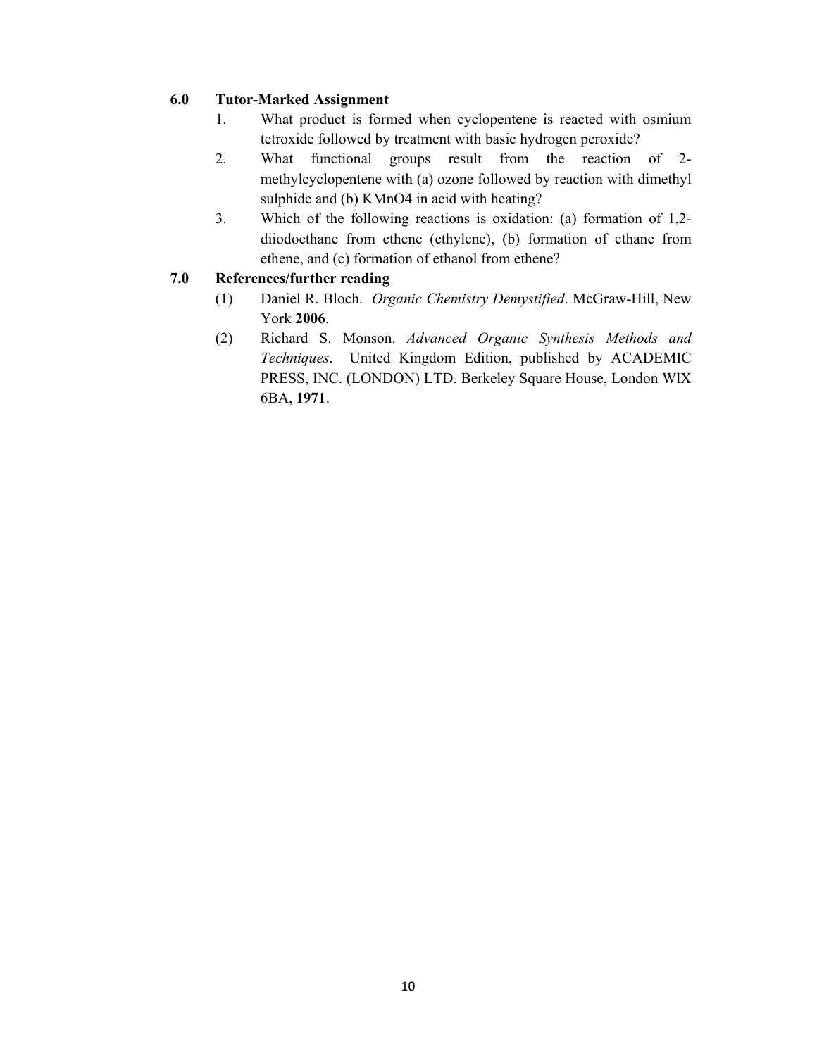# **6.0 Tutor-Marked Assignment**

- 1. What product is formed when cyclopentene is reacted with osmium tetroxide followed by treatment with basic hydrogen peroxide?
- 2. What functional groups result from the reaction of 2 methylcyclopentene with (a) ozone followed by reaction with dimethyl sulphide and (b) KMnO4 in acid with heating?
- 3. Which of the following reactions is oxidation: (a) formation of 1,2 diiodoethane from ethene (ethylene), (b) formation of ethane from ethene, and (c) formation of ethanol from ethene?

# **7.0 References/further reading**

- (1) Daniel R. Bloch. *Organic Chemistry Demystified*. McGraw-Hill, New York **2006**.
- (2) Richard S. Monson. *Advanced Organic Synthesis Methods and Techniques*. United Kingdom Edition, published by ACADEMIC PRESS, INC. (LONDON) LTD. Berkeley Square House, London WlX 6BA, **1971**.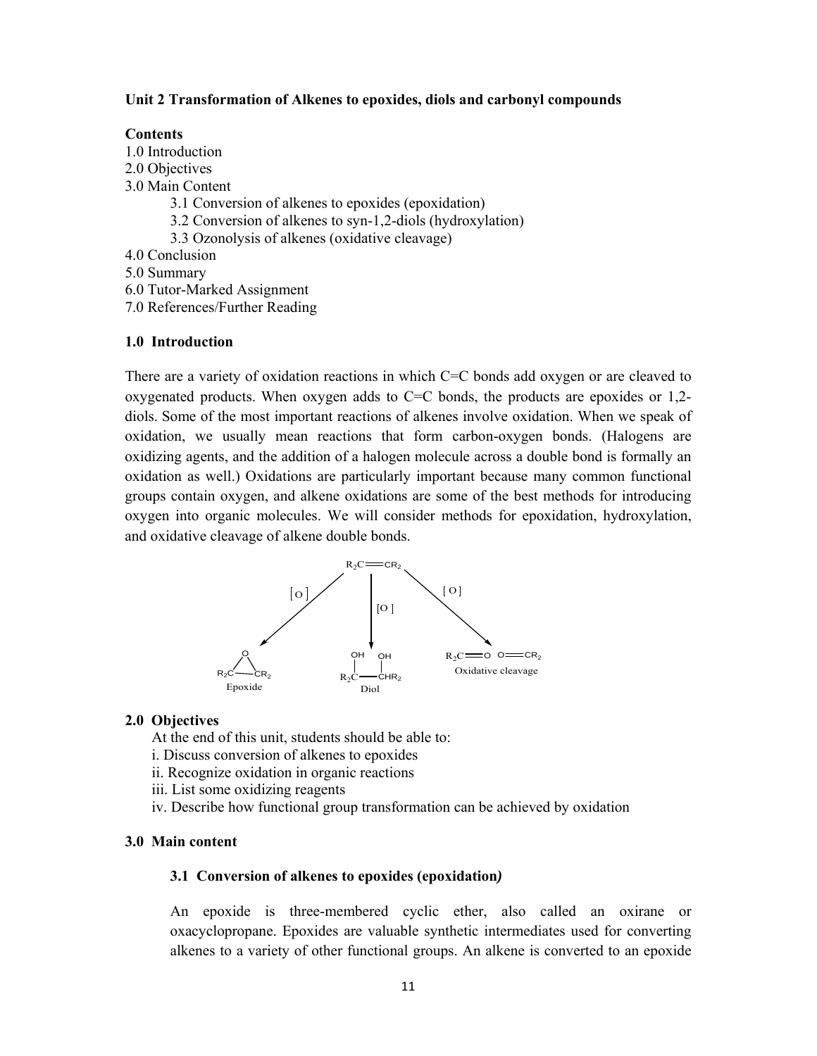#### **Unit 2 Transformation of Alkenes to epoxides, diols and carbonyl compounds**

#### **Contents**

1.0 Introduction

- 2.0 Objectives
- 3.0 Main Content
	- 3.1 Conversion of alkenes to epoxides (epoxidation)
	- 3.2 Conversion of alkenes to syn-1,2-diols (hydroxylation)
	- 3.3 Ozonolysis of alkenes (oxidative cleavage)
- 4.0 Conclusion
- 5.0 Summary
- 6.0 Tutor-Marked Assignment
- 7.0 References/Further Reading

#### **1.0 Introduction**

There are a variety of oxidation reactions in which C=C bonds add oxygen or are cleaved to oxygenated products. When oxygen adds to  $C=C$  bonds, the products are epoxides or 1,2diols. Some of the most important reactions of alkenes involve oxidation. When we speak of oxidation, we usually mean reactions that form carbon-oxygen bonds. (Halogens are oxidizing agents, and the addition of a halogen molecule across a double bond is formally an oxidation as well.) Oxidations are particularly important because many common functional groups contain oxygen, and alkene oxidations are some of the best methods for introducing oxygen into organic molecules. We will consider methods for epoxidation, hydroxylation, and oxidative cleavage of alkene double bonds.



#### **2.0 Objectives**

At the end of this unit, students should be able to:

- i. Discuss conversion of alkenes to epoxides
- ii. Recognize oxidation in organic reactions
- iii. List some oxidizing reagents
- iv. Describe how functional group transformation can be achieved by oxidation

#### **3.0 Main content**

#### **3.1 Conversion of alkenes to epoxides (epoxidation***)*

An epoxide is three-membered cyclic ether, also called an oxirane or oxacyclopropane. Epoxides are valuable synthetic intermediates used for converting alkenes to a variety of other functional groups. An alkene is converted to an epoxide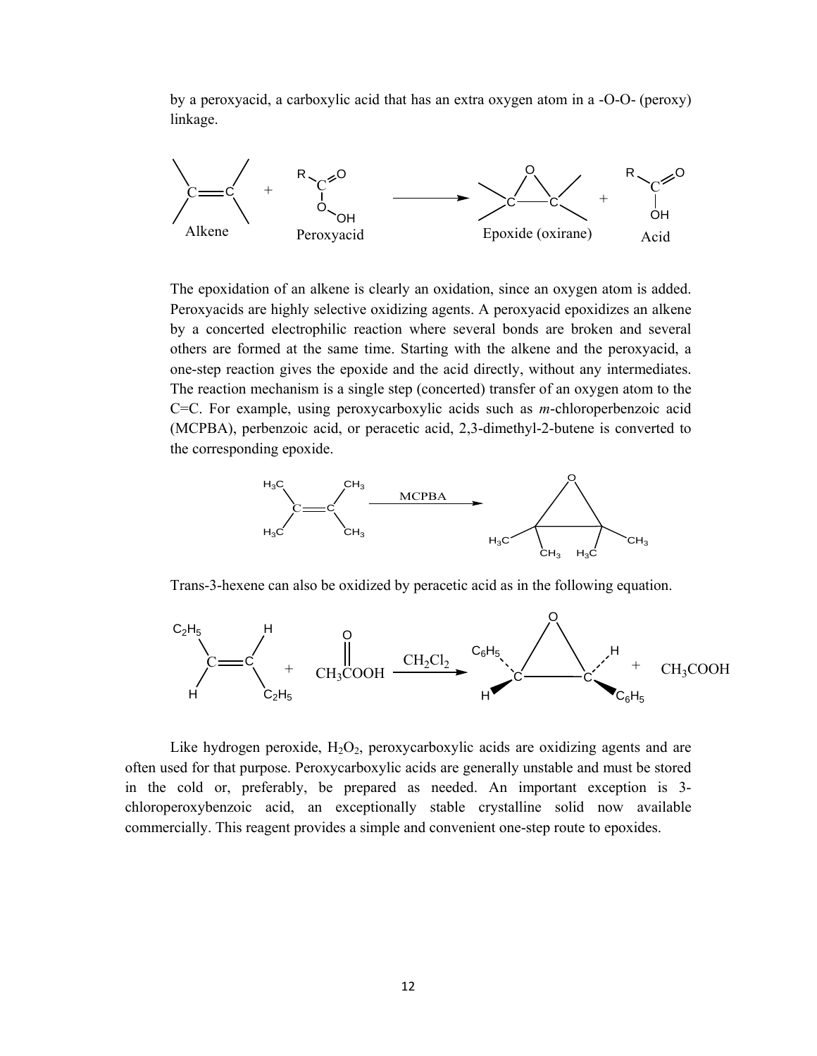by a peroxyacid, a carboxylic acid that has an extra oxygen atom in a -O-O- (peroxy) linkage.



The epoxidation of an alkene is clearly an oxidation, since an oxygen atom is added. Peroxyacids are highly selective oxidizing agents. A peroxyacid epoxidizes an alkene by a concerted electrophilic reaction where several bonds are broken and several others are formed at the same time. Starting with the alkene and the peroxyacid, a one-step reaction gives the epoxide and the acid directly, without any intermediates. The reaction mechanism is a single step (concerted) transfer of an oxygen atom to the C=C. For example, using peroxycarboxylic acids such as *m*-chloroperbenzoic acid (MCPBA), perbenzoic acid, or peracetic acid, 2,3-dimethyl-2-butene is converted to the corresponding epoxide.



Trans-3-hexene can also be oxidized by peracetic acid as in the following equation.



Like hydrogen peroxide,  $H_2O_2$ , peroxycarboxylic acids are oxidizing agents and are often used for that purpose. Peroxycarboxylic acids are generally unstable and must be stored in the cold or, preferably, be prepared as needed. An important exception is 3 chloroperoxybenzoic acid, an exceptionally stable crystalline solid now available commercially. This reagent provides a simple and convenient one-step route to epoxides.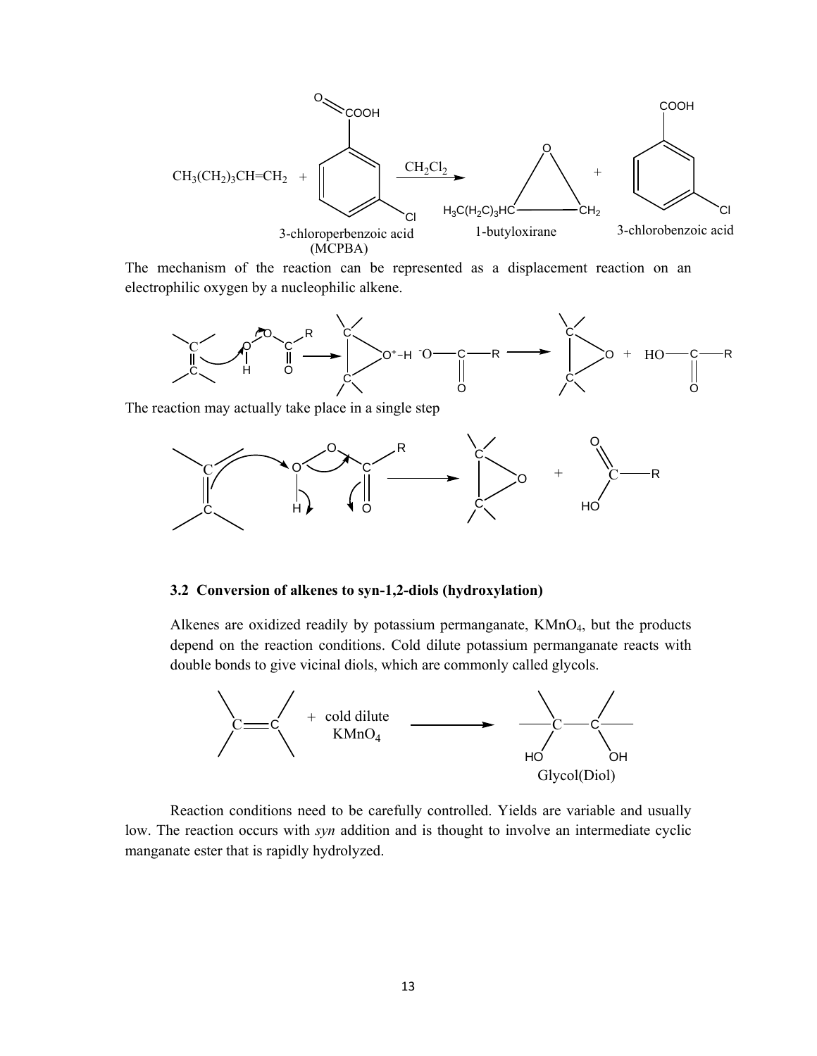

The mechanism of the reaction can be represented as a displacement reaction on an electrophilic oxygen by a nucleophilic alkene.



The reaction may actually take place in a single step



#### **3.2 Conversion of alkenes to syn-1,2-diols (hydroxylation)**

Alkenes are oxidized readily by potassium permanganate, KMnO<sub>4</sub>, but the products depend on the reaction conditions. Cold dilute potassium permanganate reacts with double bonds to give vicinal diols, which are commonly called glycols.



Reaction conditions need to be carefully controlled. Yields are variable and usually low. The reaction occurs with *syn* addition and is thought to involve an intermediate cyclic manganate ester that is rapidly hydrolyzed.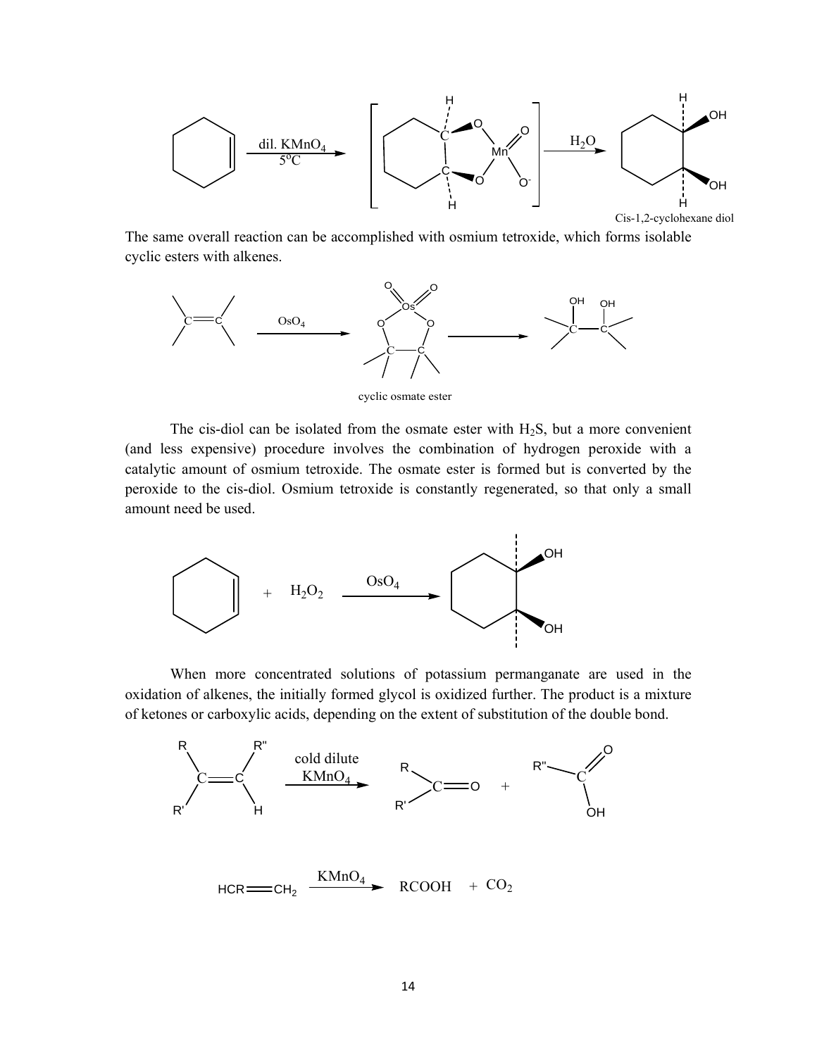

The same overall reaction can be accomplished with osmium tetroxide, which forms isolable cyclic esters with alkenes.



cyclic osmate ester

The cis-diol can be isolated from the osmate ester with  $H_2S$ , but a more convenient (and less expensive) procedure involves the combination of hydrogen peroxide with a catalytic amount of osmium tetroxide. The osmate ester is formed but is converted by the peroxide to the cis-diol. Osmium tetroxide is constantly regenerated, so that only a small amount need be used.



When more concentrated solutions of potassium permanganate are used in the oxidation of alkenes, the initially formed glycol is oxidized further. The product is a mixture of ketones or carboxylic acids, depending on the extent of substitution of the double bond.



 $HCR = CH_2$   $\xrightarrow{KMnO_4}$   $RCOOH + CO_2$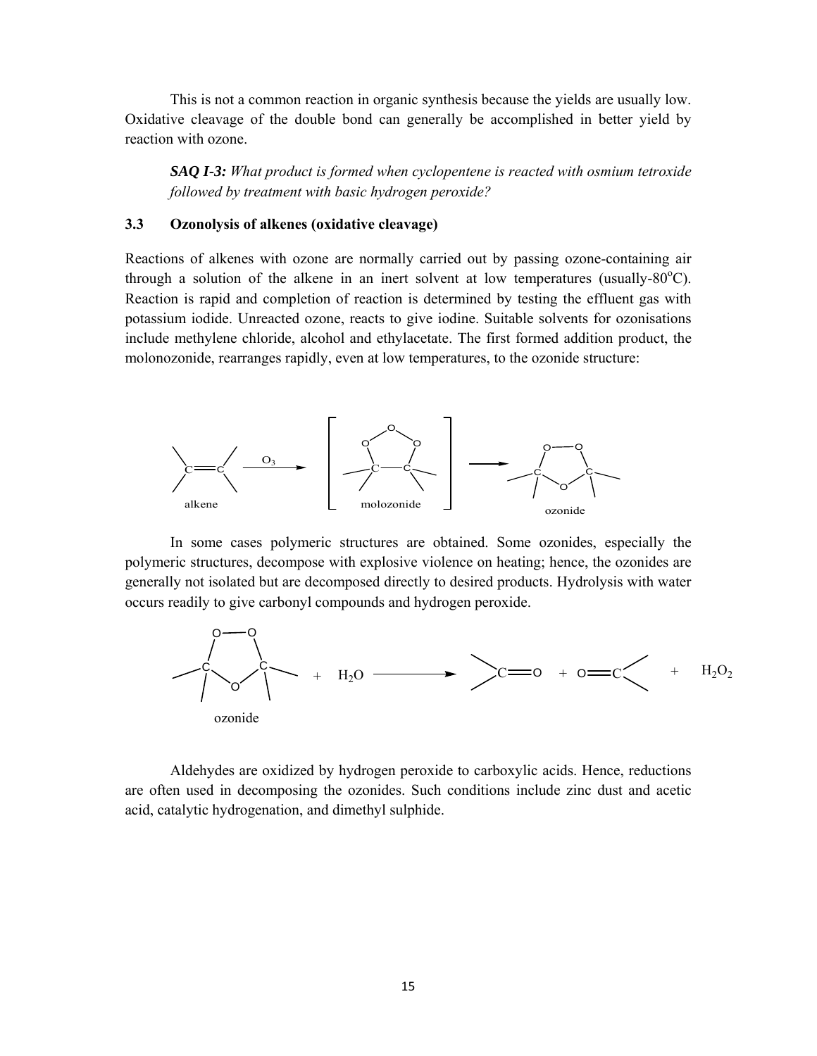This is not a common reaction in organic synthesis because the yields are usually low. Oxidative cleavage of the double bond can generally be accomplished in better yield by reaction with ozone.

*SAQ I-3: What product is formed when cyclopentene is reacted with osmium tetroxide followed by treatment with basic hydrogen peroxide?*

### **3.3 Ozonolysis of alkenes (oxidative cleavage)**

Reactions of alkenes with ozone are normally carried out by passing ozone-containing air through a solution of the alkene in an inert solvent at low temperatures (usually- $80^{\circ}$ C). Reaction is rapid and completion of reaction is determined by testing the effluent gas with potassium iodide. Unreacted ozone, reacts to give iodine. Suitable solvents for ozonisations include methylene chloride, alcohol and ethylacetate. The first formed addition product, the molonozonide, rearranges rapidly, even at low temperatures, to the ozonide structure:



In some cases polymeric structures are obtained. Some ozonides, especially the polymeric structures, decompose with explosive violence on heating; hence, the ozonides are generally not isolated but are decomposed directly to desired products. Hydrolysis with water occurs readily to give carbonyl compounds and hydrogen peroxide.



Aldehydes are oxidized by hydrogen peroxide to carboxylic acids. Hence, reductions are often used in decomposing the ozonides. Such conditions include zinc dust and acetic acid, catalytic hydrogenation, and dimethyl sulphide.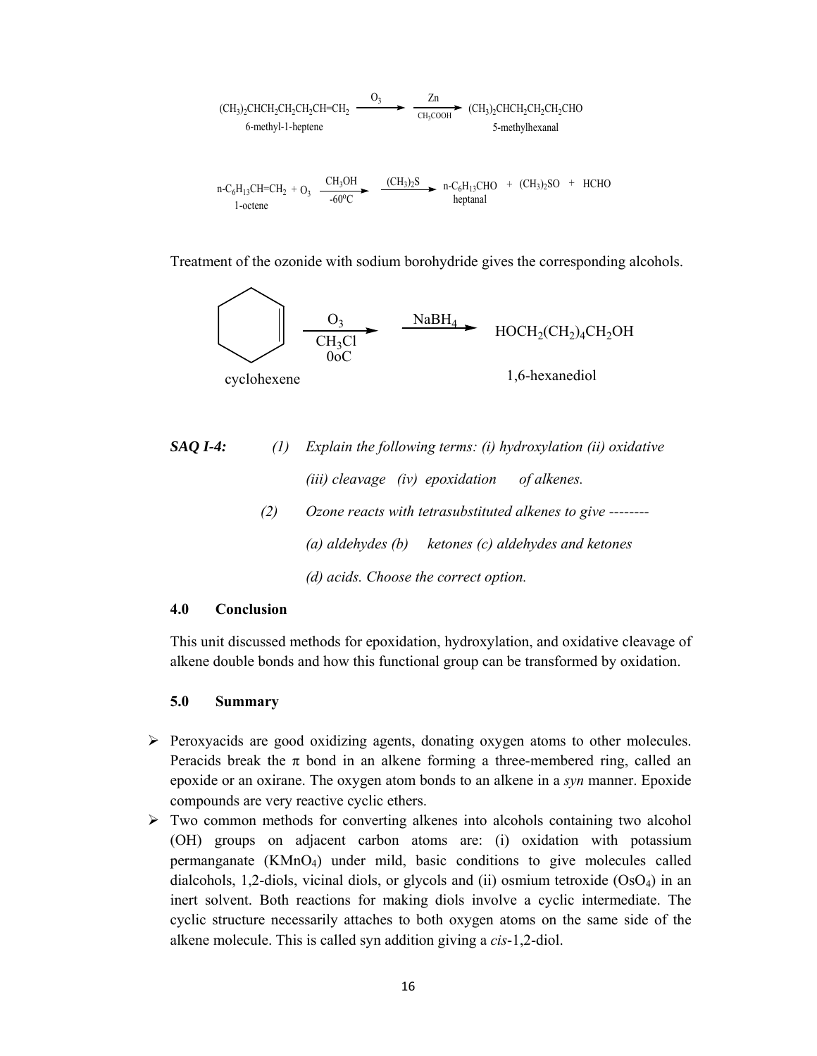$$
(CH3)2CHCH2CH2CH2CH2CHCH2CH2CHCH2CH2CH2CH2CH2CHO
$$
\n
$$
6-methyl-1heptene
$$
\n
$$
n-C6H13CH=CH2 + O3
$$
\n
$$
CH3OH
$$
\n
$$
1-octene
$$
\n
$$
1-octene
$$
\n
$$
(CH3)2StCH2CH2CH2CHO
$$
\n
$$
CH3OH
$$
\n
$$
(CH3)2StCH2CH2CH2CHO
$$
\n
$$
1-octene
$$
\n
$$
1-octene
$$
\n
$$
1-octene
$$
\n
$$
1-octene
$$
\n
$$
1-octene
$$
\n
$$
1-octene
$$
\n
$$
1-octene
$$
\n
$$
1-octene
$$
\n
$$
1-octene
$$
\n
$$
1-octene
$$
\n
$$
1-octene
$$
\n
$$
1-octene
$$
\n
$$
1-octene
$$
\n
$$
1-octene
$$
\n
$$
1-octene
$$
\n
$$
1-octene
$$
\n
$$
1-octene
$$
\n
$$
1-octene
$$
\n
$$
1-octene
$$
\n
$$
1-octene
$$
\n
$$
1-octene
$$
\n
$$
1-octene
$$
\n
$$
1-octene
$$
\n
$$
1-octene
$$
\n
$$
1-octene
$$
\n
$$
1-octene
$$
\n
$$
1-octene
$$
\n
$$
1-octene
$$
\n
$$
1-octene
$$
\n
$$
1-o
$$

Treatment of the ozonide with sodium borohydride gives the corresponding alcohols.



*SAQ I-4: (1) Explain the following terms: (i) hydroxylation (ii) oxidative (iii) cleavage (iv) epoxidation of alkenes. (2) Ozone reacts with tetrasubstituted alkenes to give -------- (a) aldehydes (b) ketones (c) aldehydes and ketones (d) acids. Choose the correct option.* 

## **4.0 Conclusion**

This unit discussed methods for epoxidation, hydroxylation, and oxidative cleavage of alkene double bonds and how this functional group can be transformed by oxidation.

#### **5.0 Summary**

- Peroxyacids are good oxidizing agents, donating oxygen atoms to other molecules. Peracids break the  $\pi$  bond in an alkene forming a three-membered ring, called an epoxide or an oxirane. The oxygen atom bonds to an alkene in a *syn* manner. Epoxide compounds are very reactive cyclic ethers.
- $\triangleright$  Two common methods for converting alkenes into alcohols containing two alcohol (OH) groups on adjacent carbon atoms are: (i) oxidation with potassium permanganate (KMnO4) under mild, basic conditions to give molecules called dialcohols, 1,2-diols, vicinal diols, or glycols and (ii) osmium tetroxide  $(OsO<sub>4</sub>)$  in an inert solvent. Both reactions for making diols involve a cyclic intermediate. The cyclic structure necessarily attaches to both oxygen atoms on the same side of the alkene molecule. This is called syn addition giving a *cis*-1,2-diol.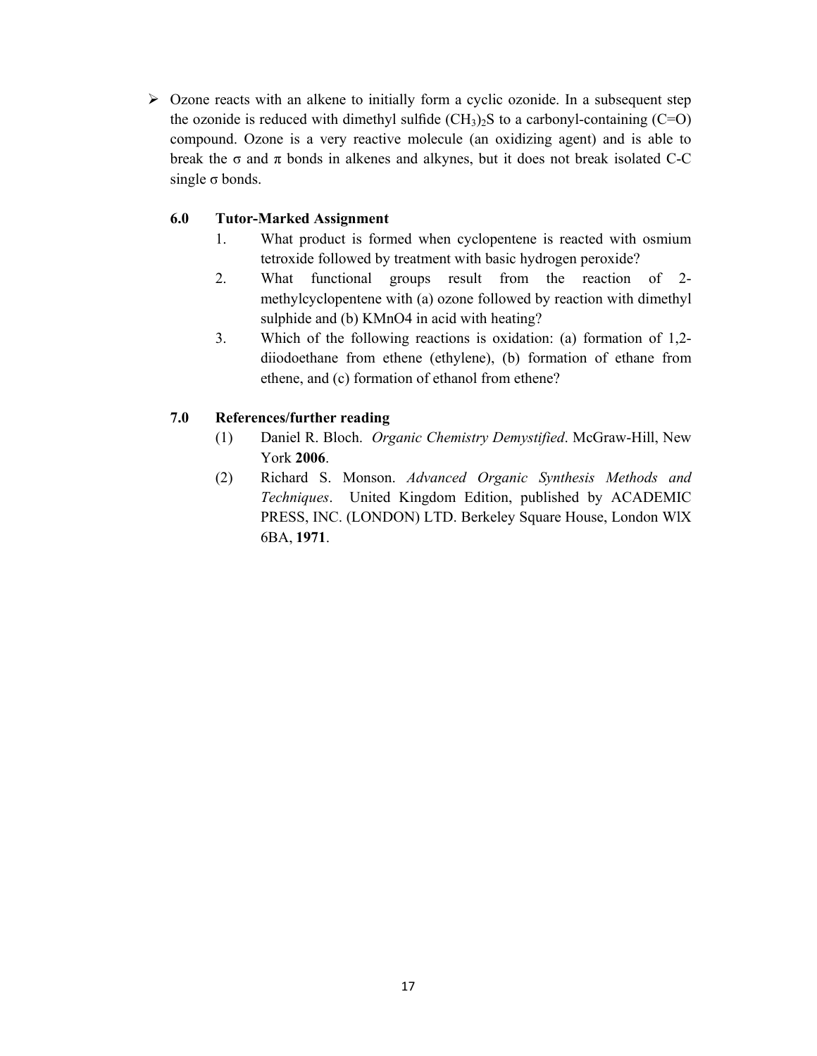$\triangleright$  Ozone reacts with an alkene to initially form a cyclic ozonide. In a subsequent step the ozonide is reduced with dimethyl sulfide  $(CH_3)$ . S to a carbonyl-containing  $(C=O)$ compound. Ozone is a very reactive molecule (an oxidizing agent) and is able to break the  $\sigma$  and  $\pi$  bonds in alkenes and alkynes, but it does not break isolated C-C single  $\sigma$  bonds.

# **6.0 Tutor-Marked Assignment**

- 1. What product is formed when cyclopentene is reacted with osmium tetroxide followed by treatment with basic hydrogen peroxide?
- 2. What functional groups result from the reaction of 2 methylcyclopentene with (a) ozone followed by reaction with dimethyl sulphide and (b) KMnO4 in acid with heating?
- 3. Which of the following reactions is oxidation: (a) formation of 1,2 diiodoethane from ethene (ethylene), (b) formation of ethane from ethene, and (c) formation of ethanol from ethene?

# **7.0 References/further reading**

- (1) Daniel R. Bloch. *Organic Chemistry Demystified*. McGraw-Hill, New York **2006**.
- (2) Richard S. Monson. *Advanced Organic Synthesis Methods and Techniques*. United Kingdom Edition, published by ACADEMIC PRESS, INC. (LONDON) LTD. Berkeley Square House, London WlX 6BA, **1971**.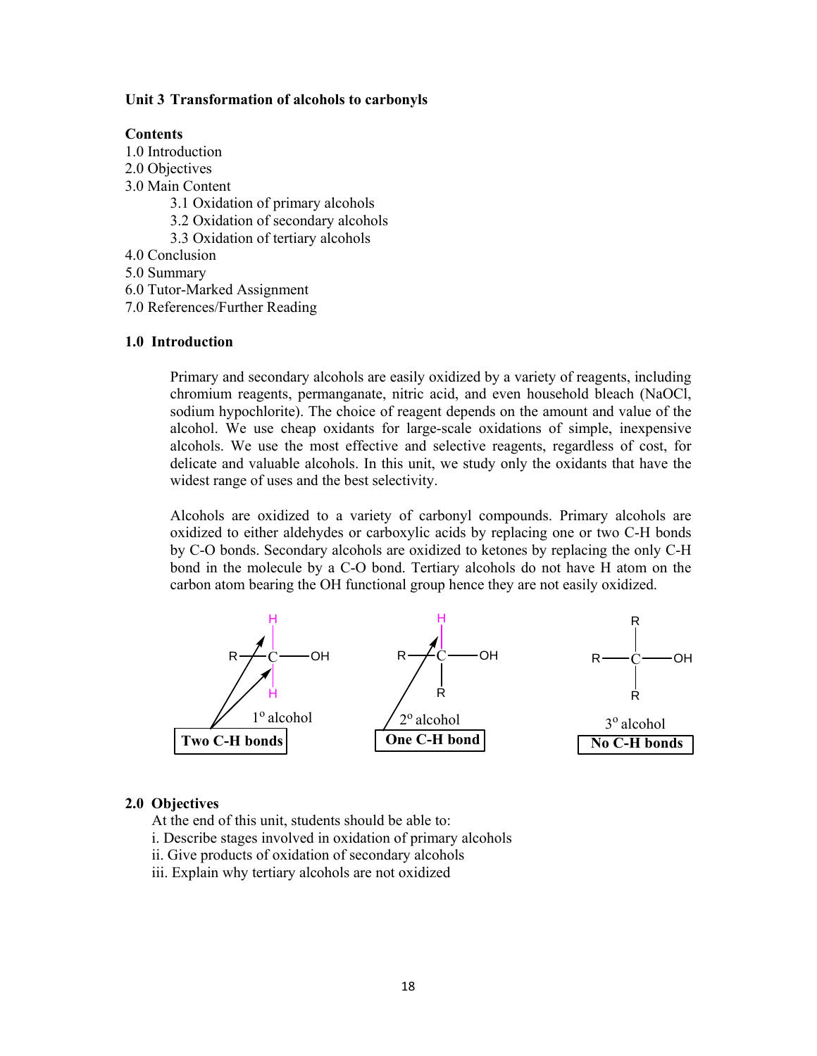### **Unit 3 Transformation of alcohols to carbonyls**

#### **Contents**

1.0 Introduction

- 2.0 Objectives
- 3.0 Main Content
	- 3.1 Oxidation of primary alcohols
	- 3.2 Oxidation of secondary alcohols
	- 3.3 Oxidation of tertiary alcohols
- 4.0 Conclusion
- 5.0 Summary
- 6.0 Tutor-Marked Assignment
- 7.0 References/Further Reading

#### **1.0 Introduction**

Primary and secondary alcohols are easily oxidized by a variety of reagents, including chromium reagents, permanganate, nitric acid, and even household bleach (NaOCl, sodium hypochlorite). The choice of reagent depends on the amount and value of the alcohol. We use cheap oxidants for large-scale oxidations of simple, inexpensive alcohols. We use the most effective and selective reagents, regardless of cost, for delicate and valuable alcohols. In this unit, we study only the oxidants that have the widest range of uses and the best selectivity.

Alcohols are oxidized to a variety of carbonyl compounds. Primary alcohols are oxidized to either aldehydes or carboxylic acids by replacing one or two C-H bonds by C-O bonds. Secondary alcohols are oxidized to ketones by replacing the only C-H bond in the molecule by a C-O bond. Tertiary alcohols do not have H atom on the carbon atom bearing the OH functional group hence they are not easily oxidized.



### **2.0 Objectives**

At the end of this unit, students should be able to:

i. Describe stages involved in oxidation of primary alcohols

- ii. Give products of oxidation of secondary alcohols
- iii. Explain why tertiary alcohols are not oxidized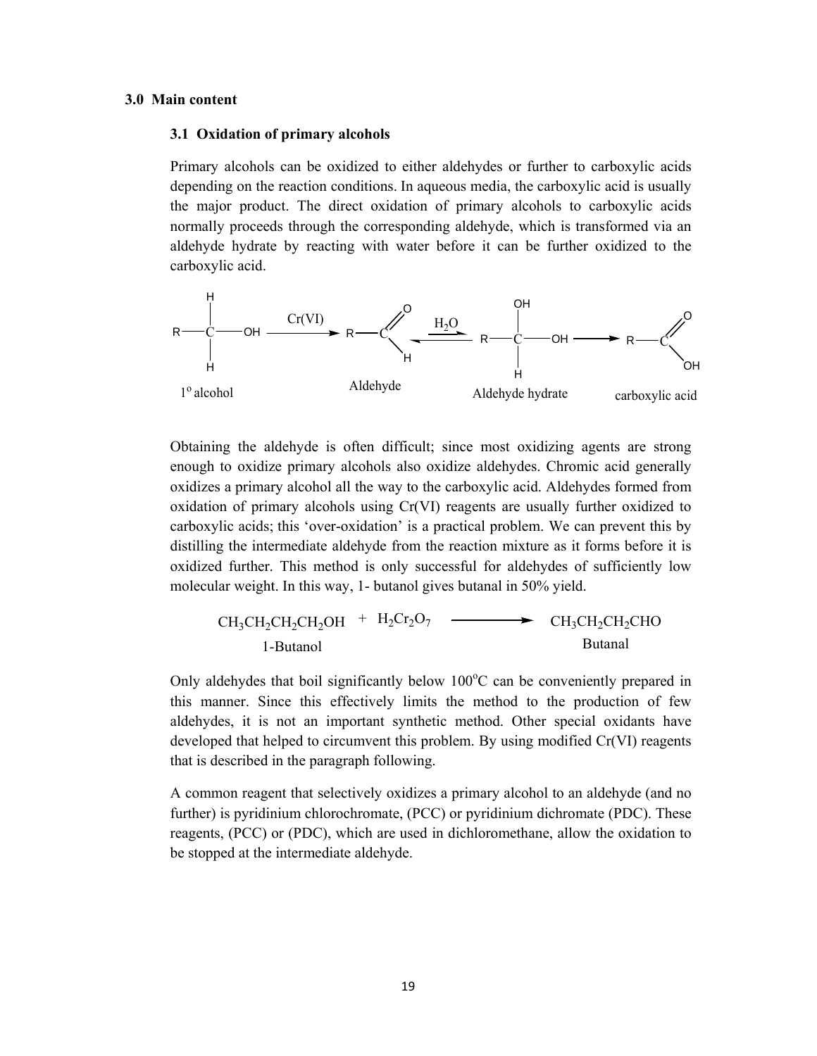#### **3.0 Main content**

#### **3.1 Oxidation of primary alcohols**

Primary alcohols can be oxidized to either aldehydes or further to carboxylic acids depending on the reaction conditions. In aqueous media, the carboxylic acid is usually the major product. The direct oxidation of primary alcohols to carboxylic acids normally proceeds through the corresponding aldehyde, which is transformed via an aldehyde hydrate by reacting with water before it can be further oxidized to the carboxylic acid.



Obtaining the aldehyde is often difficult; since most oxidizing agents are strong enough to oxidize primary alcohols also oxidize aldehydes. Chromic acid generally oxidizes a primary alcohol all the way to the carboxylic acid. Aldehydes formed from oxidation of primary alcohols using Cr(VI) reagents are usually further oxidized to carboxylic acids; this 'over-oxidation' is a practical problem. We can prevent this by distilling the intermediate aldehyde from the reaction mixture as it forms before it is oxidized further. This method is only successful for aldehydes of sufficiently low molecular weight. In this way, 1- butanol gives butanal in 50% yield.

$$
CH_3CH_2CH_2CH_2OH + H_2Cr_2O_7 \longrightarrow CH_3CH_2CH_2CHO
$$
  
1-Butanol Butanal

Only aldehydes that boil significantly below 100°C can be conveniently prepared in this manner. Since this effectively limits the method to the production of few aldehydes, it is not an important synthetic method. Other special oxidants have developed that helped to circumvent this problem. By using modified Cr(VI) reagents that is described in the paragraph following.

A common reagent that selectively oxidizes a primary alcohol to an aldehyde (and no further) is pyridinium chlorochromate, (PCC) or pyridinium dichromate (PDC). These reagents, (PCC) or (PDC), which are used in dichloromethane, allow the oxidation to be stopped at the intermediate aldehyde.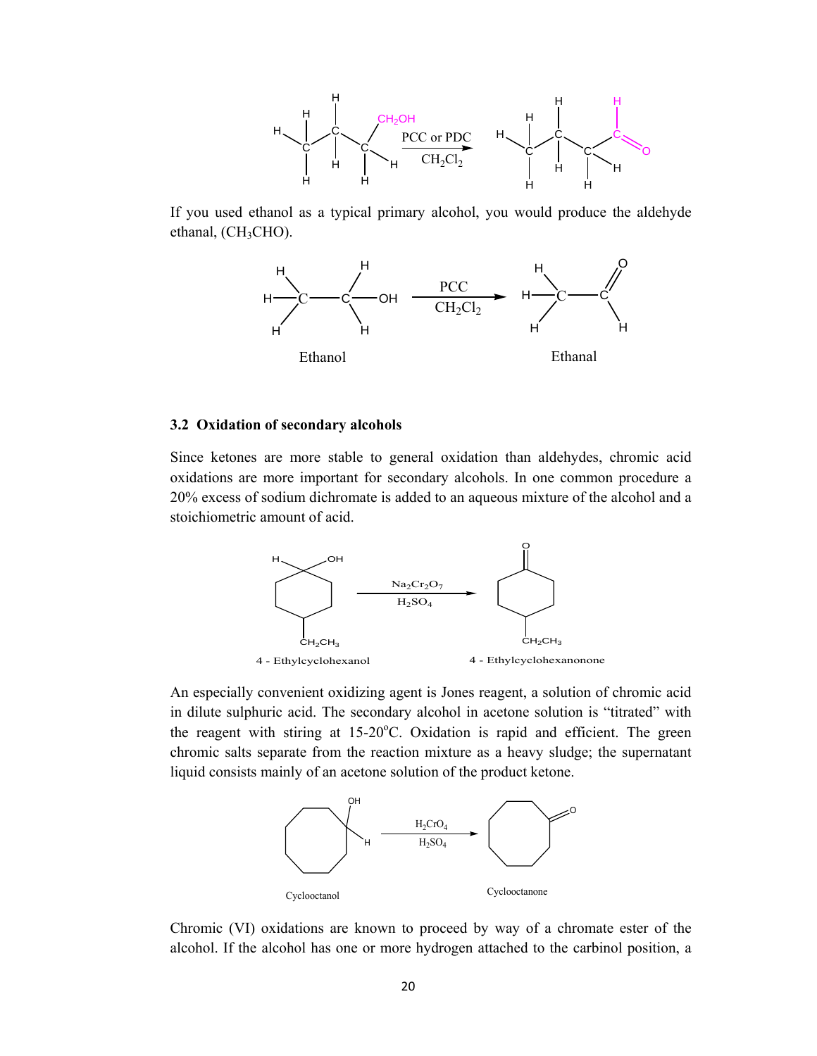

If you used ethanol as a typical primary alcohol, you would produce the aldehyde ethanal,  $(CH_3CHO)$ .



#### **3.2 Oxidation of secondary alcohols**

Since ketones are more stable to general oxidation than aldehydes, chromic acid oxidations are more important for secondary alcohols. In one common procedure a 20% excess of sodium dichromate is added to an aqueous mixture of the alcohol and a stoichiometric amount of acid.



An especially convenient oxidizing agent is Jones reagent, a solution of chromic acid in dilute sulphuric acid. The secondary alcohol in acetone solution is "titrated" with the reagent with stiring at 15-20°C. Oxidation is rapid and efficient. The green chromic salts separate from the reaction mixture as a heavy sludge; the supernatant liquid consists mainly of an acetone solution of the product ketone.



Chromic (VI) oxidations are known to proceed by way of a chromate ester of the alcohol. If the alcohol has one or more hydrogen attached to the carbinol position, a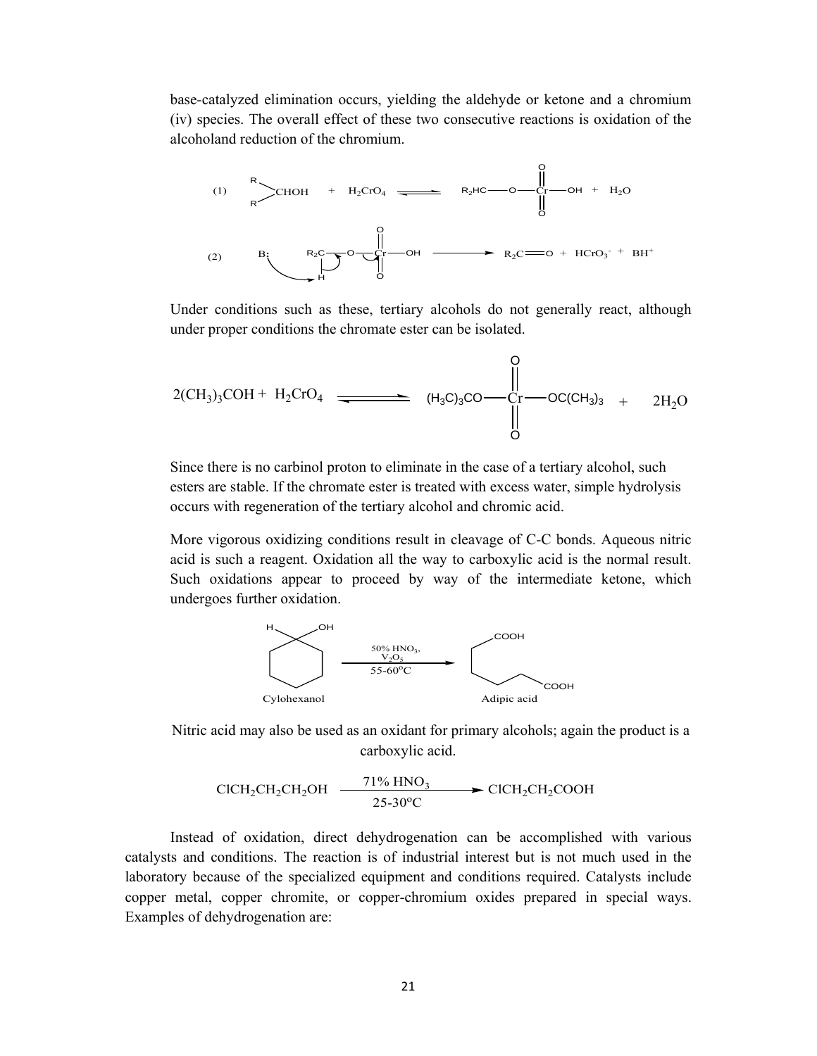base-catalyzed elimination occurs, yielding the aldehyde or ketone and a chromium (iv) species. The overall effect of these two consecutive reactions is oxidation of the alcoholand reduction of the chromium.



Under conditions such as these, tertiary alcohols do not generally react, although under proper conditions the chromate ester can be isolated.

$$
2(CH_3)_3COH + H_2CrO_4 \xrightarrow{\begin{array}{c}\nO \\
\downarrow \\
\downarrow \\
O\n\end{array}} (H_3C)_3CO - \begin{array}{c}\nO \\
\downarrow \\
\downarrow \\
O\n\end{array}} \text{OCC} (CH_3)_3 + 2H_2O
$$

Since there is no carbinol proton to eliminate in the case of a tertiary alcohol, such esters are stable. If the chromate ester is treated with excess water, simple hydrolysis occurs with regeneration of the tertiary alcohol and chromic acid.

More vigorous oxidizing conditions result in cleavage of C-C bonds. Aqueous nitric acid is such a reagent. Oxidation all the way to carboxylic acid is the normal result. Such oxidations appear to proceed by way of the intermediate ketone, which undergoes further oxidation.



Nitric acid may also be used as an oxidant for primary alcohols; again the product is a carboxylic acid.

$$
CICH_2CH_2CH_2OH \xrightarrow{71\% HNO_3} CICH_2CH_2COOH
$$

Instead of oxidation, direct dehydrogenation can be accomplished with various catalysts and conditions. The reaction is of industrial interest but is not much used in the laboratory because of the specialized equipment and conditions required. Catalysts include copper metal, copper chromite, or copper-chromium oxides prepared in special ways. Examples of dehydrogenation are: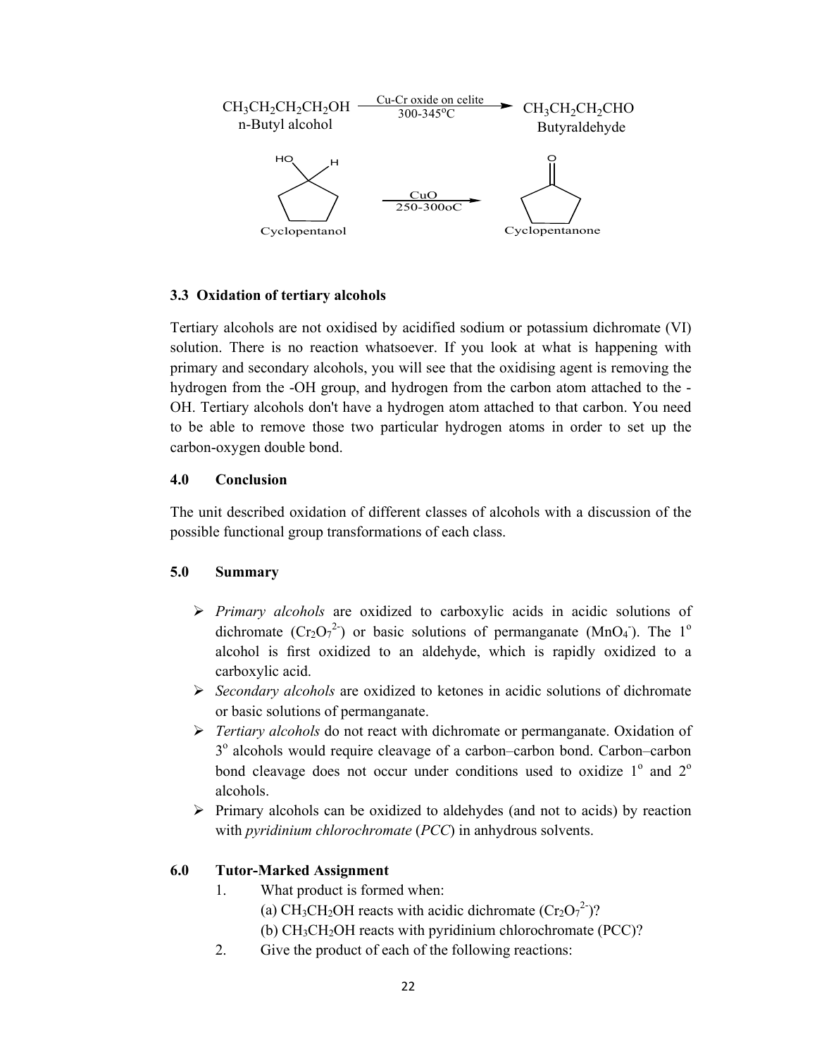

# **3.3 Oxidation of tertiary alcohols**

Tertiary alcohols are not oxidised by acidified sodium or potassium dichromate (VI) solution. There is no reaction whatsoever. If you look at what is happening with primary and secondary alcohols, you will see that the oxidising agent is removing the hydrogen from the -OH group, and hydrogen from the carbon atom attached to the - OH. Tertiary alcohols don't have a hydrogen atom attached to that carbon. You need to be able to remove those two particular hydrogen atoms in order to set up the carbon-oxygen double bond.

### **4.0 Conclusion**

The unit described oxidation of different classes of alcohols with a discussion of the possible functional group transformations of each class.

### **5.0 Summary**

- *Primary alcohols* are oxidized to carboxylic acids in acidic solutions of dichromate  $(\text{Cr}_2\text{O}_7^{-2})$  or basic solutions of permanganate (MnO<sub>4</sub>). The 1<sup>o</sup> alcohol is first oxidized to an aldehyde, which is rapidly oxidized to a carboxylic acid.
- *Secondary alcohols* are oxidized to ketones in acidic solutions of dichromate or basic solutions of permanganate.
- *Tertiary alcohols* do not react with dichromate or permanganate. Oxidation of 3<sup>o</sup> alcohols would require cleavage of a carbon–carbon bond. Carbon–carbon bond cleavage does not occur under conditions used to oxidize  $1^{\circ}$  and  $2^{\circ}$ alcohols.
- $\triangleright$  Primary alcohols can be oxidized to aldehydes (and not to acids) by reaction with *pyridinium chlorochromate* (*PCC*) in anhydrous solvents.

# **6.0 Tutor-Marked Assignment**

- 1. What product is formed when:
	- (a) CH<sub>3</sub>CH<sub>2</sub>OH reacts with acidic dichromate  $(\text{Cr}_2\text{O}_7^2)$ ?
	- (b)  $CH<sub>3</sub>CH<sub>2</sub>OH$  reacts with pyridinium chlorochromate (PCC)?
- 2. Give the product of each of the following reactions: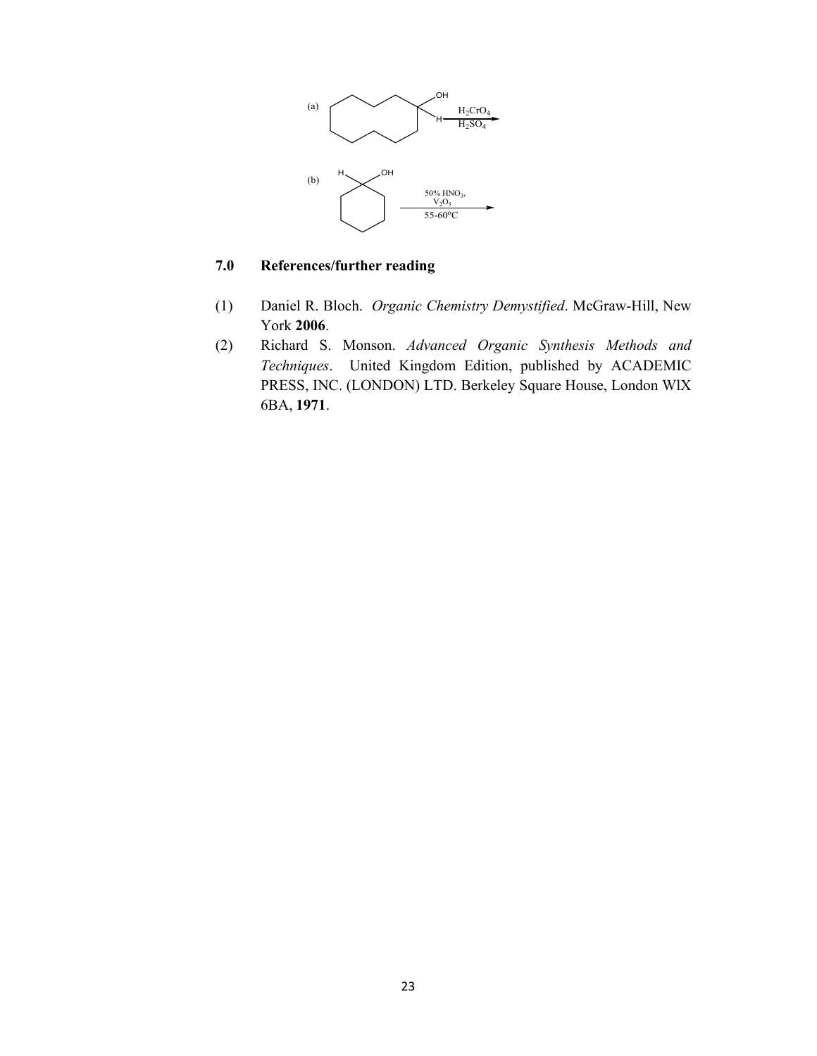

# **7.0 References/further reading**

- (1) Daniel R. Bloch. *Organic Chemistry Demystified*. McGraw-Hill, New York **2006**.
- (2) Richard S. Monson. *Advanced Organic Synthesis Methods and Techniques*. United Kingdom Edition, published by ACADEMIC PRESS, INC. (LONDON) LTD. Berkeley Square House, London WlX 6BA, **1971**.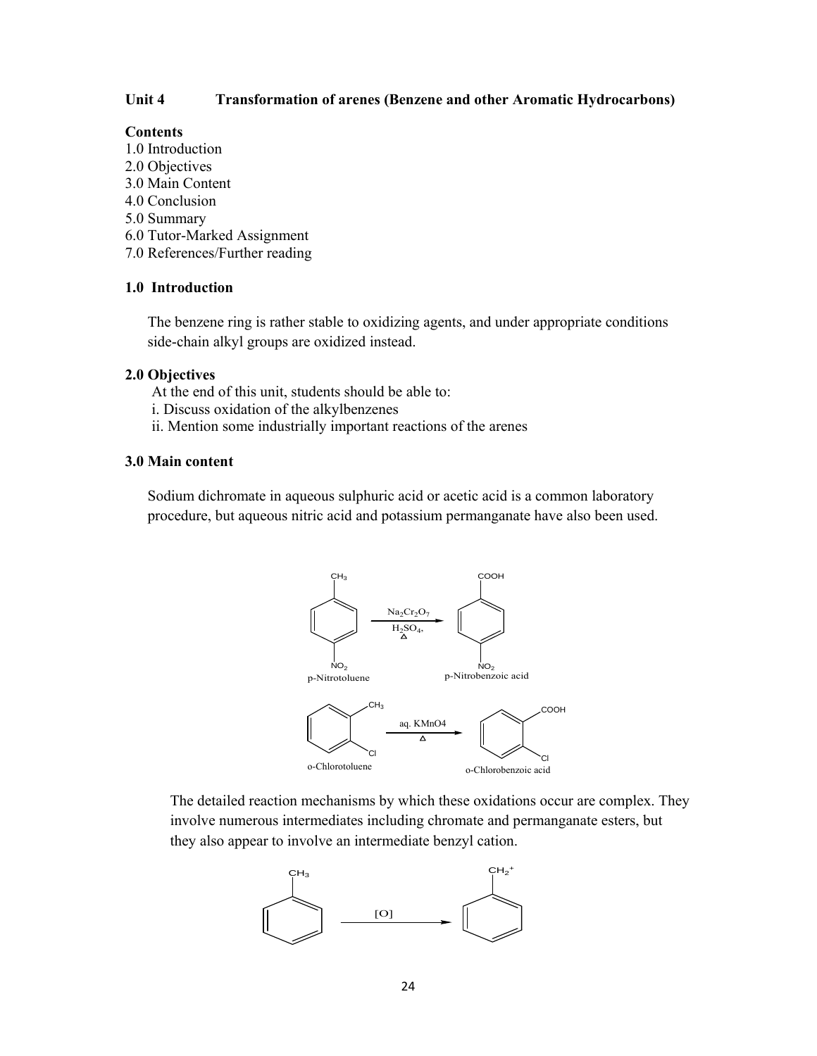### **Unit 4 Transformation of arenes (Benzene and other Aromatic Hydrocarbons)**

### **Contents**

- 1.0 Introduction
- 2.0 Objectives
- 3.0 Main Content
- 4.0 Conclusion
- 5.0 Summary
- 6.0 Tutor-Marked Assignment
- 7.0 References/Further reading

# **1.0 Introduction**

The benzene ring is rather stable to oxidizing agents, and under appropriate conditions side-chain alkyl groups are oxidized instead.

### **2.0 Objectives**

- At the end of this unit, students should be able to:
- i. Discuss oxidation of the alkylbenzenes
- ii. Mention some industrially important reactions of the arenes

### **3.0 Main content**

Sodium dichromate in aqueous sulphuric acid or acetic acid is a common laboratory procedure, but aqueous nitric acid and potassium permanganate have also been used.



The detailed reaction mechanisms by which these oxidations occur are complex. They involve numerous intermediates including chromate and permanganate esters, but they also appear to involve an intermediate benzyl cation.

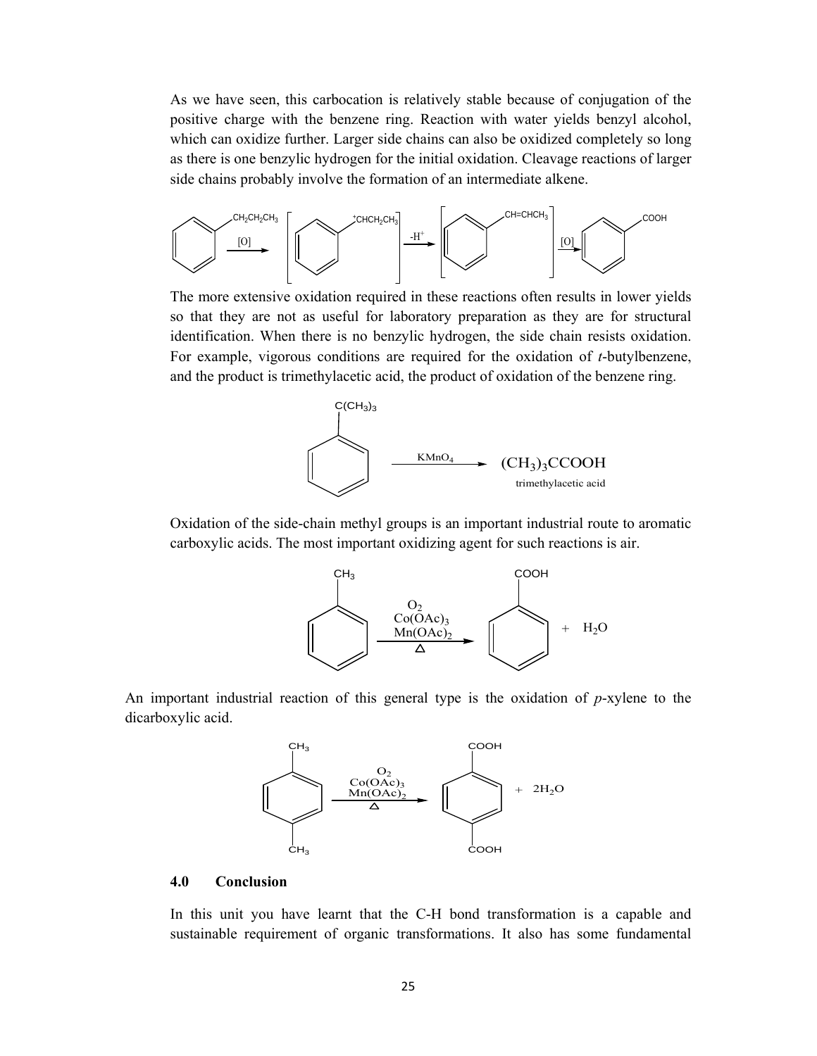As we have seen, this carbocation is relatively stable because of conjugation of the positive charge with the benzene ring. Reaction with water yields benzyl alcohol, which can oxidize further. Larger side chains can also be oxidized completely so long as there is one benzylic hydrogen for the initial oxidation. Cleavage reactions of larger side chains probably involve the formation of an intermediate alkene.



The more extensive oxidation required in these reactions often results in lower yields so that they are not as useful for laboratory preparation as they are for structural identification. When there is no benzylic hydrogen, the side chain resists oxidation. For example, vigorous conditions are required for the oxidation of *t*-butylbenzene, and the product is trimethylacetic acid, the product of oxidation of the benzene ring.



Oxidation of the side-chain methyl groups is an important industrial route to aromatic carboxylic acids. The most important oxidizing agent for such reactions is air.



An important industrial reaction of this general type is the oxidation of *p*-xylene to the dicarboxylic acid.



### **4.0 Conclusion**

In this unit you have learnt that the C-H bond transformation is a capable and sustainable requirement of organic transformations. It also has some fundamental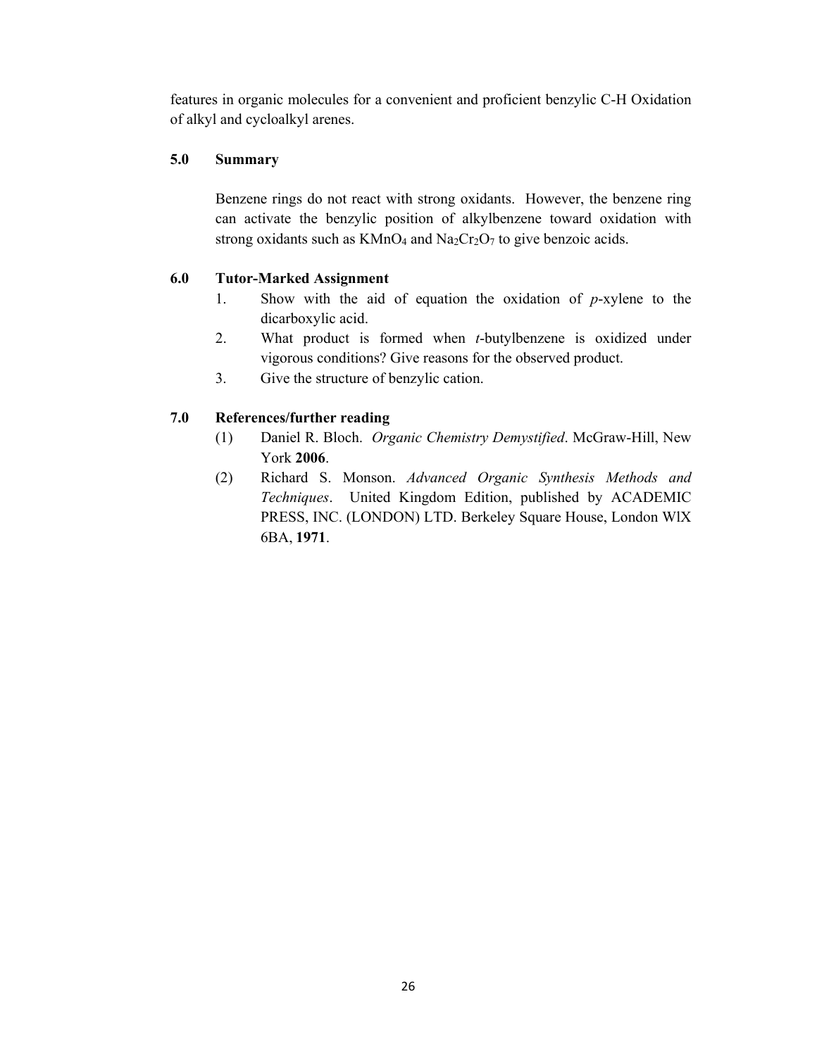features in organic molecules for a convenient and proficient benzylic C-H Oxidation of alkyl and cycloalkyl arenes.

# **5.0 Summary**

Benzene rings do not react with strong oxidants. However, the benzene ring can activate the benzylic position of alkylbenzene toward oxidation with strong oxidants such as  $KMnO_4$  and  $Na_2Cr_2O_7$  to give benzoic acids.

# **6.0 Tutor-Marked Assignment**

- 1. Show with the aid of equation the oxidation of *p*-xylene to the dicarboxylic acid.
- 2. What product is formed when *t*-butylbenzene is oxidized under vigorous conditions? Give reasons for the observed product.
- 3. Give the structure of benzylic cation.

# **7.0 References/further reading**

- (1) Daniel R. Bloch. *Organic Chemistry Demystified*. McGraw-Hill, New York **2006**.
- (2) Richard S. Monson. *Advanced Organic Synthesis Methods and Techniques*. United Kingdom Edition, published by ACADEMIC PRESS, INC. (LONDON) LTD. Berkeley Square House, London WlX 6BA, **1971**.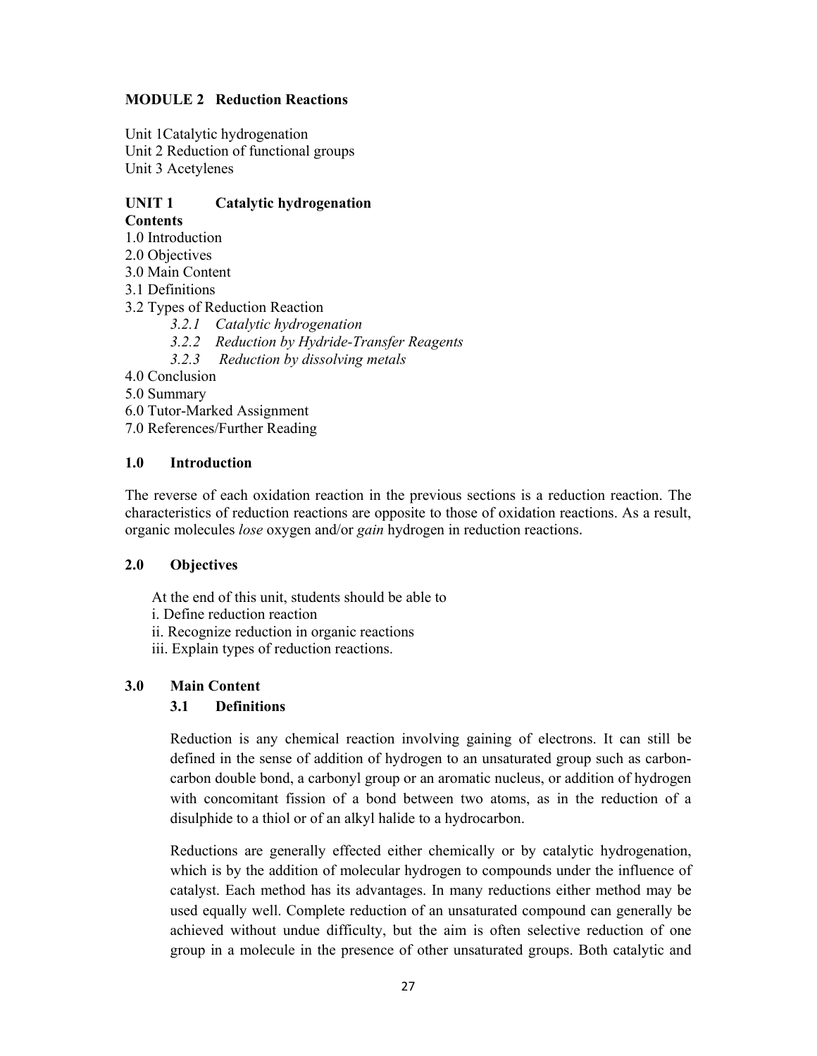# **MODULE 2 Reduction Reactions**

Unit 1Catalytic hydrogenation Unit 2 Reduction of functional groups Unit 3 Acetylenes

### **UNIT 1 Catalytic hydrogenation Contents**

- 1.0 Introduction
- 2.0 Objectives
- 3.0 Main Content
- 3.1 Definitions
- 3.2 Types of Reduction Reaction
	- *3.2.1 Catalytic hydrogenation*
	- *3.2.2 Reduction by Hydride-Transfer Reagents*
	- *3.2.3 Reduction by dissolving metals*
- 4.0 Conclusion
- 5.0 Summary
- 6.0 Tutor-Marked Assignment
- 7.0 References/Further Reading

# **1.0 Introduction**

The reverse of each oxidation reaction in the previous sections is a reduction reaction. The characteristics of reduction reactions are opposite to those of oxidation reactions. As a result, organic molecules *lose* oxygen and/or *gain* hydrogen in reduction reactions.

# **2.0 Objectives**

At the end of this unit, students should be able to

- i. Define reduction reaction
- ii. Recognize reduction in organic reactions
- iii. Explain types of reduction reactions.

# **3.0 Main Content**

# **3.1 Definitions**

Reduction is any chemical reaction involving gaining of electrons. It can still be defined in the sense of addition of hydrogen to an unsaturated group such as carboncarbon double bond, a carbonyl group or an aromatic nucleus, or addition of hydrogen with concomitant fission of a bond between two atoms, as in the reduction of a disulphide to a thiol or of an alkyl halide to a hydrocarbon.

Reductions are generally effected either chemically or by catalytic hydrogenation, which is by the addition of molecular hydrogen to compounds under the influence of catalyst. Each method has its advantages. In many reductions either method may be used equally well. Complete reduction of an unsaturated compound can generally be achieved without undue difficulty, but the aim is often selective reduction of one group in a molecule in the presence of other unsaturated groups. Both catalytic and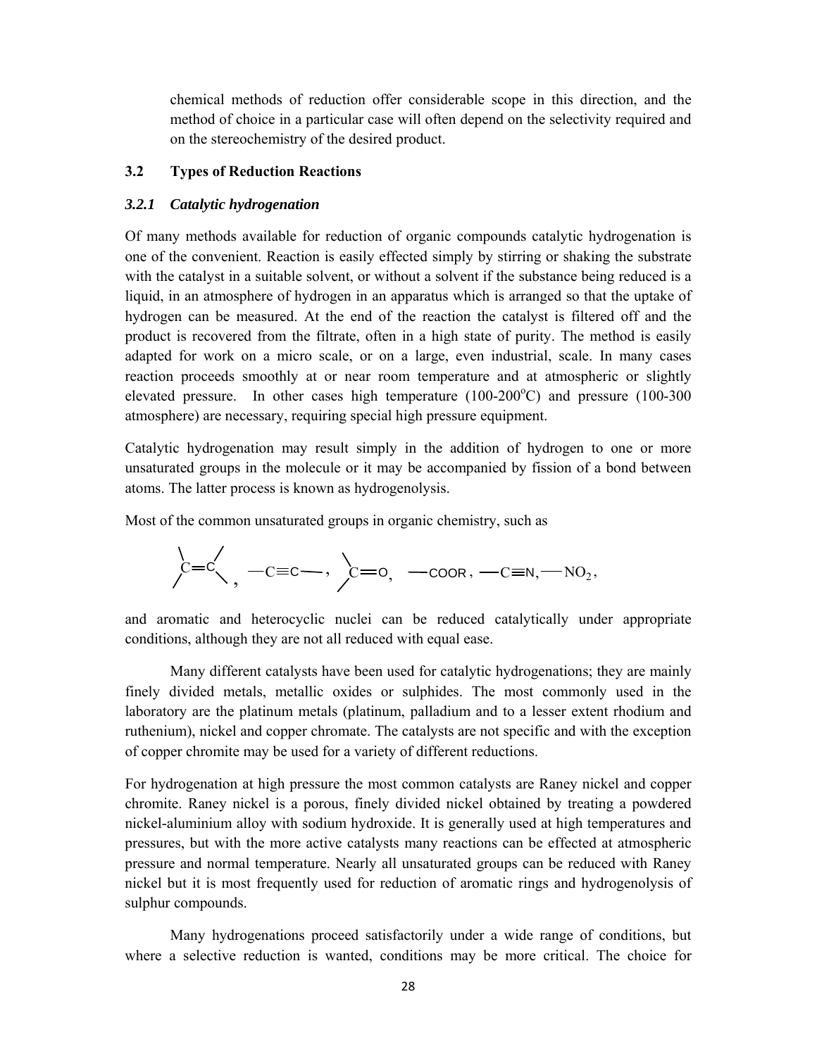chemical methods of reduction offer considerable scope in this direction, and the method of choice in a particular case will often depend on the selectivity required and on the stereochemistry of the desired product.

# **3.2 Types of Reduction Reactions**

# *3.2.1 Catalytic hydrogenation*

Of many methods available for reduction of organic compounds catalytic hydrogenation is one of the convenient. Reaction is easily effected simply by stirring or shaking the substrate with the catalyst in a suitable solvent, or without a solvent if the substance being reduced is a liquid, in an atmosphere of hydrogen in an apparatus which is arranged so that the uptake of hydrogen can be measured. At the end of the reaction the catalyst is filtered off and the product is recovered from the filtrate, often in a high state of purity. The method is easily adapted for work on a micro scale, or on a large, even industrial, scale. In many cases reaction proceeds smoothly at or near room temperature and at atmospheric or slightly elevated pressure. In other cases high temperature  $(100-200^{\circ}C)$  and pressure  $(100-300)$ atmosphere) are necessary, requiring special high pressure equipment.

Catalytic hydrogenation may result simply in the addition of hydrogen to one or more unsaturated groups in the molecule or it may be accompanied by fission of a bond between atoms. The latter process is known as hydrogenolysis.

Most of the common unsaturated groups in organic chemistry, such as

$$
\left\langle \stackrel{\backsim}{=}\stackrel{\backsim}{\sim}, \ -\text{c=c}\text{,}\ \right\rangle \text{,}\ -\text{coor},\ -\text{c}\text{=}\text{N},\!-\text{NO}_2,
$$

and aromatic and heterocyclic nuclei can be reduced catalytically under appropriate conditions, although they are not all reduced with equal ease.

 Many different catalysts have been used for catalytic hydrogenations; they are mainly finely divided metals, metallic oxides or sulphides. The most commonly used in the laboratory are the platinum metals (platinum, palladium and to a lesser extent rhodium and ruthenium), nickel and copper chromate. The catalysts are not specific and with the exception of copper chromite may be used for a variety of different reductions.

For hydrogenation at high pressure the most common catalysts are Raney nickel and copper chromite. Raney nickel is a porous, finely divided nickel obtained by treating a powdered nickel-aluminium alloy with sodium hydroxide. It is generally used at high temperatures and pressures, but with the more active catalysts many reactions can be effected at atmospheric pressure and normal temperature. Nearly all unsaturated groups can be reduced with Raney nickel but it is most frequently used for reduction of aromatic rings and hydrogenolysis of sulphur compounds.

 Many hydrogenations proceed satisfactorily under a wide range of conditions, but where a selective reduction is wanted, conditions may be more critical. The choice for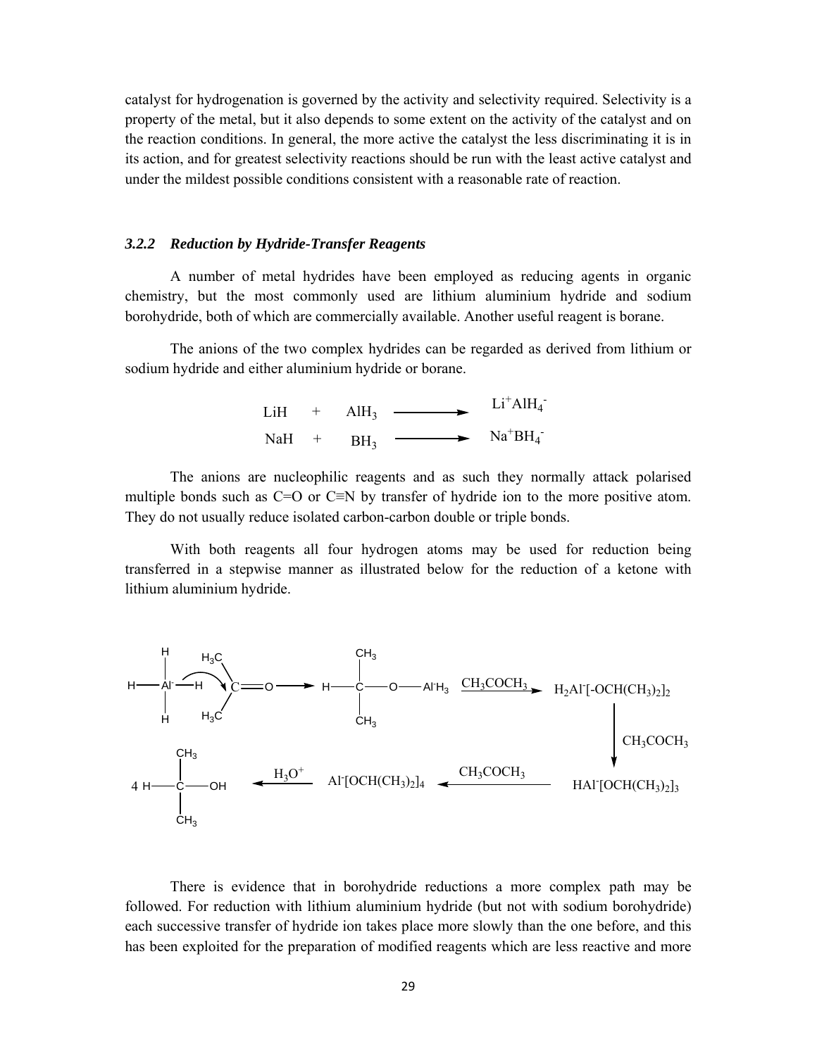catalyst for hydrogenation is governed by the activity and selectivity required. Selectivity is a property of the metal, but it also depends to some extent on the activity of the catalyst and on the reaction conditions. In general, the more active the catalyst the less discriminating it is in its action, and for greatest selectivity reactions should be run with the least active catalyst and under the mildest possible conditions consistent with a reasonable rate of reaction.

#### *3.2.2 Reduction by Hydride-Transfer Reagents*

A number of metal hydrides have been employed as reducing agents in organic chemistry, but the most commonly used are lithium aluminium hydride and sodium borohydride, both of which are commercially available. Another useful reagent is borane.

 The anions of the two complex hydrides can be regarded as derived from lithium or sodium hydride and either aluminium hydride or borane.

| LiH   | $+$ AlH <sub>3</sub> | $\sim$ | $Li+ AlH4$                                    |
|-------|----------------------|--------|-----------------------------------------------|
| NaH + | BH <sub>3</sub>      |        | $\rightarrow$ Na <sup>+</sup> BH <sub>4</sub> |

 The anions are nucleophilic reagents and as such they normally attack polarised multiple bonds such as C=O or C≡N by transfer of hydride ion to the more positive atom. They do not usually reduce isolated carbon-carbon double or triple bonds.

 With both reagents all four hydrogen atoms may be used for reduction being transferred in a stepwise manner as illustrated below for the reduction of a ketone with lithium aluminium hydride.



 There is evidence that in borohydride reductions a more complex path may be followed. For reduction with lithium aluminium hydride (but not with sodium borohydride) each successive transfer of hydride ion takes place more slowly than the one before, and this has been exploited for the preparation of modified reagents which are less reactive and more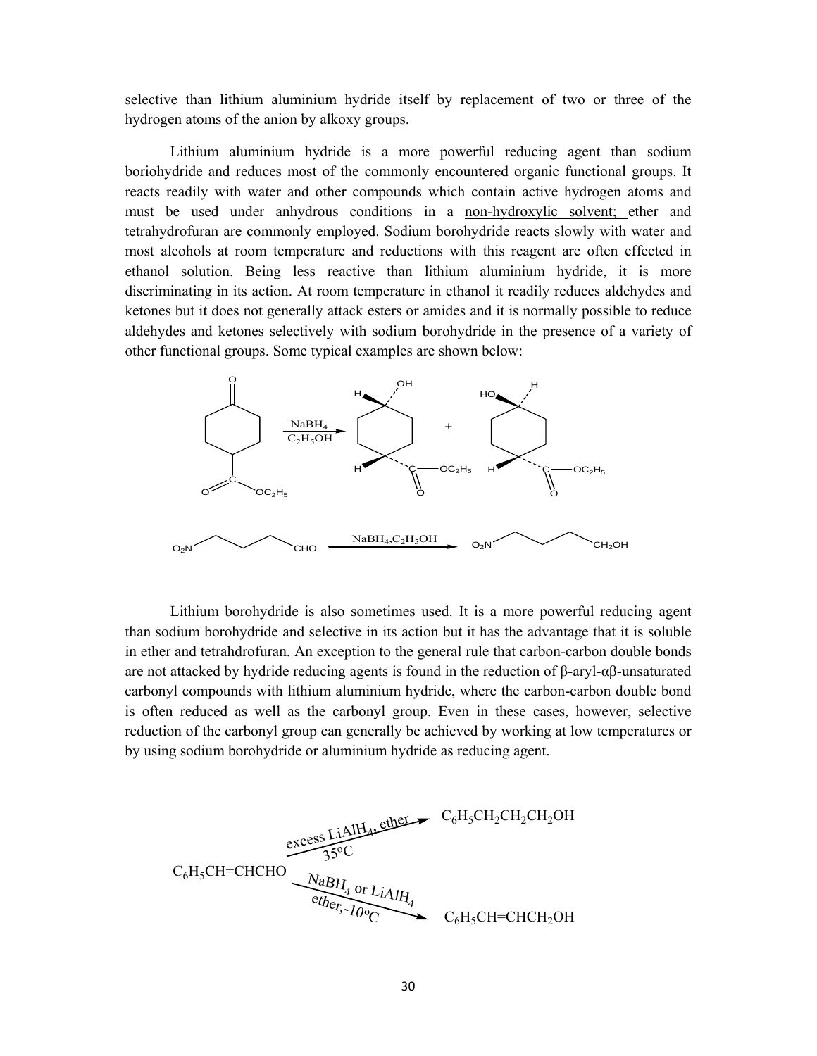selective than lithium aluminium hydride itself by replacement of two or three of the hydrogen atoms of the anion by alkoxy groups.

 Lithium aluminium hydride is a more powerful reducing agent than sodium boriohydride and reduces most of the commonly encountered organic functional groups. It reacts readily with water and other compounds which contain active hydrogen atoms and must be used under anhydrous conditions in a non-hydroxylic solvent; ether and tetrahydrofuran are commonly employed. Sodium borohydride reacts slowly with water and most alcohols at room temperature and reductions with this reagent are often effected in ethanol solution. Being less reactive than lithium aluminium hydride, it is more discriminating in its action. At room temperature in ethanol it readily reduces aldehydes and ketones but it does not generally attack esters or amides and it is normally possible to reduce aldehydes and ketones selectively with sodium borohydride in the presence of a variety of other functional groups. Some typical examples are shown below:



 Lithium borohydride is also sometimes used. It is a more powerful reducing agent than sodium borohydride and selective in its action but it has the advantage that it is soluble in ether and tetrahdrofuran. An exception to the general rule that carbon-carbon double bonds are not attacked by hydride reducing agents is found in the reduction of  $\beta$ -aryl- $\alpha\beta$ -unsaturated carbonyl compounds with lithium aluminium hydride, where the carbon-carbon double bond is often reduced as well as the carbonyl group. Even in these cases, however, selective reduction of the carbonyl group can generally be achieved by working at low temperatures or by using sodium borohydride or aluminium hydride as reducing agent.

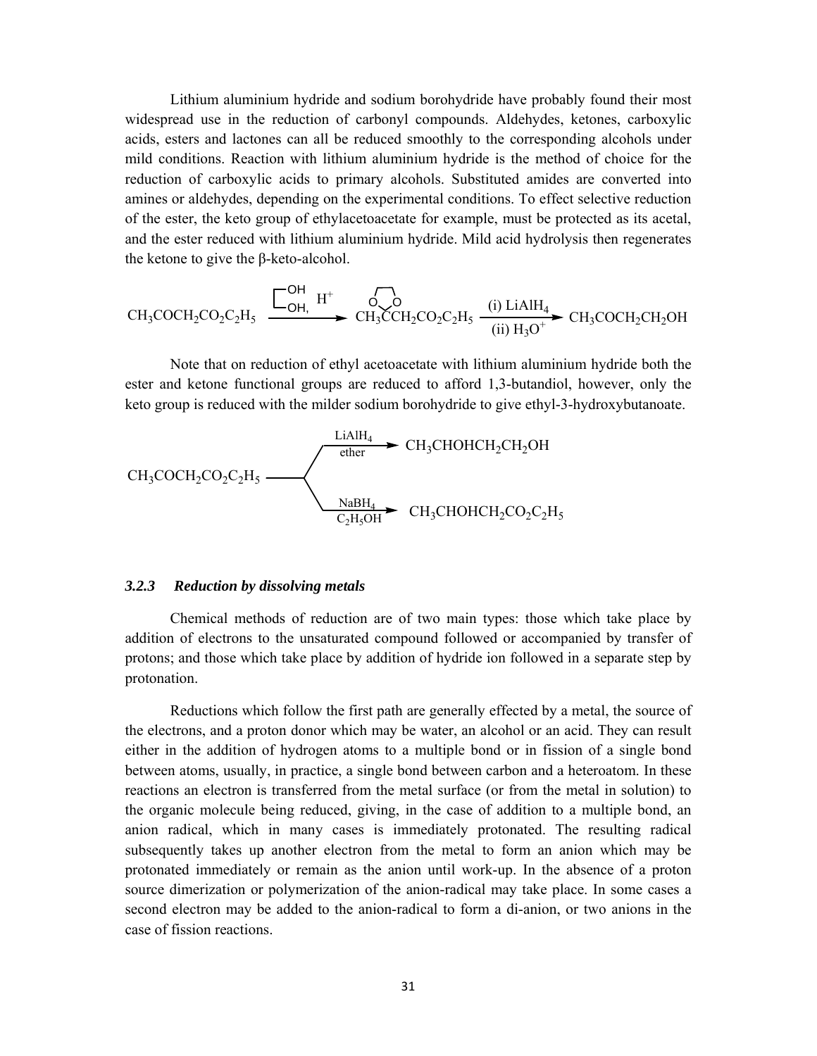Lithium aluminium hydride and sodium borohydride have probably found their most widespread use in the reduction of carbonyl compounds. Aldehydes, ketones, carboxylic acids, esters and lactones can all be reduced smoothly to the corresponding alcohols under mild conditions. Reaction with lithium aluminium hydride is the method of choice for the reduction of carboxylic acids to primary alcohols. Substituted amides are converted into amines or aldehydes, depending on the experimental conditions. To effect selective reduction of the ester, the keto group of ethylacetoacetate for example, must be protected as its acetal, and the ester reduced with lithium aluminium hydride. Mild acid hydrolysis then regenerates the ketone to give the β-keto-alcohol.

$$
\text{CH}_3\text{COCH}_2\text{CO}_2\text{C}_2\text{H}_5 \xrightarrow{\begin{bmatrix} \text{OH} & \text{H}^+ \\ \text{OH} & \end{bmatrix}} \begin{matrix} \text{CO} \\ \text{CH}_3\text{CCH}_2\text{CO}_2\text{C}_2\text{H}_5 \end{matrix} \xrightarrow{\text{(i) LiAlH}_4} \text{CH}_3\text{COCH}_2\text{CH}_2\text{OH}
$$

 Note that on reduction of ethyl acetoacetate with lithium aluminium hydride both the ester and ketone functional groups are reduced to afford 1,3-butandiol, however, only the keto group is reduced with the milder sodium borohydride to give ethyl-3-hydroxybutanoate.

$$
CH_3COCH_2CO_2C_2H_5 \longrightarrow \xrightarrow{\text{LialH}_4 \atop \text{other}} CH_3CHOHCH_2CH_2OH
$$
  
\n
$$
CH_3CHOHCH_2CO_2C_2H_5
$$
  
\n
$$
CH_3CHOHCH_2CO_2C_2H_5
$$

### *3.2.3 Reduction by dissolving metals*

 Chemical methods of reduction are of two main types: those which take place by addition of electrons to the unsaturated compound followed or accompanied by transfer of protons; and those which take place by addition of hydride ion followed in a separate step by protonation.

 Reductions which follow the first path are generally effected by a metal, the source of the electrons, and a proton donor which may be water, an alcohol or an acid. They can result either in the addition of hydrogen atoms to a multiple bond or in fission of a single bond between atoms, usually, in practice, a single bond between carbon and a heteroatom. In these reactions an electron is transferred from the metal surface (or from the metal in solution) to the organic molecule being reduced, giving, in the case of addition to a multiple bond, an anion radical, which in many cases is immediately protonated. The resulting radical subsequently takes up another electron from the metal to form an anion which may be protonated immediately or remain as the anion until work-up. In the absence of a proton source dimerization or polymerization of the anion-radical may take place. In some cases a second electron may be added to the anion-radical to form a di-anion, or two anions in the case of fission reactions.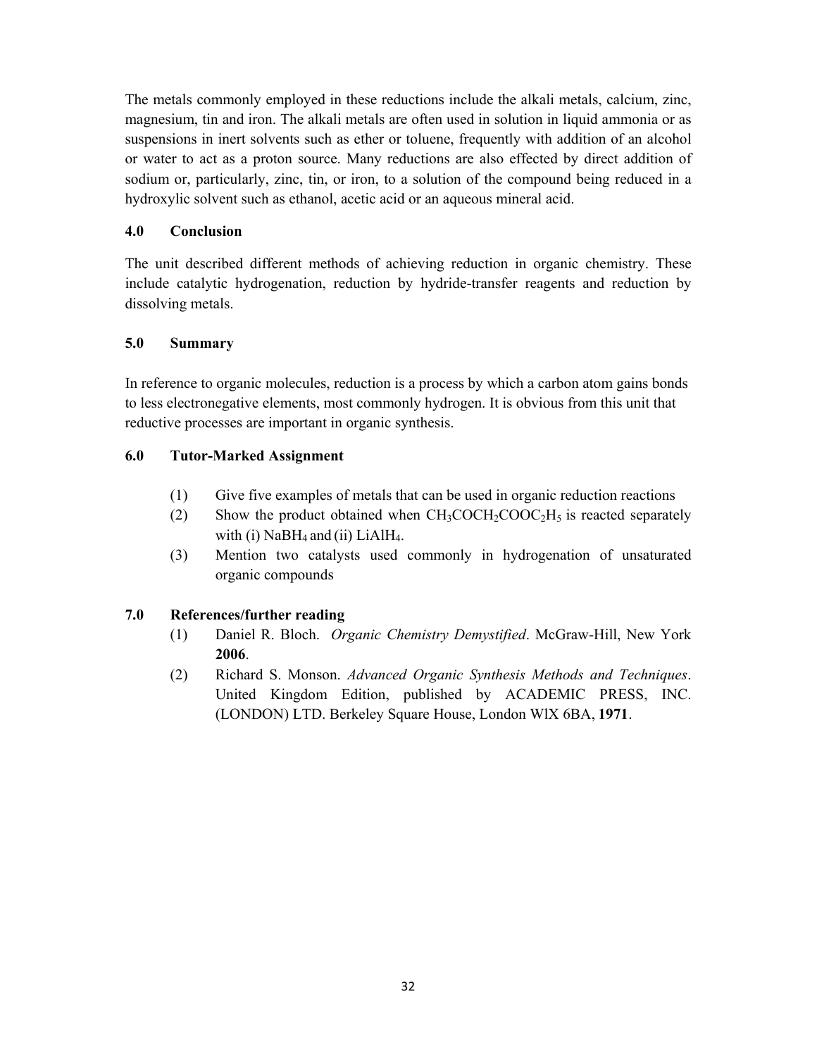The metals commonly employed in these reductions include the alkali metals, calcium, zinc, magnesium, tin and iron. The alkali metals are often used in solution in liquid ammonia or as suspensions in inert solvents such as ether or toluene, frequently with addition of an alcohol or water to act as a proton source. Many reductions are also effected by direct addition of sodium or, particularly, zinc, tin, or iron, to a solution of the compound being reduced in a hydroxylic solvent such as ethanol, acetic acid or an aqueous mineral acid.

# **4.0 Conclusion**

The unit described different methods of achieving reduction in organic chemistry. These include catalytic hydrogenation, reduction by hydride-transfer reagents and reduction by dissolving metals.

# **5.0 Summary**

In reference to organic molecules, reduction is a process by which a carbon atom gains bonds to less electronegative elements, most commonly hydrogen. It is obvious from this unit that reductive processes are important in organic synthesis.

# **6.0 Tutor-Marked Assignment**

- (1) Give five examples of metals that can be used in organic reduction reactions
- (2) Show the product obtained when  $CH_3COCH_2COOC<sub>2</sub>H<sub>5</sub>$  is reacted separately with (i)  $NaBH<sub>4</sub>$  and (ii)  $LiAlH<sub>4</sub>$ .
- (3) Mention two catalysts used commonly in hydrogenation of unsaturated organic compounds

# **7.0 References/further reading**

- (1) Daniel R. Bloch. *Organic Chemistry Demystified*. McGraw-Hill, New York **2006**.
- (2) Richard S. Monson. *Advanced Organic Synthesis Methods and Techniques*. United Kingdom Edition, published by ACADEMIC PRESS, INC. (LONDON) LTD. Berkeley Square House, London WlX 6BA, **1971**.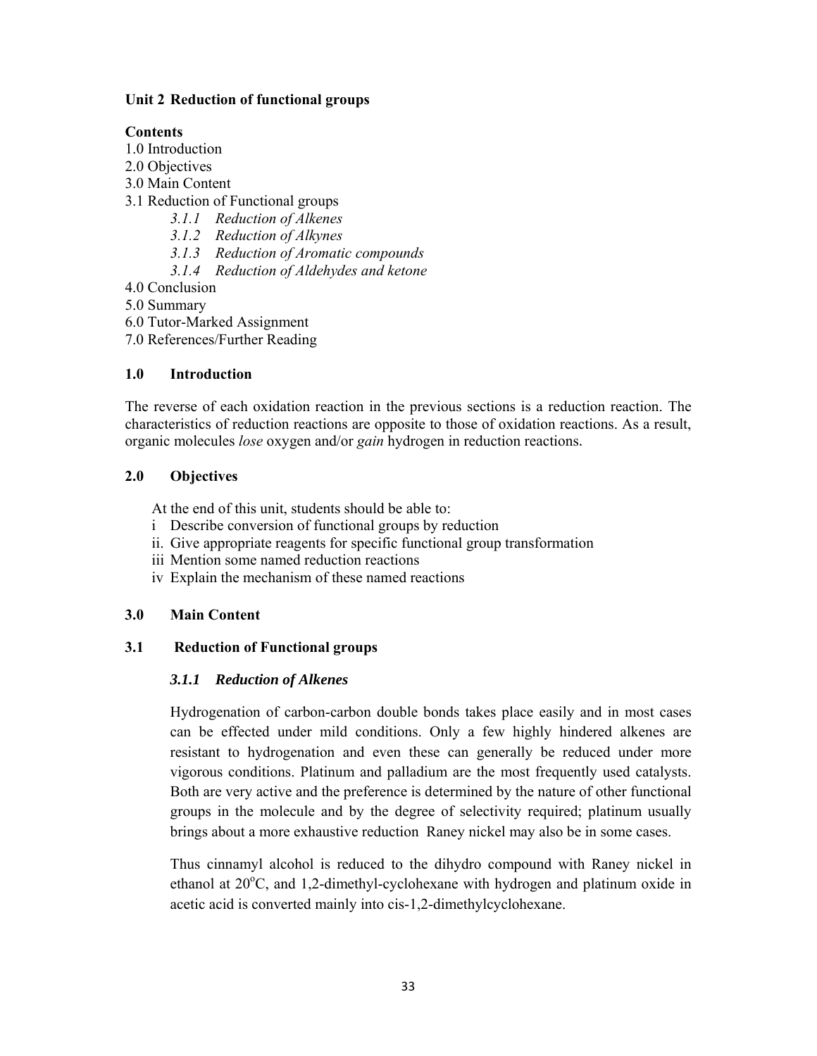# **Unit 2 Reduction of functional groups**

# **Contents**

- 1.0 Introduction
- 2.0 Objectives
- 3.0 Main Content
- 3.1 Reduction of Functional groups
	- *3.1.1 Reduction of Alkenes*
	- *3.1.2 Reduction of Alkynes*
	- *3.1.3 Reduction of Aromatic compounds*
	- *3.1.4 Reduction of Aldehydes and ketone*
- 4.0 Conclusion
- 5.0 Summary
- 6.0 Tutor-Marked Assignment
- 7.0 References/Further Reading

# **1.0 Introduction**

The reverse of each oxidation reaction in the previous sections is a reduction reaction. The characteristics of reduction reactions are opposite to those of oxidation reactions. As a result, organic molecules *lose* oxygen and/or *gain* hydrogen in reduction reactions.

# **2.0 Objectives**

At the end of this unit, students should be able to:

- i Describe conversion of functional groups by reduction
- ii. Give appropriate reagents for specific functional group transformation
- iii Mention some named reduction reactions
- iv Explain the mechanism of these named reactions

# **3.0 Main Content**

# **3.1 Reduction of Functional groups**

# *3.1.1 Reduction of Alkenes*

Hydrogenation of carbon-carbon double bonds takes place easily and in most cases can be effected under mild conditions. Only a few highly hindered alkenes are resistant to hydrogenation and even these can generally be reduced under more vigorous conditions. Platinum and palladium are the most frequently used catalysts. Both are very active and the preference is determined by the nature of other functional groups in the molecule and by the degree of selectivity required; platinum usually brings about a more exhaustive reduction Raney nickel may also be in some cases.

Thus cinnamyl alcohol is reduced to the dihydro compound with Raney nickel in ethanol at 20°C, and 1,2-dimethyl-cyclohexane with hydrogen and platinum oxide in acetic acid is converted mainly into cis-1,2-dimethylcyclohexane.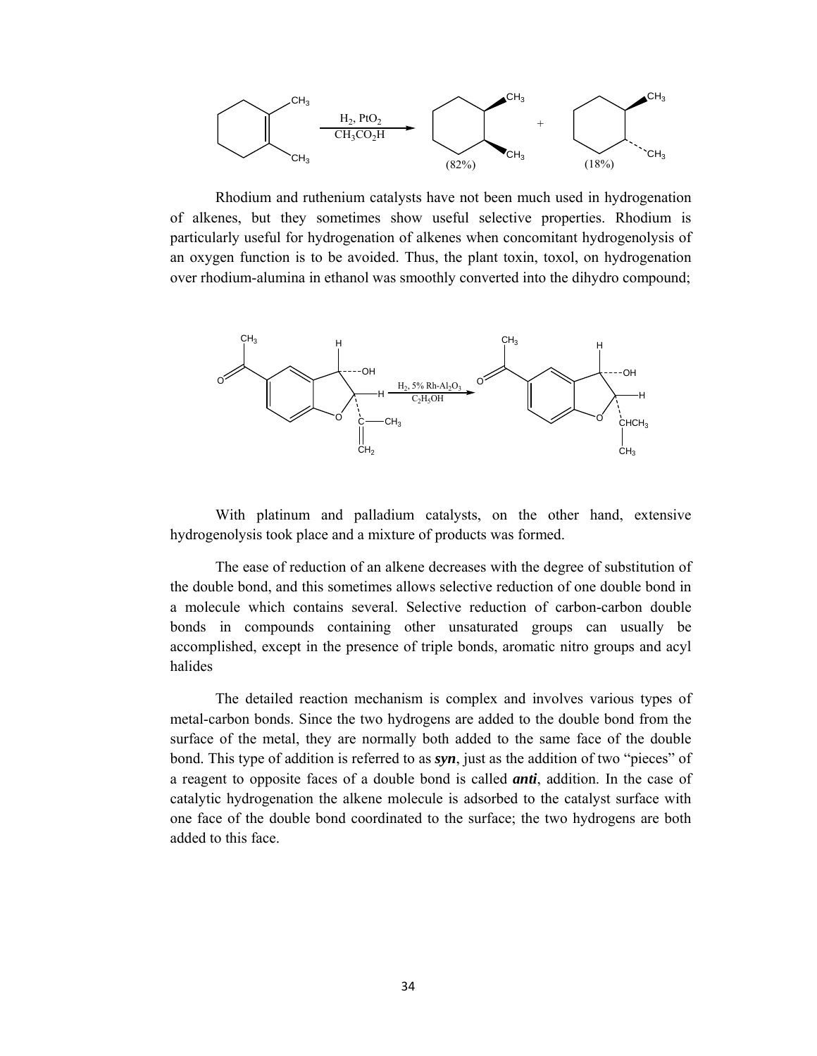

 Rhodium and ruthenium catalysts have not been much used in hydrogenation of alkenes, but they sometimes show useful selective properties. Rhodium is particularly useful for hydrogenation of alkenes when concomitant hydrogenolysis of an oxygen function is to be avoided. Thus, the plant toxin, toxol, on hydrogenation over rhodium-alumina in ethanol was smoothly converted into the dihydro compound;



With platinum and palladium catalysts, on the other hand, extensive hydrogenolysis took place and a mixture of products was formed.

 The ease of reduction of an alkene decreases with the degree of substitution of the double bond, and this sometimes allows selective reduction of one double bond in a molecule which contains several. Selective reduction of carbon-carbon double bonds in compounds containing other unsaturated groups can usually be accomplished, except in the presence of triple bonds, aromatic nitro groups and acyl halides

 The detailed reaction mechanism is complex and involves various types of metal-carbon bonds. Since the two hydrogens are added to the double bond from the surface of the metal, they are normally both added to the same face of the double bond. This type of addition is referred to as *syn*, just as the addition of two "pieces" of a reagent to opposite faces of a double bond is called *anti*, addition. In the case of catalytic hydrogenation the alkene molecule is adsorbed to the catalyst surface with one face of the double bond coordinated to the surface; the two hydrogens are both added to this face.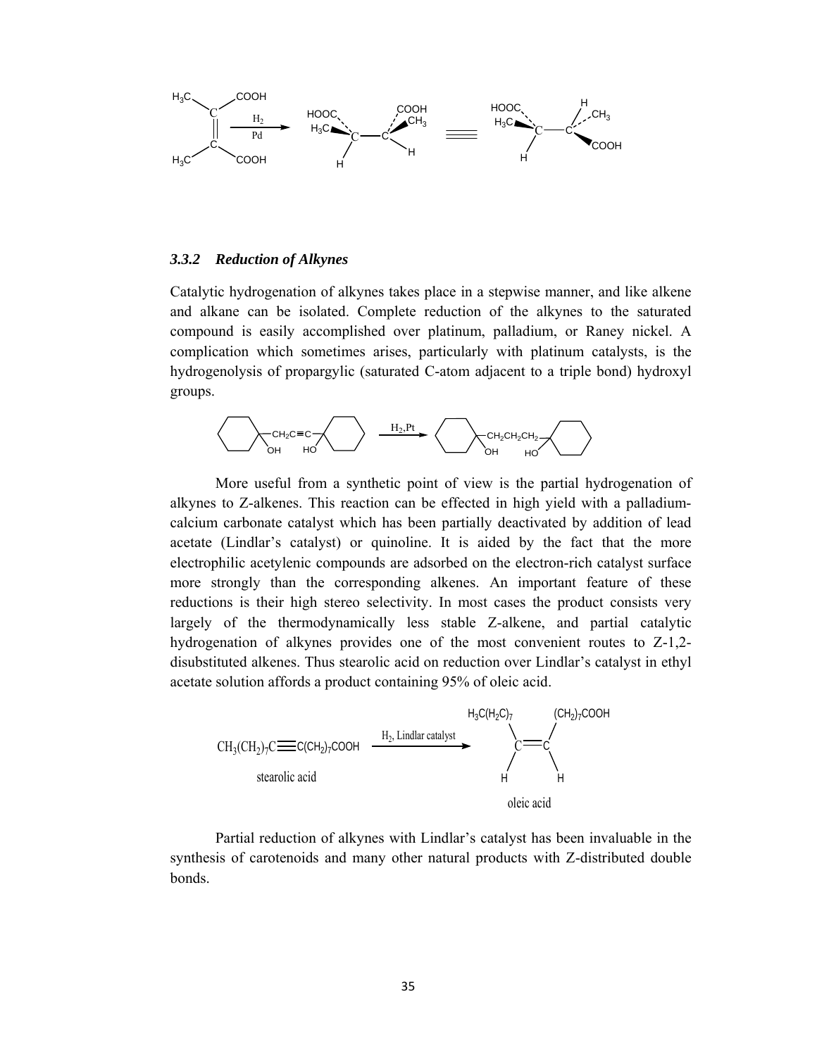

#### *3.3.2 Reduction of Alkynes*

Catalytic hydrogenation of alkynes takes place in a stepwise manner, and like alkene and alkane can be isolated. Complete reduction of the alkynes to the saturated compound is easily accomplished over platinum, palladium, or Raney nickel. A complication which sometimes arises, particularly with platinum catalysts, is the hydrogenolysis of propargylic (saturated C-atom adjacent to a triple bond) hydroxyl groups.



 More useful from a synthetic point of view is the partial hydrogenation of alkynes to Z-alkenes. This reaction can be effected in high yield with a palladiumcalcium carbonate catalyst which has been partially deactivated by addition of lead acetate (Lindlar's catalyst) or quinoline. It is aided by the fact that the more electrophilic acetylenic compounds are adsorbed on the electron-rich catalyst surface more strongly than the corresponding alkenes. An important feature of these reductions is their high stereo selectivity. In most cases the product consists very largely of the thermodynamically less stable Z-alkene, and partial catalytic hydrogenation of alkynes provides one of the most convenient routes to Z-1,2 disubstituted alkenes. Thus stearolic acid on reduction over Lindlar's catalyst in ethyl acetate solution affords a product containing 95% of oleic acid.



 Partial reduction of alkynes with Lindlar's catalyst has been invaluable in the synthesis of carotenoids and many other natural products with Z-distributed double bonds.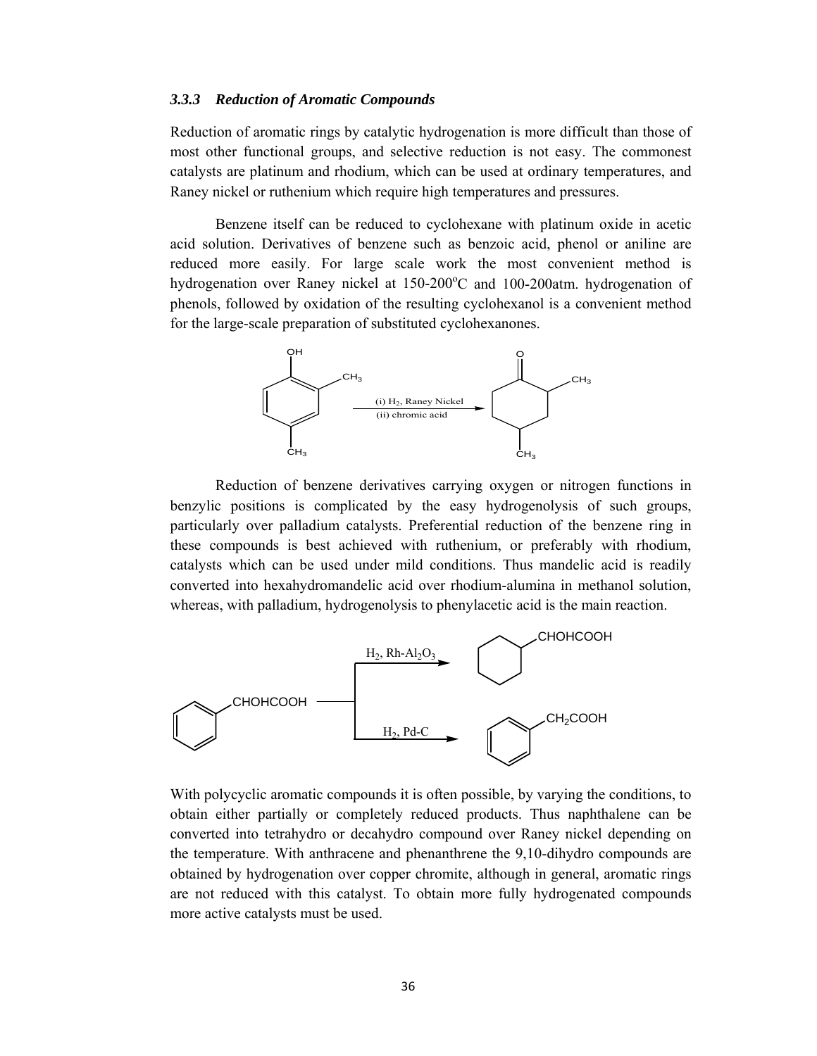#### *3.3.3 Reduction of Aromatic Compounds*

Reduction of aromatic rings by catalytic hydrogenation is more difficult than those of most other functional groups, and selective reduction is not easy. The commonest catalysts are platinum and rhodium, which can be used at ordinary temperatures, and Raney nickel or ruthenium which require high temperatures and pressures.

 Benzene itself can be reduced to cyclohexane with platinum oxide in acetic acid solution. Derivatives of benzene such as benzoic acid, phenol or aniline are reduced more easily. For large scale work the most convenient method is hydrogenation over Raney nickel at 150-200°C and 100-200atm. hydrogenation of phenols, followed by oxidation of the resulting cyclohexanol is a convenient method for the large-scale preparation of substituted cyclohexanones.



 Reduction of benzene derivatives carrying oxygen or nitrogen functions in benzylic positions is complicated by the easy hydrogenolysis of such groups, particularly over palladium catalysts. Preferential reduction of the benzene ring in these compounds is best achieved with ruthenium, or preferably with rhodium, catalysts which can be used under mild conditions. Thus mandelic acid is readily converted into hexahydromandelic acid over rhodium-alumina in methanol solution, whereas, with palladium, hydrogenolysis to phenylacetic acid is the main reaction.



With polycyclic aromatic compounds it is often possible, by varying the conditions, to obtain either partially or completely reduced products. Thus naphthalene can be converted into tetrahydro or decahydro compound over Raney nickel depending on the temperature. With anthracene and phenanthrene the 9,10-dihydro compounds are obtained by hydrogenation over copper chromite, although in general, aromatic rings are not reduced with this catalyst. To obtain more fully hydrogenated compounds more active catalysts must be used.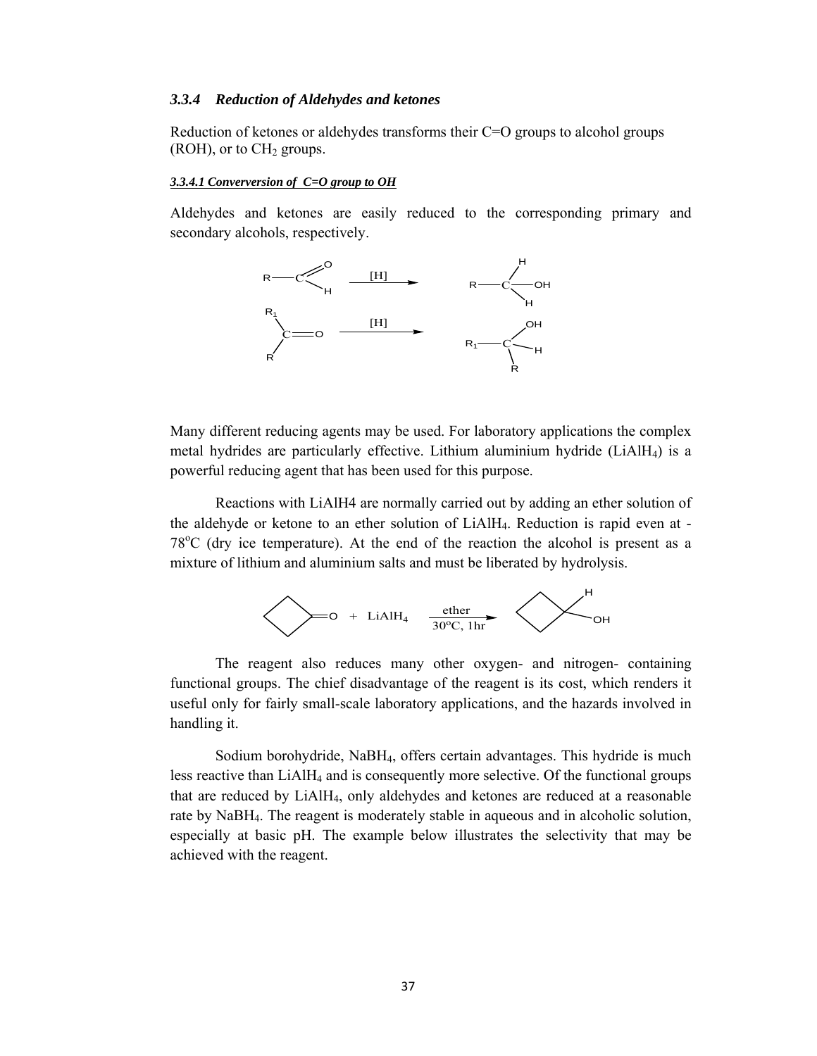#### *3.3.4 Reduction of Aldehydes and ketones*

Reduction of ketones or aldehydes transforms their C=O groups to alcohol groups  $(ROH)$ , or to  $CH<sub>2</sub>$  groups.

#### *3.3.4.1 Converversion of C=O group to OH*

Aldehydes and ketones are easily reduced to the corresponding primary and secondary alcohols, respectively.



Many different reducing agents may be used. For laboratory applications the complex metal hydrides are particularly effective. Lithium aluminium hydride (LiAlH4) is a powerful reducing agent that has been used for this purpose.

 Reactions with LiAlH4 are normally carried out by adding an ether solution of the aldehyde or ketone to an ether solution of LiAlH4. Reduction is rapid even at - 78<sup>o</sup>C (dry ice temperature). At the end of the reaction the alcohol is present as a mixture of lithium and aluminium salts and must be liberated by hydrolysis.



 The reagent also reduces many other oxygen- and nitrogen- containing functional groups. The chief disadvantage of the reagent is its cost, which renders it useful only for fairly small-scale laboratory applications, and the hazards involved in handling it.

 Sodium borohydride, NaBH4, offers certain advantages. This hydride is much less reactive than LiAlH<sub>4</sub> and is consequently more selective. Of the functional groups that are reduced by LiAlH4, only aldehydes and ketones are reduced at a reasonable rate by NaBH4. The reagent is moderately stable in aqueous and in alcoholic solution, especially at basic pH. The example below illustrates the selectivity that may be achieved with the reagent.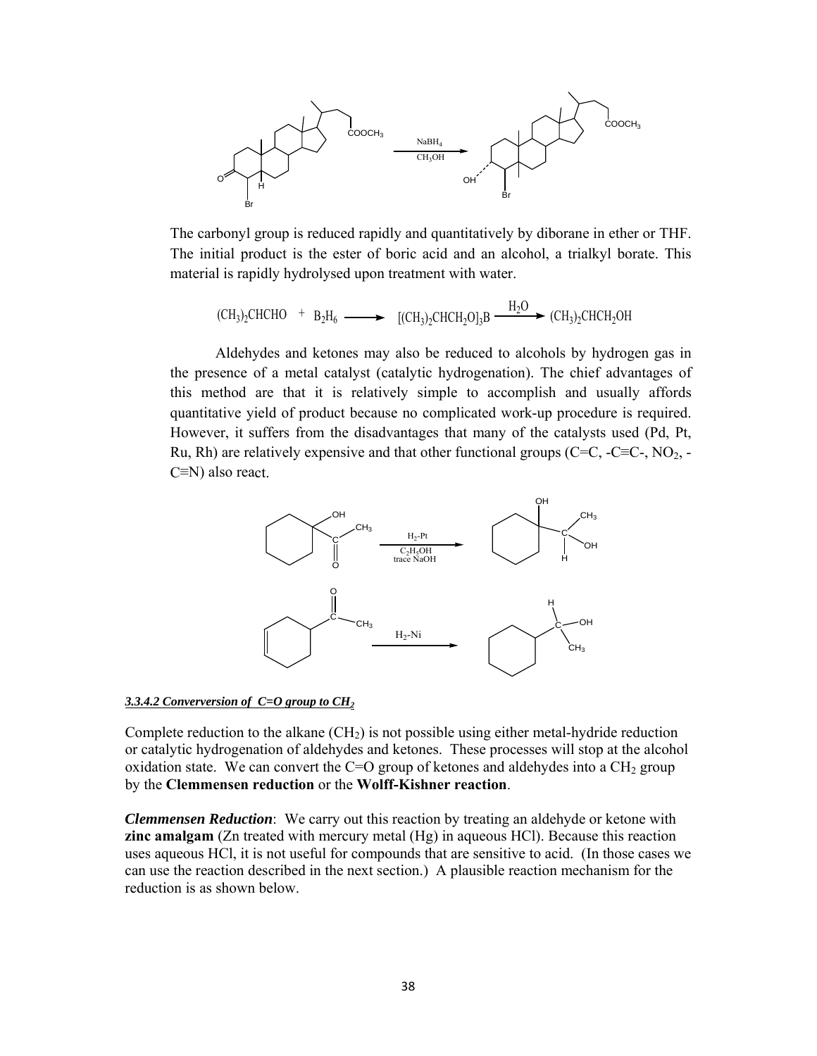

The carbonyl group is reduced rapidly and quantitatively by diborane in ether or THF. The initial product is the ester of boric acid and an alcohol, a trialkyl borate. This material is rapidly hydrolysed upon treatment with water.

$$
(\text{CH}_3)_2\text{CHCHO} + \text{B}_2\text{H}_6 \longrightarrow [(\text{CH}_3)_2\text{CHCH}_2\text{O}]_3\text{B} \xrightarrow{\text{H}_2\text{O}} (\text{CH}_3)_2\text{CHCH}_2\text{OH}
$$

 Aldehydes and ketones may also be reduced to alcohols by hydrogen gas in the presence of a metal catalyst (catalytic hydrogenation). The chief advantages of this method are that it is relatively simple to accomplish and usually affords quantitative yield of product because no complicated work-up procedure is required. However, it suffers from the disadvantages that many of the catalysts used (Pd, Pt, Ru, Rh) are relatively expensive and that other functional groups ( $C=C, -C=C$ ,  $NO<sub>2</sub>$ , C≡N) also react.



#### *3.3.4.2 Converversion of C=O group to CH2*

Complete reduction to the alkane  $(CH<sub>2</sub>)$  is not possible using either metal-hydride reduction or catalytic hydrogenation of aldehydes and ketones. These processes will stop at the alcohol oxidation state. We can convert the C=O group of ketones and aldehydes into a  $CH<sub>2</sub>$  group by the **Clemmensen reduction** or the **Wolff-Kishner reaction**.

*Clemmensen Reduction*: We carry out this reaction by treating an aldehyde or ketone with **zinc amalgam** (Zn treated with mercury metal (Hg) in aqueous HCl). Because this reaction uses aqueous HCl, it is not useful for compounds that are sensitive to acid. (In those cases we can use the reaction described in the next section.) A plausible reaction mechanism for the reduction is as shown below.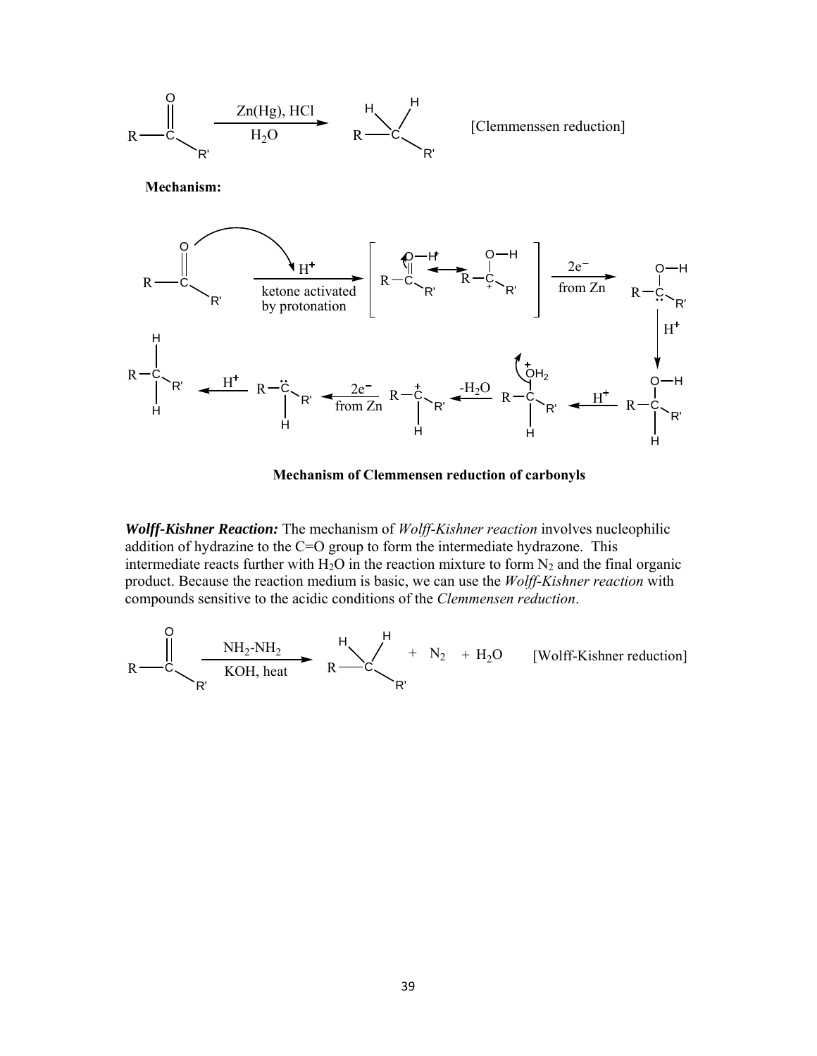

**Mechanism of Clemmensen reduction of carbonyls**

*Wolff-Kishner Reaction:* The mechanism of *Wolff-Kishner reaction* involves nucleophilic addition of hydrazine to the C=O group to form the intermediate hydrazone. This intermediate reacts further with  $H_2O$  in the reaction mixture to form  $N_2$  and the final organic product. Because the reaction medium is basic, we can use the *Wolff-Kishner reaction* with compounds sensitive to the acidic conditions of the *Clemmensen reduction*.

$$
R \xrightarrow{\text{NH}_2-NH_2} R \xrightarrow{\text{NH}_2-NH_2} R \xrightarrow{\text{H}} R'
$$
<sup>+</sup> N<sub>2</sub> + H<sub>2</sub>O [Wolff-Kishner reduction]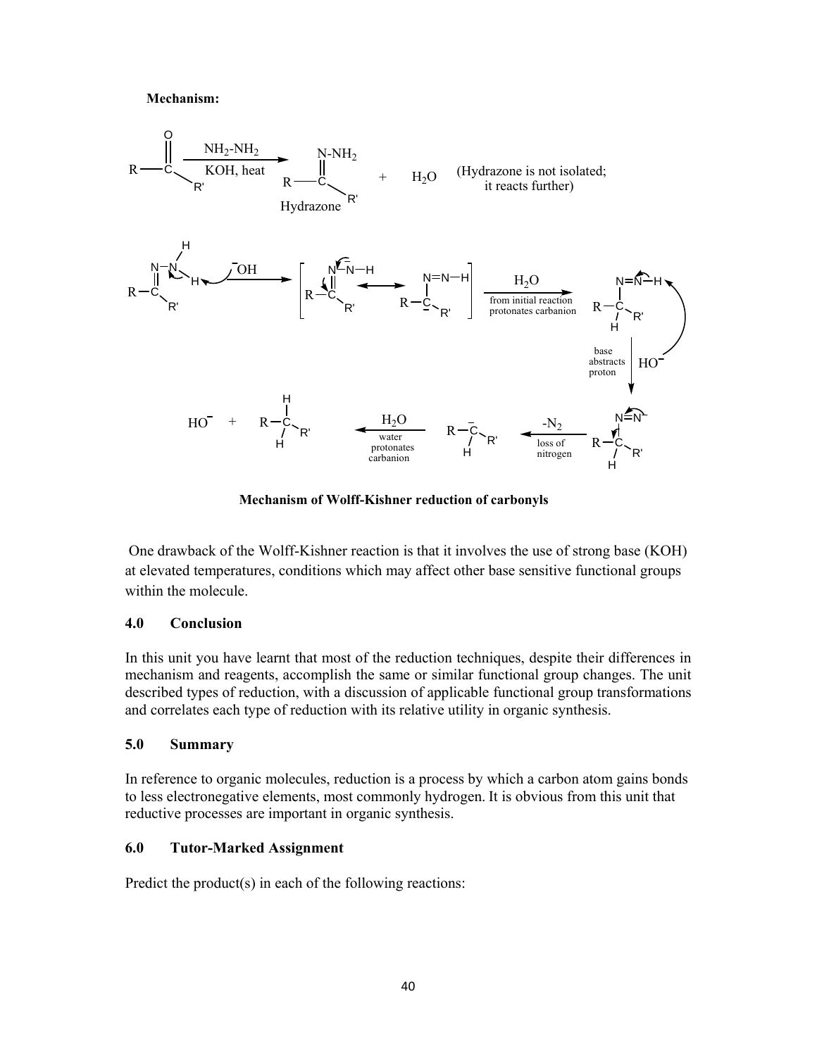### **Mechanism:**



**Mechanism of Wolff-Kishner reduction of carbonyls**

 One drawback of the Wolff-Kishner reaction is that it involves the use of strong base (KOH) at elevated temperatures, conditions which may affect other base sensitive functional groups within the molecule.

### **4.0 Conclusion**

In this unit you have learnt that most of the reduction techniques, despite their differences in mechanism and reagents, accomplish the same or similar functional group changes. The unit described types of reduction, with a discussion of applicable functional group transformations and correlates each type of reduction with its relative utility in organic synthesis.

# **5.0 Summary**

In reference to organic molecules, reduction is a process by which a carbon atom gains bonds to less electronegative elements, most commonly hydrogen. It is obvious from this unit that reductive processes are important in organic synthesis.

# **6.0 Tutor-Marked Assignment**

Predict the product(s) in each of the following reactions: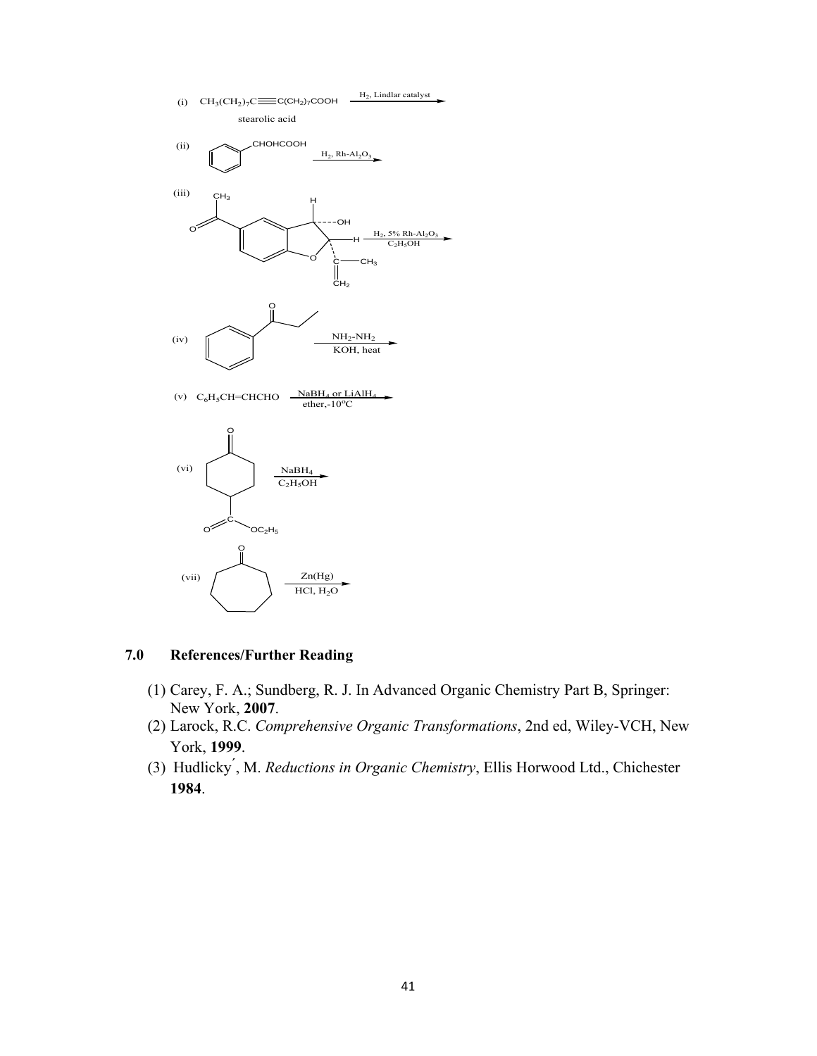

# **7.0 References/Further Reading**

- (1) Carey, F. A.; Sundberg, R. J. In Advanced Organic Chemistry Part B, Springer: New York, **2007**.
- (2) Larock, R.C. *Comprehensive Organic Transformations*, 2nd ed, Wiley-VCH, New York, **1999**.
- (3) Hudlicky ́, M. *Reductions in Organic Chemistry*, Ellis Horwood Ltd., Chichester **1984**.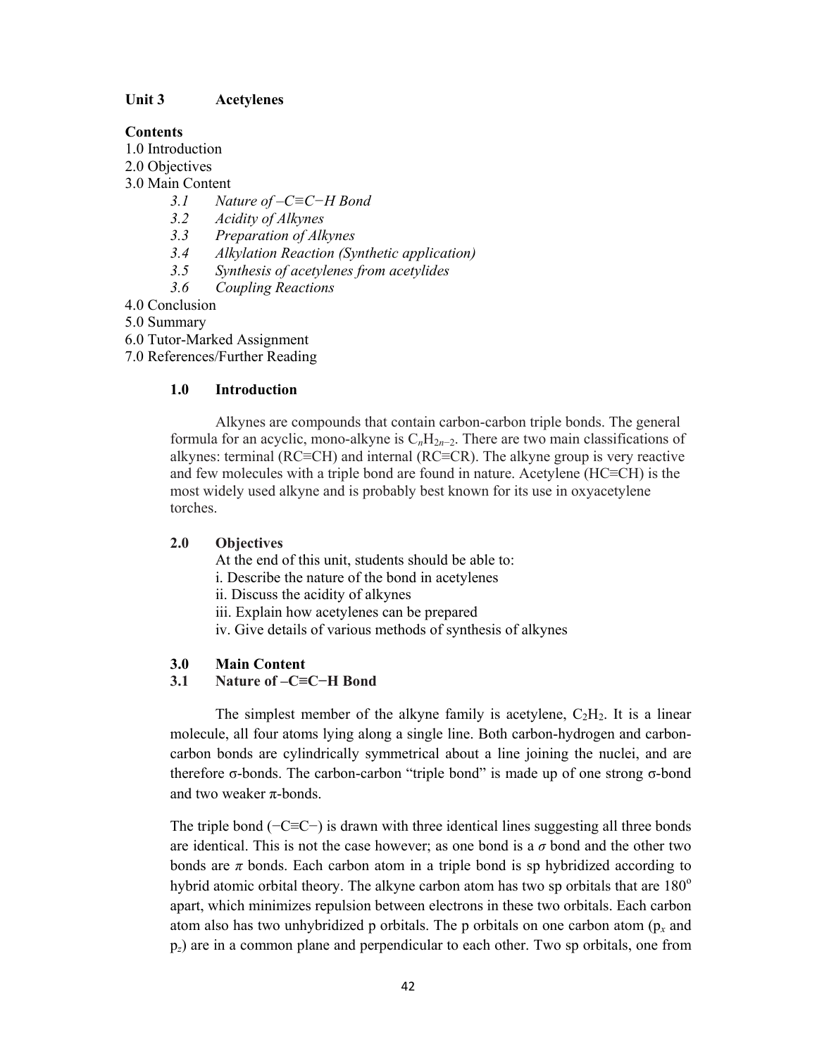# **Unit 3 Acetylenes**

# **Contents**

- 1.0 Introduction
- 2.0 Objectives
- 3.0 Main Content
	- *3.1 Nature of –C≡C−H Bond*
	- *3.2 Acidity of Alkynes*
	- *3.3 Preparation of Alkynes*
	- *3.4 Alkylation Reaction (Synthetic application)*
	- *3.5 Synthesis of acetylenes from acetylides*
	- *3.6 Coupling Reactions*
- 4.0 Conclusion

5.0 Summary

- 6.0 Tutor-Marked Assignment
- 7.0 References/Further Reading

# **1.0 Introduction**

Alkynes are compounds that contain carbon-carbon triple bonds. The general formula for an acyclic, mono-alkyne is  $C_nH_{2n-2}$ . There are two main classifications of alkynes: terminal (RC≡CH) and internal (RC≡CR). The alkyne group is very reactive and few molecules with a triple bond are found in nature. Acetylene (HC≡CH) is the most widely used alkyne and is probably best known for its use in oxyacetylene torches.

# **2.0 Objectives**

At the end of this unit, students should be able to:

- i. Describe the nature of the bond in acetylenes
- ii. Discuss the acidity of alkynes
- iii. Explain how acetylenes can be prepared
- iv. Give details of various methods of synthesis of alkynes

# **3.0 Main Content**

# **3.1 Nature of –C≡C−H Bond**

The simplest member of the alkyne family is acetylene,  $C_2H_2$ . It is a linear molecule, all four atoms lying along a single line. Both carbon-hydrogen and carboncarbon bonds are cylindrically symmetrical about a line joining the nuclei, and are therefore σ-bonds. The carbon-carbon "triple bond" is made up of one strong σ-bond and two weaker  $\pi$ -bonds.

The triple bond ( $-C \equiv C$ ) is drawn with three identical lines suggesting all three bonds are identical. This is not the case however; as one bond is a  $\sigma$  bond and the other two bonds are  $\pi$  bonds. Each carbon atom in a triple bond is sp hybridized according to hybrid atomic orbital theory. The alkyne carbon atom has two sp orbitals that are  $180^\circ$ apart, which minimizes repulsion between electrons in these two orbitals. Each carbon atom also has two unhybridized p orbitals. The p orbitals on one carbon atom (p*<sup>x</sup>* and p*z*) are in a common plane and perpendicular to each other. Two sp orbitals, one from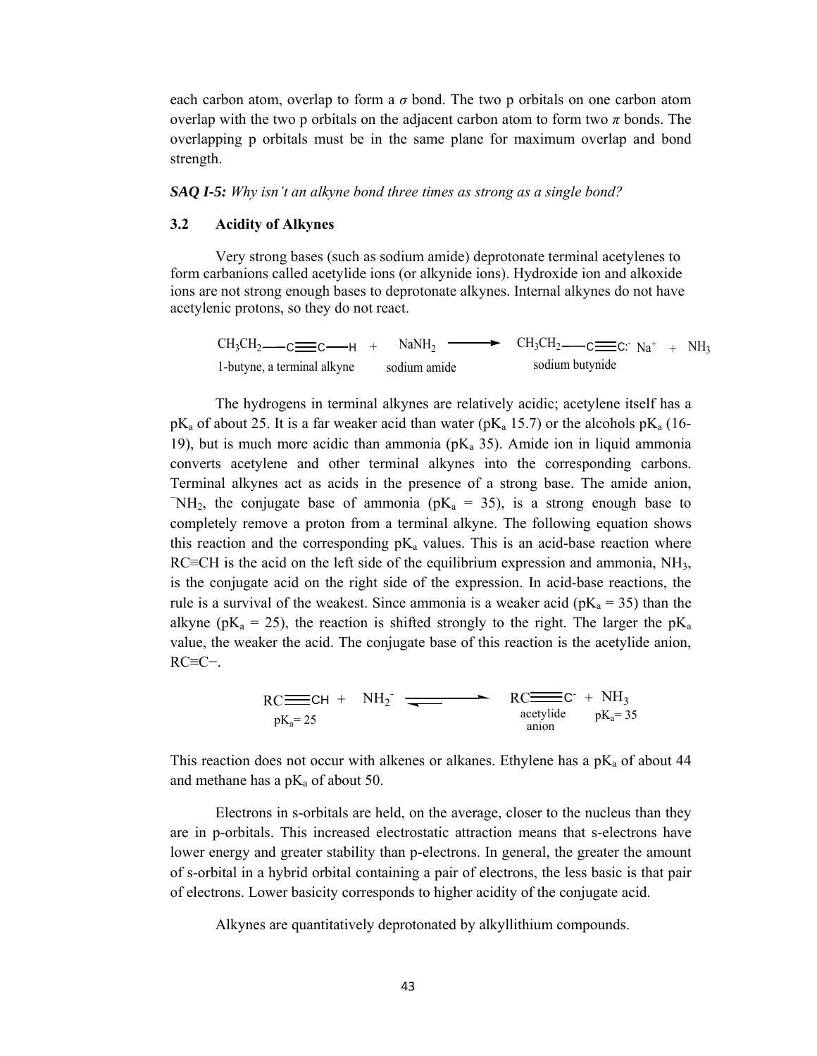each carbon atom, overlap to form a  $\sigma$  bond. The two p orbitals on one carbon atom overlap with the two p orbitals on the adjacent carbon atom to form two  $\pi$  bonds. The overlapping p orbitals must be in the same plane for maximum overlap and bond strength.

*SAQ I-5: Why isn't an alkyne bond three times as strong as a single bond?* 

#### **3.2 Acidity of Alkynes**

Very strong bases (such as sodium amide) deprotonate terminal acetylenes to form carbanions called acetylide ions (or alkynide ions). Hydroxide ion and alkoxide ions are not strong enough bases to deprotonate alkynes. Internal alkynes do not have acetylenic protons, so they do not react.

 $CH_3CH_2 \longrightarrow C \longrightarrow H + NaNH_2 \longrightarrow CH_3CH_2 \longrightarrow CH_3CH_2 \longrightarrow C \longrightarrow H_3$ 1-butyne, a terminal alkyne sodium amide sodium butynide

 The hydrogens in terminal alkynes are relatively acidic; acetylene itself has a  $pK_a$  of about 25. It is a far weaker acid than water ( $pK_a$  15.7) or the alcohols  $pK_a$  (16-19), but is much more acidic than ammonia ( $pK_a$  35). Amide ion in liquid ammonia converts acetylene and other terminal alkynes into the corresponding carbons. Terminal alkynes act as acids in the presence of a strong base. The amide anion,  $\text{NH}_2$ , the conjugate base of ammonia (pK<sub>a</sub> = 35), is a strong enough base to completely remove a proton from a terminal alkyne. The following equation shows this reaction and the corresponding  $pK_a$  values. This is an acid-base reaction where RC≡CH is the acid on the left side of the equilibrium expression and ammonia,  $NH<sub>3</sub>$ , is the conjugate acid on the right side of the expression. In acid-base reactions, the rule is a survival of the weakest. Since ammonia is a weaker acid ( $pK_a = 35$ ) than the alkyne ( $pK_a = 25$ ), the reaction is shifted strongly to the right. The larger the  $pK_a$ value, the weaker the acid. The conjugate base of this reaction is the acetylide anion, RC≡C−.

> $RC \equiv CH + NH_2$  $RC \equiv C + NH_3$  $pK_a = 25$  acetylide  $pK_a = 35$ <br>anion

This reaction does not occur with alkenes or alkanes. Ethylene has a  $pK_a$  of about 44 and methane has a  $pK_a$  of about 50.

 Electrons in s-orbitals are held, on the average, closer to the nucleus than they are in p-orbitals. This increased electrostatic attraction means that s-electrons have lower energy and greater stability than p-electrons. In general, the greater the amount of s-orbital in a hybrid orbital containing a pair of electrons, the less basic is that pair of electrons. Lower basicity corresponds to higher acidity of the conjugate acid.

Alkynes are quantitatively deprotonated by alkyllithium compounds.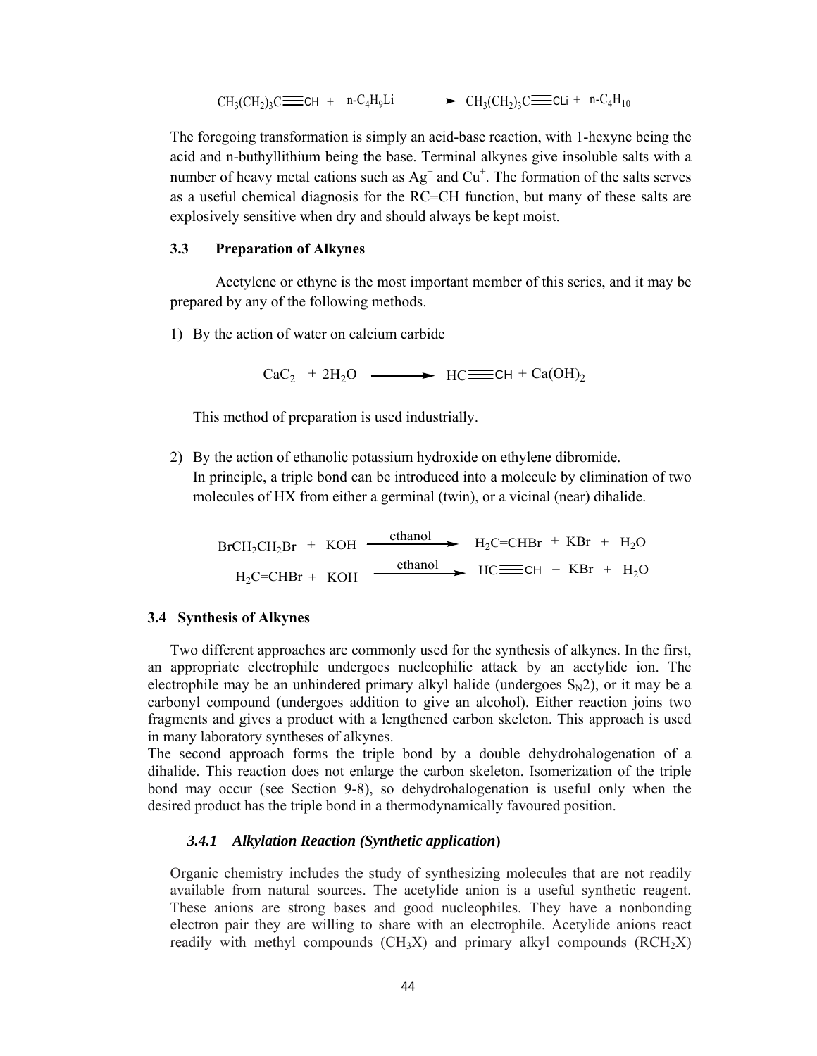$$
CH_3(CH_2)_3C \equiv \text{CH} + n-C_4H_9Li \longrightarrow CH_3(CH_2)_3C \equiv \text{CLi} + n-C_4H_{10}
$$

The foregoing transformation is simply an acid-base reaction, with 1-hexyne being the acid and n-buthyllithium being the base. Terminal alkynes give insoluble salts with a number of heavy metal cations such as  $Ag^+$  and  $Cu^+$ . The formation of the salts serves as a useful chemical diagnosis for the RC≡CH function, but many of these salts are explosively sensitive when dry and should always be kept moist.

# **3.3 Preparation of Alkynes**

 Acetylene or ethyne is the most important member of this series, and it may be prepared by any of the following methods.

1) By the action of water on calcium carbide

 $CaC_2$  + 2H<sub>2</sub>O  $\longrightarrow$  HC  $\equiv$  CH + Ca(OH)<sub>2</sub>

This method of preparation is used industrially.

2) By the action of ethanolic potassium hydroxide on ethylene dibromide. In principle, a triple bond can be introduced into a molecule by elimination of two molecules of HX from either a germinal (twin), or a vicinal (near) dihalide.

 $BrCH_2CH_2Br$  + KOH ethanol  $H_2C=CHBr$  + KBr + H<sub>2</sub>O  $H_2C=CHBr + KOH$   $\longrightarrow$   $HC \longrightarrow CH + KBr + H_2O$ 

#### **3.4 Synthesis of Alkynes**

Two different approaches are commonly used for the synthesis of alkynes. In the first, an appropriate electrophile undergoes nucleophilic attack by an acetylide ion. The electrophile may be an unhindered primary alkyl halide (undergoes  $S_N^2$ ), or it may be a carbonyl compound (undergoes addition to give an alcohol). Either reaction joins two fragments and gives a product with a lengthened carbon skeleton. This approach is used in many laboratory syntheses of alkynes.

The second approach forms the triple bond by a double dehydrohalogenation of a dihalide. This reaction does not enlarge the carbon skeleton. Isomerization of the triple bond may occur (see Section 9-8), so dehydrohalogenation is useful only when the desired product has the triple bond in a thermodynamically favoured position.

#### *3.4.1 Alkylation Reaction (Synthetic application***)**

Organic chemistry includes the study of synthesizing molecules that are not readily available from natural sources. The acetylide anion is a useful synthetic reagent. These anions are strong bases and good nucleophiles. They have a nonbonding electron pair they are willing to share with an electrophile. Acetylide anions react readily with methyl compounds  $(CH_3X)$  and primary alkyl compounds  $(RCH_2X)$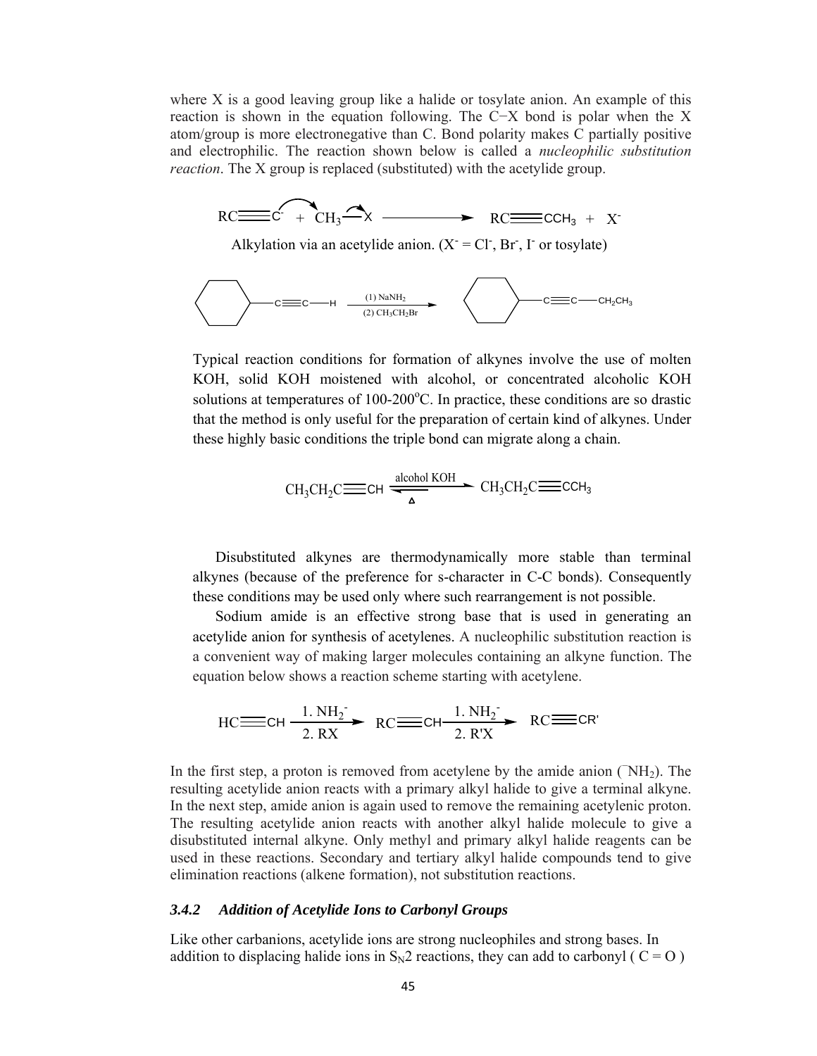where X is a good leaving group like a halide or tosylate anion. An example of this reaction is shown in the equation following. The C−X bond is polar when the X atom/group is more electronegative than C. Bond polarity makes C partially positive and electrophilic. The reaction shown below is called a *nucleophilic substitution reaction*. The X group is replaced (substituted) with the acetylide group.



Alkylation via an acetylide anion.  $(X = Cl^-, Br^-, I^-)$  or to sylate)



Typical reaction conditions for formation of alkynes involve the use of molten KOH, solid KOH moistened with alcohol, or concentrated alcoholic KOH solutions at temperatures of 100-200°C. In practice, these conditions are so drastic that the method is only useful for the preparation of certain kind of alkynes. Under these highly basic conditions the triple bond can migrate along a chain.

$$
CH_3CH_2C \equiv \text{CH} \xrightarrow{\text{alcohol KOH}} CH_3CH_2C \equiv \text{CCH}_3
$$

Disubstituted alkynes are thermodynamically more stable than terminal alkynes (because of the preference for s-character in C-C bonds). Consequently these conditions may be used only where such rearrangement is not possible.

 Sodium amide is an effective strong base that is used in generating an acetylide anion for synthesis of acetylenes. A nucleophilic substitution reaction is a convenient way of making larger molecules containing an alkyne function. The equation below shows a reaction scheme starting with acetylene.

$$
\text{HC} \equiv \text{CH} \xrightarrow{1. \text{NH}_2} \text{RC} \equiv \text{CH} \xrightarrow{1. \text{NH}_2} \text{RC} \equiv \text{CR'}
$$

In the first step, a proton is removed from acetylene by the amide anion  $(NH<sub>2</sub>)$ . The resulting acetylide anion reacts with a primary alkyl halide to give a terminal alkyne. In the next step, amide anion is again used to remove the remaining acetylenic proton. The resulting acetylide anion reacts with another alkyl halide molecule to give a disubstituted internal alkyne. Only methyl and primary alkyl halide reagents can be used in these reactions. Secondary and tertiary alkyl halide compounds tend to give elimination reactions (alkene formation), not substitution reactions.

# *3.4.2 Addition of Acetylide Ions to Carbonyl Groups*

Like other carbanions, acetylide ions are strong nucleophiles and strong bases. In addition to displacing halide ions in  $S_N2$  reactions, they can add to carbonyl ( C = O )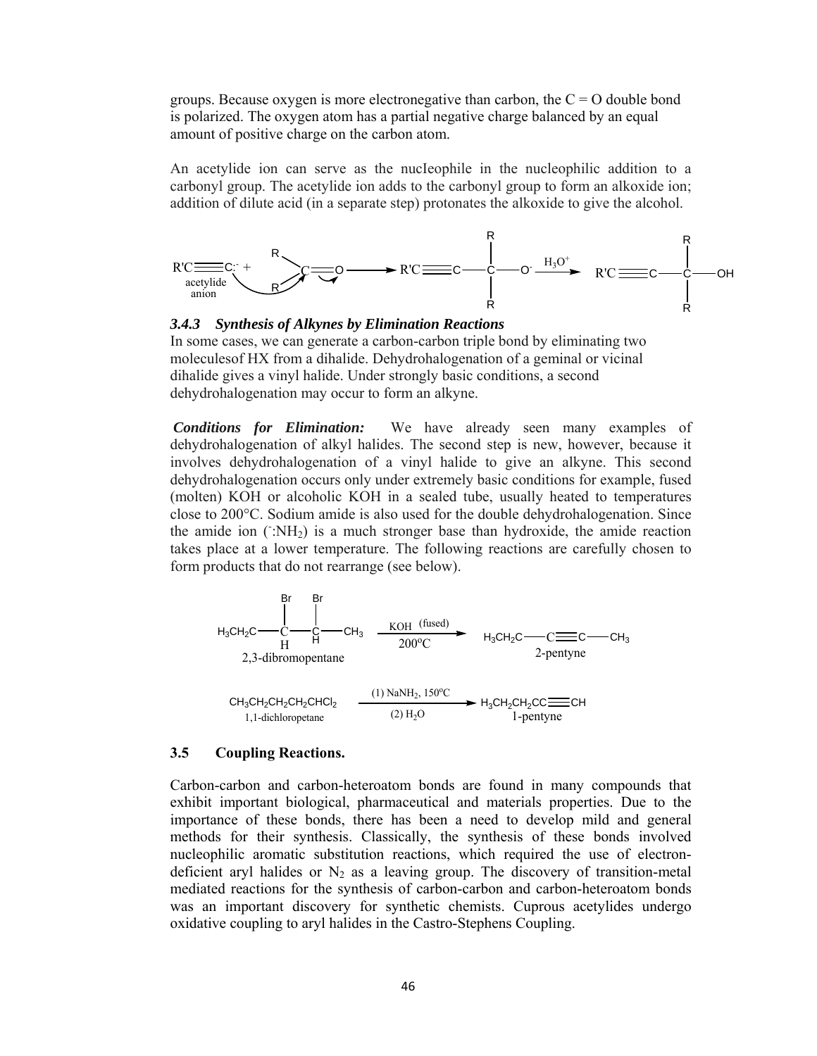groups. Because oxygen is more electronegative than carbon, the  $C = O$  double bond is polarized. The oxygen atom has a partial negative charge balanced by an equal amount of positive charge on the carbon atom.

An acetylide ion can serve as the nucIeophile in the nucleophilic addition to a carbonyl group. The acetylide ion adds to the carbonyl group to form an alkoxide ion; addition of dilute acid (in a separate step) protonates the alkoxide to give the alcohol.





In some cases, we can generate a carbon-carbon triple bond by eliminating two moleculesof HX from a dihalide. Dehydrohalogenation of a geminal or vicinal dihalide gives a vinyl halide. Under strongly basic conditions, a second dehydrohalogenation may occur to form an alkyne.

*Conditions for Elimination:* We have already seen many examples of dehydrohalogenation of alkyl halides. The second step is new, however, because it involves dehydrohalogenation of a vinyl halide to give an alkyne. This second dehydrohalogenation occurs only under extremely basic conditions for example, fused (molten) KOH or alcoholic KOH in a sealed tube, usually heated to temperatures close to 200°C. Sodium amide is also used for the double dehydrohalogenation. Since the amide ion  $(\hat{}$ :NH<sub>2</sub>) is a much stronger base than hydroxide, the amide reaction takes place at a lower temperature. The following reactions are carefully chosen to form products that do not rearrange (see below).



#### **3.5 Coupling Reactions.**

Carbon-carbon and carbon-heteroatom bonds are found in many compounds that exhibit important biological, pharmaceutical and materials properties. Due to the importance of these bonds, there has been a need to develop mild and general methods for their synthesis. Classically, the synthesis of these bonds involved nucleophilic aromatic substitution reactions, which required the use of electrondeficient aryl halides or  $N_2$  as a leaving group. The discovery of transition-metal mediated reactions for the synthesis of carbon-carbon and carbon-heteroatom bonds was an important discovery for synthetic chemists. Cuprous acetylides undergo oxidative coupling to aryl halides in the Castro-Stephens Coupling.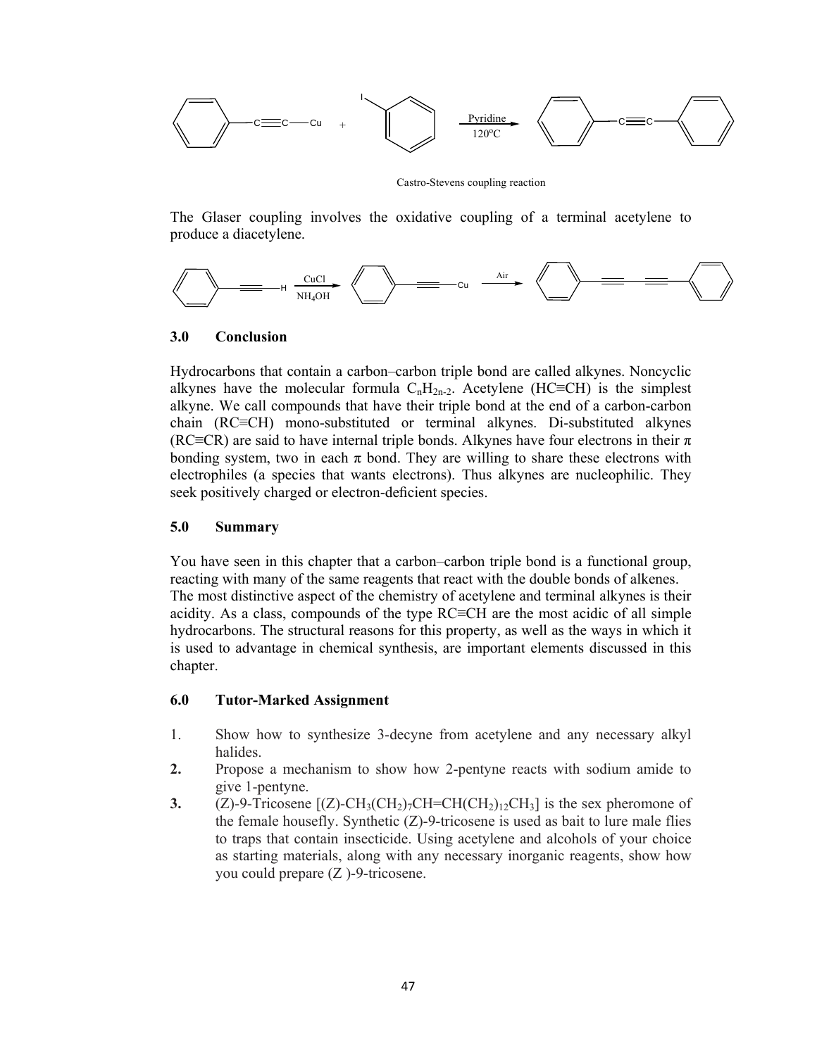

Castro-Stevens coupling reaction

The Glaser coupling involves the oxidative coupling of a terminal acetylene to produce a diacetylene.



# **3.0 Conclusion**

Hydrocarbons that contain a carbon–carbon triple bond are called alkynes. Noncyclic alkynes have the molecular formula  $C_nH_{2n-2}$ . Acetylene (HC≡CH) is the simplest alkyne. We call compounds that have their triple bond at the end of a carbon-carbon chain (RC≡CH) mono-substituted or terminal alkynes. Di-substituted alkynes (RC≡CR) are said to have internal triple bonds. Alkynes have four electrons in their  $\pi$ bonding system, two in each  $\pi$  bond. They are willing to share these electrons with electrophiles (a species that wants electrons). Thus alkynes are nucleophilic. They seek positively charged or electron-deficient species.

# **5.0 Summary**

You have seen in this chapter that a carbon–carbon triple bond is a functional group, reacting with many of the same reagents that react with the double bonds of alkenes. The most distinctive aspect of the chemistry of acetylene and terminal alkynes is their acidity. As a class, compounds of the type RC≡CH are the most acidic of all simple hydrocarbons. The structural reasons for this property, as well as the ways in which it is used to advantage in chemical synthesis, are important elements discussed in this chapter.

### **6.0 Tutor-Marked Assignment**

- 1. Show how to synthesize 3-decyne from acetylene and any necessary alkyl halides.
- **2.** Propose a mechanism to show how 2-pentyne reacts with sodium amide to give 1-pentyne.
- **3.** (Z)-9-Tricosene  $[(Z)$ -CH<sub>3</sub>(CH<sub>2</sub>)<sub>7</sub>CH=CH(CH<sub>2</sub>)<sub>12</sub>CH<sub>3</sub>] is the sex pheromone of the female housefly. Synthetic  $(Z)$ -9-tricosene is used as bait to lure male flies to traps that contain insecticide. Using acetylene and alcohols of your choice as starting materials, along with any necessary inorganic reagents, show how you could prepare (Z )-9-tricosene.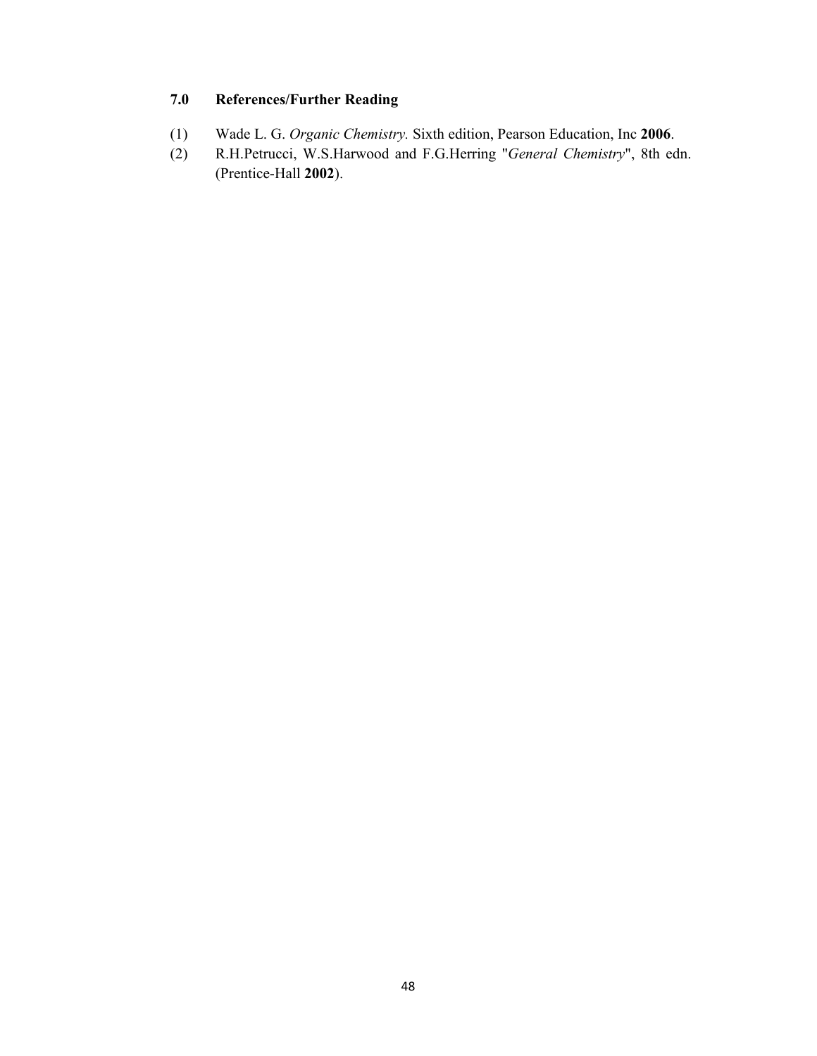# **7.0 References/Further Reading**

- (1) Wade L. G. *Organic Chemistry.* Sixth edition, Pearson Education, Inc **2006**.
- (2) R.H.Petrucci, W.S.Harwood and F.G.Herring "*General Chemistry*", 8th edn. (Prentice-Hall **2002**).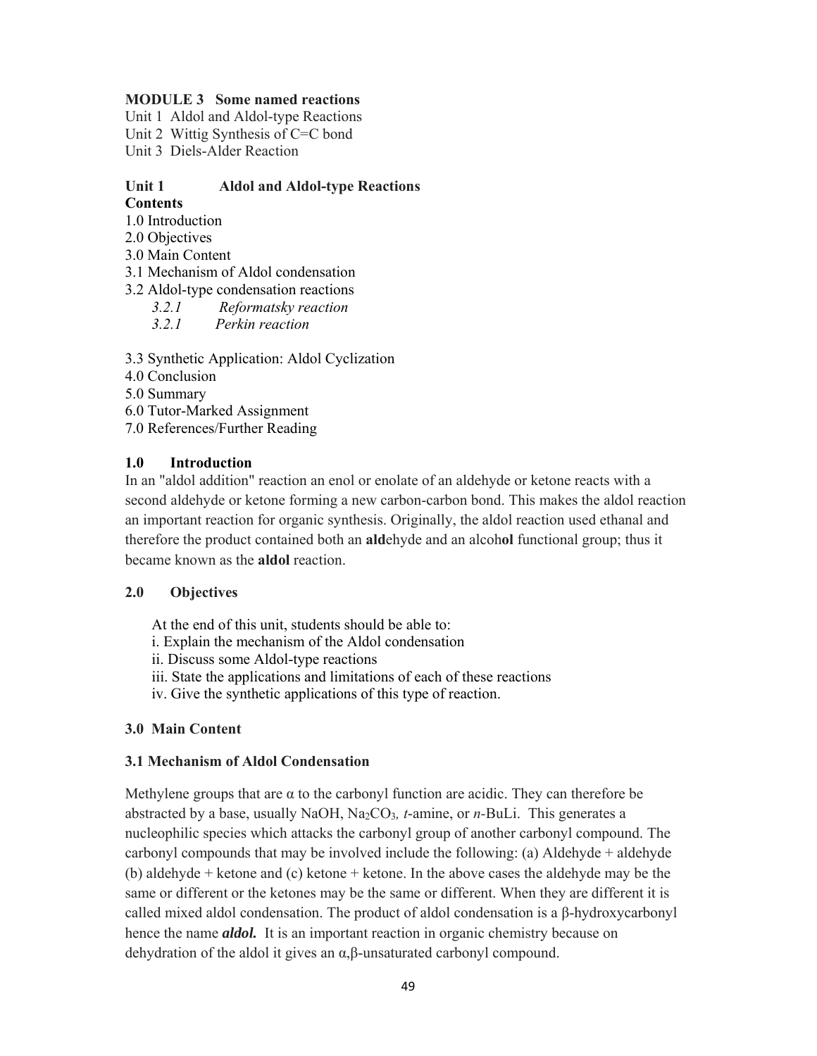# **MODULE 3 Some named reactions**

Unit 1 Aldol and Aldol-type Reactions

Unit 2 Wittig Synthesis of C=C bond

Unit 3 Diels-Alder Reaction

### **Unit 1 Aldol and Aldol-type Reactions Contents**

- 1.0 Introduction
- 2.0 Objectives
- 3.0 Main Content
- 3.1 Mechanism of Aldol condensation
- 3.2 Aldol-type condensation reactions
	- *3.2.1 Reformatsky reaction*
	- *3.2.1 Perkin reaction*

3.3 Synthetic Application: Aldol Cyclization

- 4.0 Conclusion
- 5.0 Summary
- 6.0 Tutor-Marked Assignment
- 7.0 References/Further Reading

# **1.0 Introduction**

In an "aldol addition" reaction an enol or enolate of an aldehyde or ketone reacts with a second aldehyde or ketone forming a new carbon-carbon bond. This makes the aldol reaction an important reaction for organic synthesis. Originally, the aldol reaction used ethanal and therefore the product contained both an **ald**ehyde and an alcoh**ol** functional group; thus it became known as the **aldol** reaction.

# **2.0 Objectives**

At the end of this unit, students should be able to:

- i. Explain the mechanism of the Aldol condensation
- ii. Discuss some Aldol-type reactions
- iii. State the applications and limitations of each of these reactions
- iv. Give the synthetic applications of this type of reaction.

# **3.0 Main Content**

# **3.1 Mechanism of Aldol Condensation**

Methylene groups that are  $\alpha$  to the carbonyl function are acidic. They can therefore be abstracted by a base, usually NaOH, Na2CO3*, t*-amine, or *n-*BuLi. This generates a nucleophilic species which attacks the carbonyl group of another carbonyl compound. The carbonyl compounds that may be involved include the following: (a) Aldehyde + aldehyde (b) aldehyde + ketone and (c) ketone + ketone. In the above cases the aldehyde may be the same or different or the ketones may be the same or different. When they are different it is called mixed aldol condensation. The product of aldol condensation is a β-hydroxycarbonyl hence the name *aldol.* It is an important reaction in organic chemistry because on dehydration of the aldol it gives an α,β-unsaturated carbonyl compound.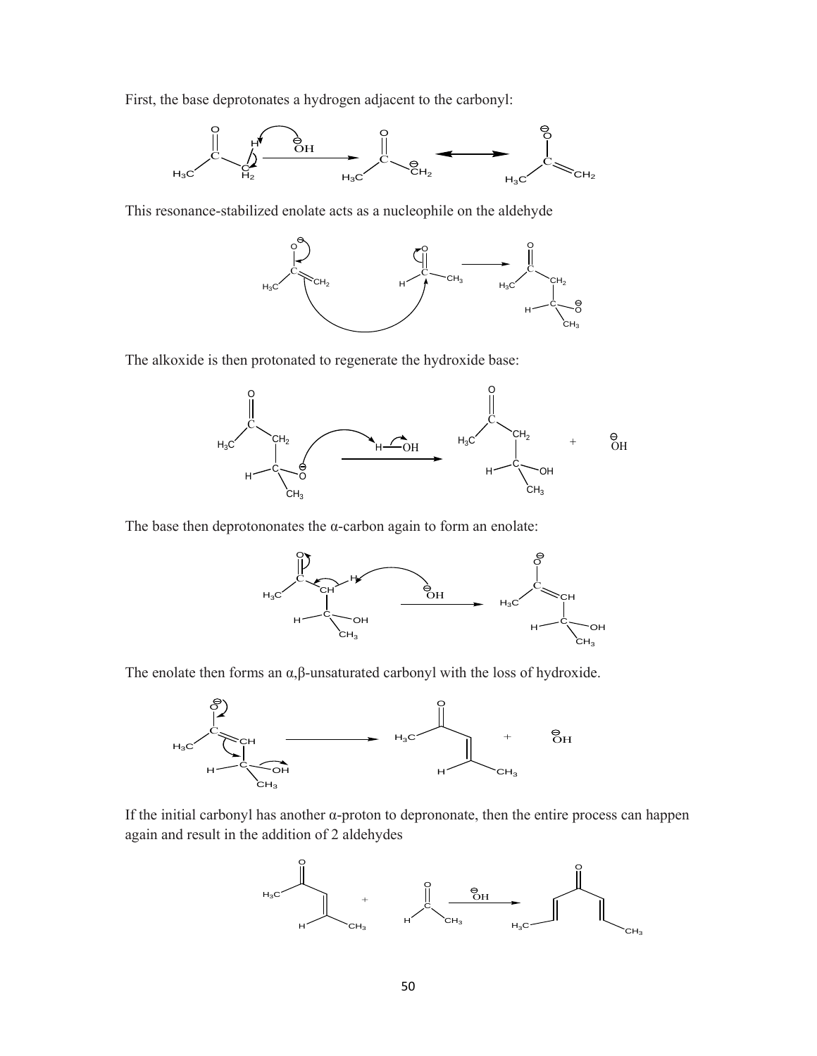First, the base deprotonates a hydrogen adjacent to the carbonyl:



This resonance-stabilized enolate acts as a nucleophile on the aldehyde



The alkoxide is then protonated to regenerate the hydroxide base:



The base then deprotononates the  $\alpha$ -carbon again to form an enolate:



The enolate then forms an  $\alpha, \beta$ -unsaturated carbonyl with the loss of hydroxide.



If the initial carbonyl has another α-proton to deprononate, then the entire process can happen again and result in the addition of 2 aldehydes

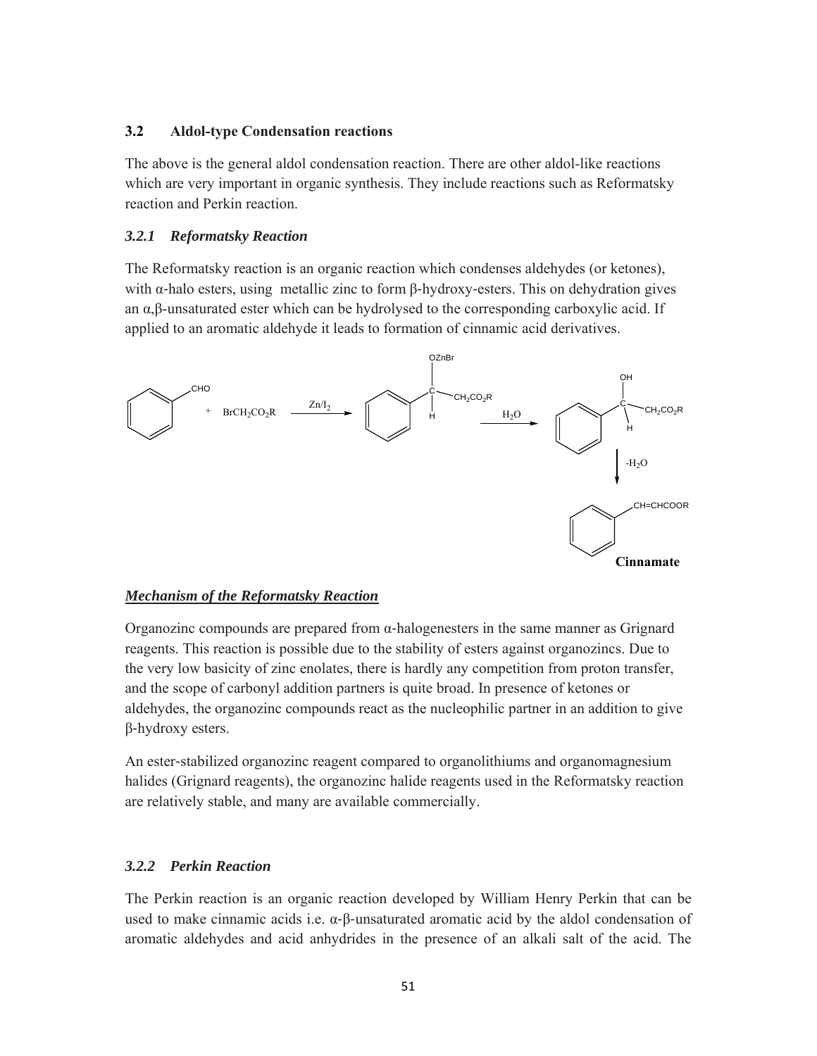# **3.2 Aldol-type Condensation reactions**

The above is the general aldol condensation reaction. There are other aldol-like reactions which are very important in organic synthesis. They include reactions such as Reformatsky reaction and Perkin reaction.

# *3.2.1 Reformatsky Reaction*

The Reformatsky reaction is an organic reaction which condenses aldehydes (or ketones), with  $\alpha$ -halo esters, using metallic zinc to form β-hydroxy-esters. This on dehydration gives an  $\alpha$ ,β-unsaturated ester which can be hydrolysed to the corresponding carboxylic acid. If applied to an aromatic aldehyde it leads to formation of cinnamic acid derivatives.



### *Mechanism of the Reformatsky Reaction*

Organozinc compounds are prepared from α‐halogenesters in the same manner as Grignard reagents. This reaction is possible due to the stability of esters against organozincs. Due to the very low basicity of zinc enolates, there is hardly any competition from proton transfer, and the scope of carbonyl addition partners is quite broad. In presence of ketones or aldehydes, the organozinc compounds react as the nucleophilic partner in an addition to give β‐hydroxy esters.

An ester‐stabilized organozinc reagent compared to organolithiums and organomagnesium halides (Grignard reagents), the organozinc halide reagents used in the Reformatsky reaction are relatively stable, and many are available commercially.

### *3.2.2 Perkin Reaction*

The Perkin reaction is an organic reaction developed by William Henry Perkin that can be used to make cinnamic acids i.e.  $\alpha$ -β-unsaturated aromatic acid by the aldol condensation of aromatic aldehydes and acid anhydrides in the presence of an alkali salt of the acid. The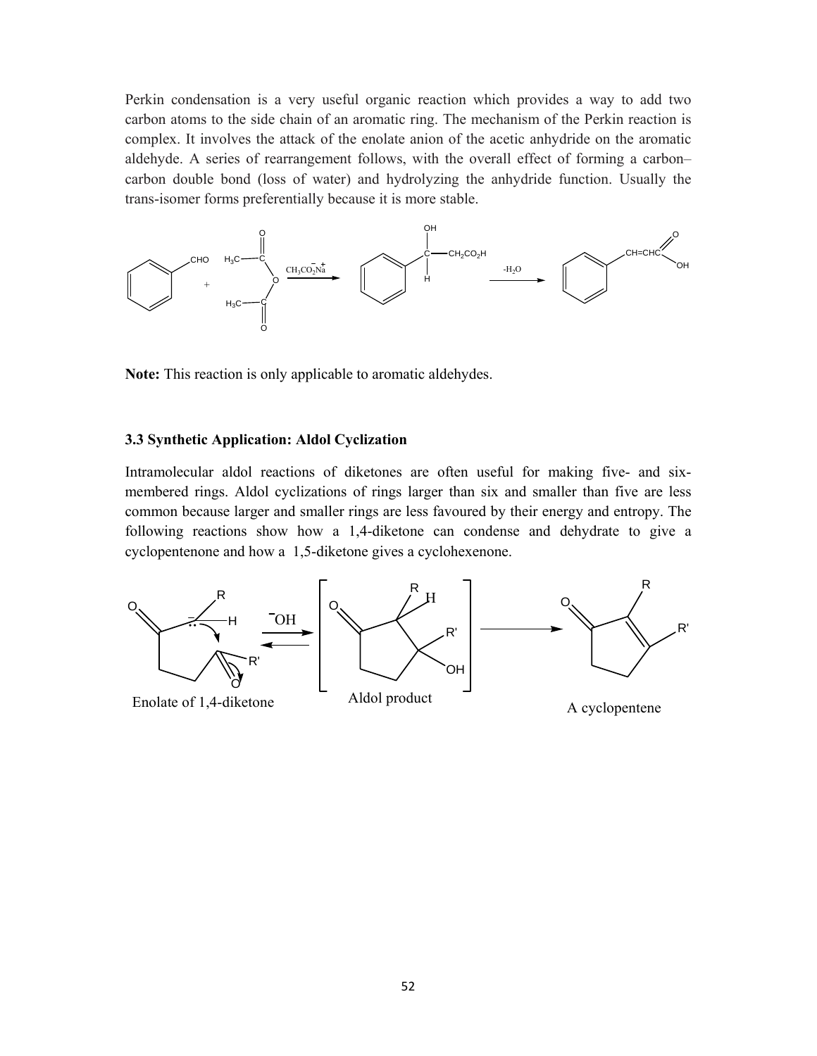Perkin condensation is a very useful organic reaction which provides a way to add two carbon atoms to the side chain of an aromatic ring. The mechanism of the Perkin reaction is complex. It involves the attack of the enolate anion of the acetic anhydride on the aromatic aldehyde. A series of rearrangement follows, with the overall effect of forming a carbon– carbon double bond (loss of water) and hydrolyzing the anhydride function. Usually the trans-isomer forms preferentially because it is more stable.



**Note:** This reaction is only applicable to aromatic aldehydes.

### **3.3 Synthetic Application: Aldol Cyclization**

Intramolecular aldol reactions of diketones are often useful for making five- and sixmembered rings. Aldol cyclizations of rings larger than six and smaller than five are less common because larger and smaller rings are less favoured by their energy and entropy. The following reactions show how a 1,4-diketone can condense and dehydrate to give a cyclopentenone and how a 1,5-diketone gives a cyclohexenone.

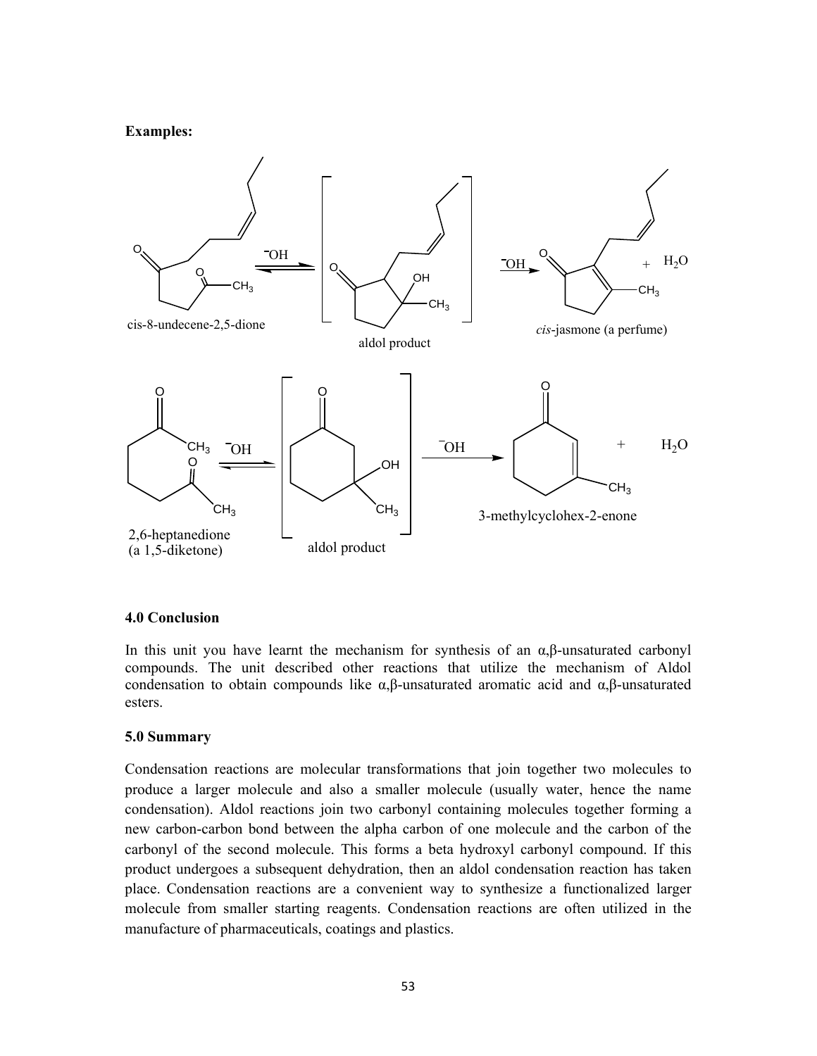### **Examples:**



#### **4.0 Conclusion**

In this unit you have learnt the mechanism for synthesis of an  $\alpha$ ,  $\beta$ -unsaturated carbonyl compounds. The unit described other reactions that utilize the mechanism of Aldol condensation to obtain compounds like α,β-unsaturated aromatic acid and α,β-unsaturated esters.

#### **5.0 Summary**

Condensation reactions are molecular transformations that join together two molecules to produce a larger molecule and also a smaller molecule (usually water, hence the name condensation). Aldol reactions join two carbonyl containing molecules together forming a new carbon-carbon bond between the alpha carbon of one molecule and the carbon of the carbonyl of the second molecule. This forms a beta hydroxyl carbonyl compound. If this product undergoes a subsequent dehydration, then an aldol condensation reaction has taken place. Condensation reactions are a convenient way to synthesize a functionalized larger molecule from smaller starting reagents. Condensation reactions are often utilized in the manufacture of pharmaceuticals, coatings and plastics.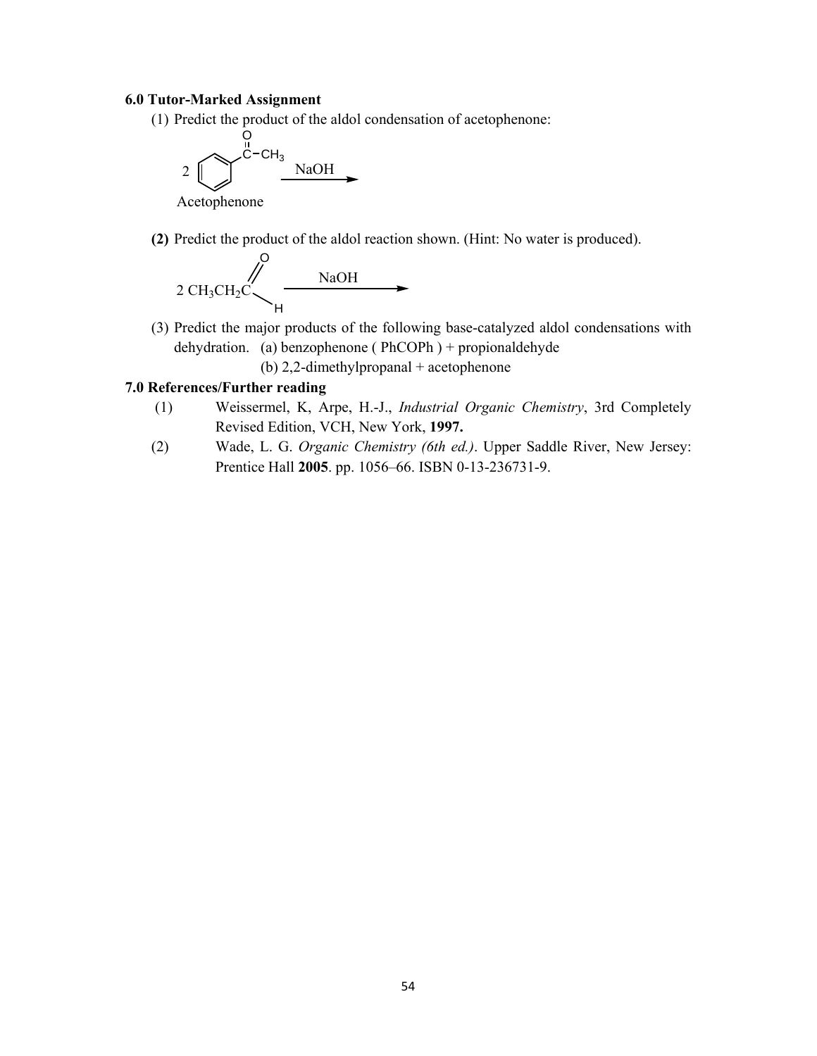### **6.0 Tutor-Marked Assignment**

(1) Predict the product of the aldol condensation of acetophenone:



**(2)** Predict the product of the aldol reaction shown. (Hint: No water is produced).



(3) Predict the major products of the following base-catalyzed aldol condensations with dehydration. (a) benzophenone ( PhCOPh ) + propionaldehyde

(b) 2,2-dimethylpropanal + acetophenone

### **7.0 References/Further reading**

- (1) Weissermel, K, Arpe, H.-J., *Industrial Organic Chemistry*, 3rd Completely Revised Edition, VCH, New York, **1997.**
- (2) Wade, L. G. *Organic Chemistry (6th ed.)*. Upper Saddle River, New Jersey: Prentice Hall **2005**. pp. 1056–66. ISBN 0-13-236731-9.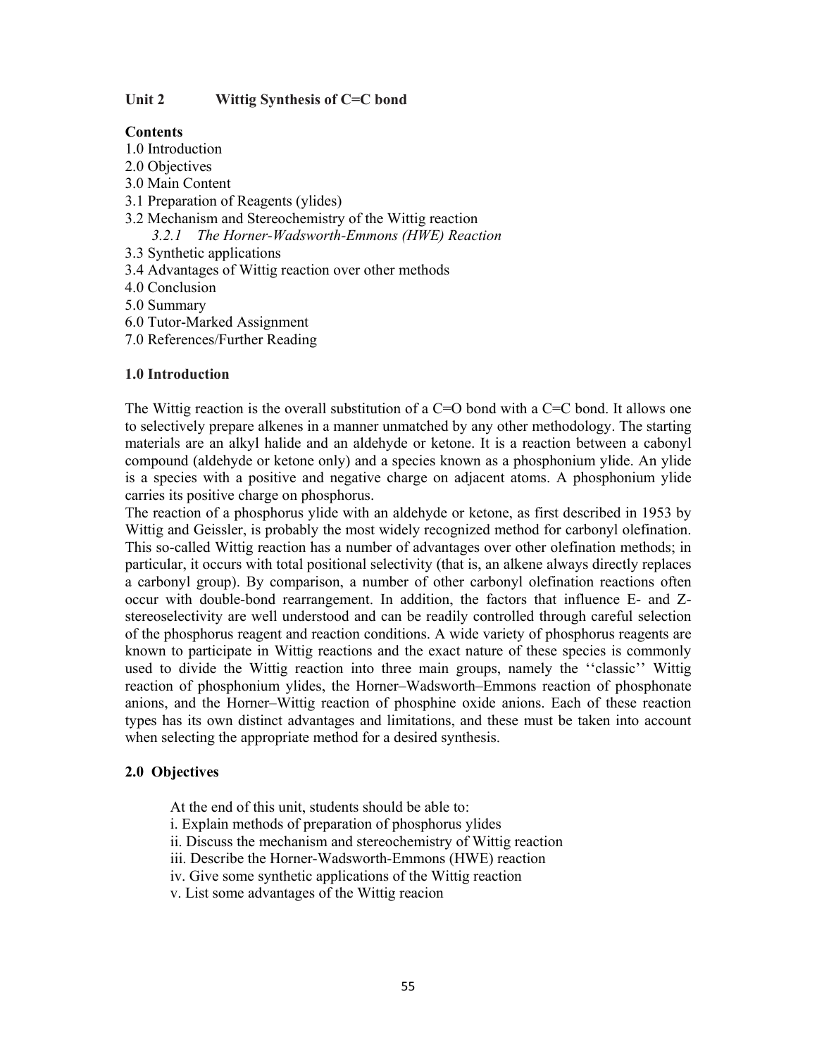### **Unit 2 Wittig Synthesis of C=C bond**

### **Contents**

- 1.0 Introduction
- 2.0 Objectives
- 3.0 Main Content
- 3.1 Preparation of Reagents (ylides)
- 3.2 Mechanism and Stereochemistry of the Wittig reaction
	- *3.2.1 The Horner-Wadsworth-Emmons (HWE) Reaction*
- 3.3 Synthetic applications
- 3.4 Advantages of Wittig reaction over other methods
- 4.0 Conclusion
- 5.0 Summary
- 6.0 Tutor-Marked Assignment
- 7.0 References/Further Reading

# **1.0 Introduction**

The Wittig reaction is the overall substitution of a  $C=O$  bond with a  $C=C$  bond. It allows one to selectively prepare alkenes in a manner unmatched by any other methodology. The starting materials are an alkyl halide and an aldehyde or ketone. It is a reaction between a cabonyl compound (aldehyde or ketone only) and a species known as a phosphonium ylide. An ylide is a species with a positive and negative charge on adjacent atoms. A phosphonium ylide carries its positive charge on phosphorus.

The reaction of a phosphorus ylide with an aldehyde or ketone, as first described in 1953 by Wittig and Geissler, is probably the most widely recognized method for carbonyl olefination. This so-called Wittig reaction has a number of advantages over other olefination methods; in particular, it occurs with total positional selectivity (that is, an alkene always directly replaces a carbonyl group). By comparison, a number of other carbonyl olefination reactions often occur with double-bond rearrangement. In addition, the factors that influence E- and Zstereoselectivity are well understood and can be readily controlled through careful selection of the phosphorus reagent and reaction conditions. A wide variety of phosphorus reagents are known to participate in Wittig reactions and the exact nature of these species is commonly used to divide the Wittig reaction into three main groups, namely the ''classic'' Wittig reaction of phosphonium ylides, the Horner–Wadsworth–Emmons reaction of phosphonate anions, and the Horner–Wittig reaction of phosphine oxide anions. Each of these reaction types has its own distinct advantages and limitations, and these must be taken into account when selecting the appropriate method for a desired synthesis.

### **2.0 Objectives**

At the end of this unit, students should be able to:

- i. Explain methods of preparation of phosphorus ylides
- ii. Discuss the mechanism and stereochemistry of Wittig reaction
- iii. Describe the Horner-Wadsworth-Emmons (HWE) reaction
- iv. Give some synthetic applications of the Wittig reaction
- v. List some advantages of the Wittig reacion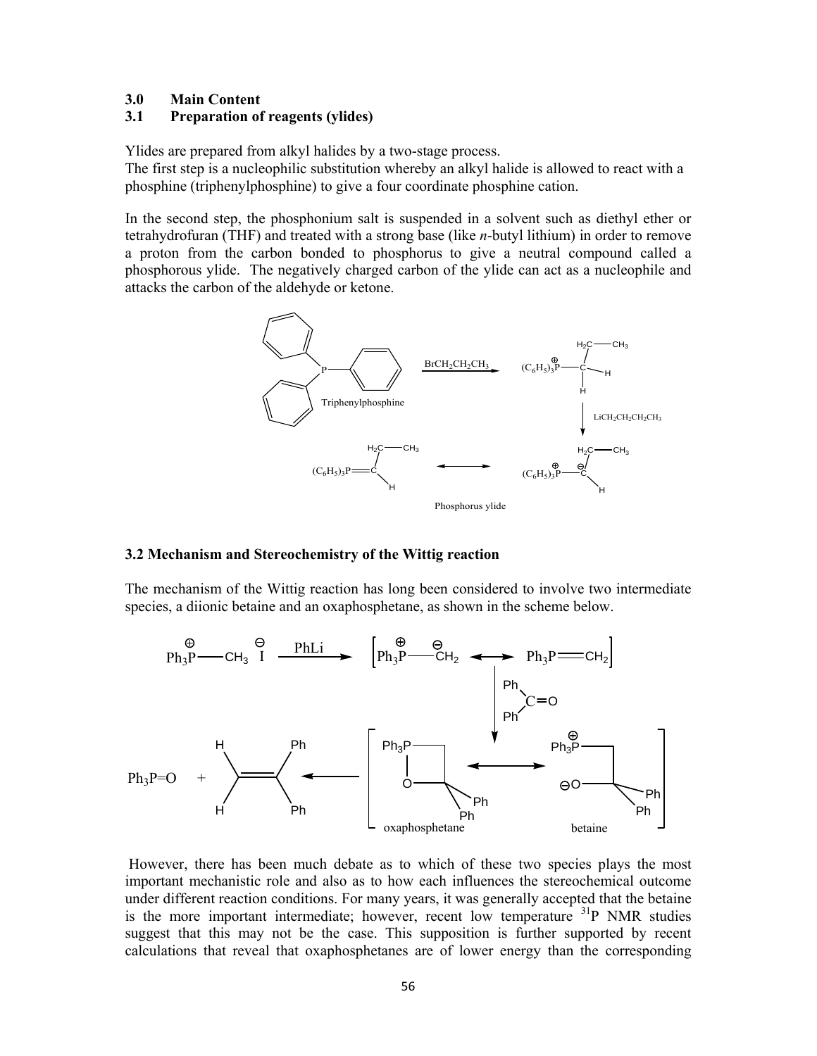#### **3.0 Main Content**

### **3.1 Preparation of reagents (ylides)**

Ylides are prepared from alkyl halides by a two-stage process.

The first step is a nucleophilic substitution whereby an alkyl halide is allowed to react with a phosphine (triphenylphosphine) to give a four coordinate phosphine cation.

In the second step, the phosphonium salt is suspended in a solvent such as diethyl ether or tetrahydrofuran (THF) and treated with a strong base (like *n*-butyl lithium) in order to remove a proton from the carbon bonded to phosphorus to give a neutral compound called a phosphorous ylide. The negatively charged carbon of the ylide can act as a nucleophile and attacks the carbon of the aldehyde or ketone.



#### **3.2 Mechanism and Stereochemistry of the Wittig reaction**

The mechanism of the Wittig reaction has long been considered to involve two intermediate species, a diionic betaine and an oxaphosphetane, as shown in the scheme below.



 However, there has been much debate as to which of these two species plays the most important mechanistic role and also as to how each influences the stereochemical outcome under different reaction conditions. For many years, it was generally accepted that the betaine is the more important intermediate; however, recent low temperature  $31P$  NMR studies suggest that this may not be the case. This supposition is further supported by recent calculations that reveal that oxaphosphetanes are of lower energy than the corresponding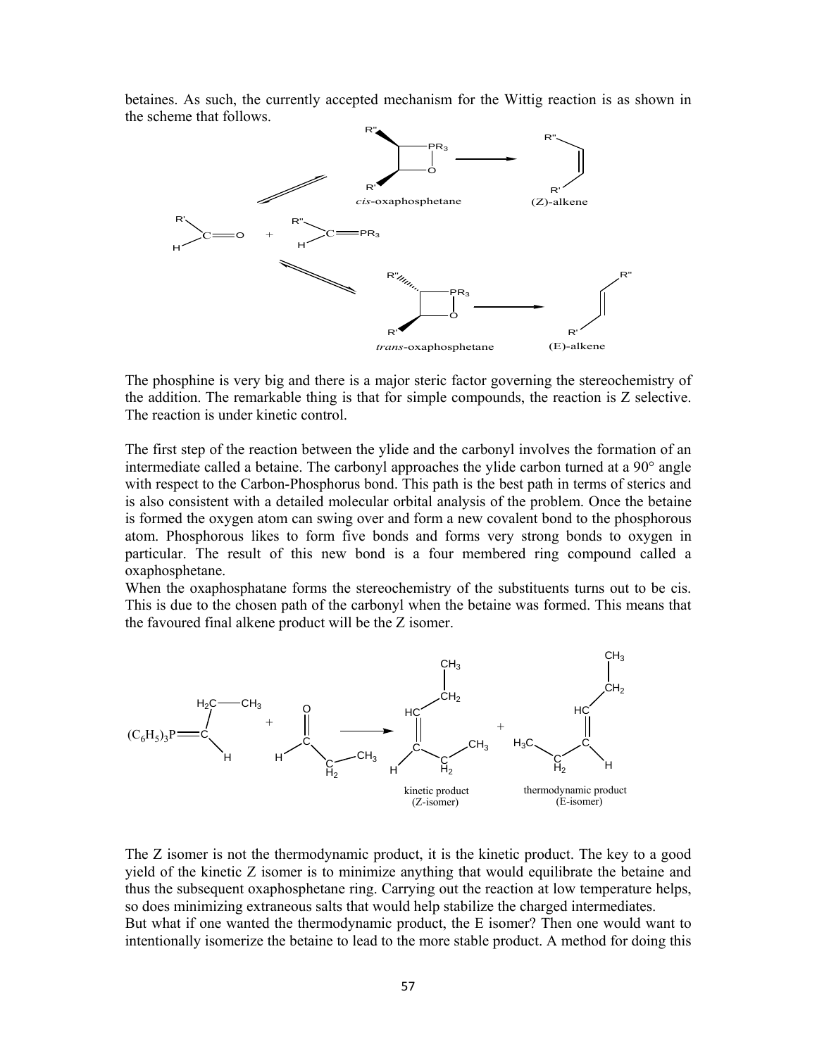betaines. As such, the currently accepted mechanism for the Wittig reaction is as shown in the scheme that follows.



The phosphine is very big and there is a major steric factor governing the stereochemistry of the addition. The remarkable thing is that for simple compounds, the reaction is Z selective. The reaction is under kinetic control.

The first step of the reaction between the ylide and the carbonyl involves the formation of an intermediate called a betaine. The carbonyl approaches the ylide carbon turned at a 90° angle with respect to the Carbon-Phosphorus bond. This path is the best path in terms of sterics and is also consistent with a detailed molecular orbital analysis of the problem. Once the betaine is formed the oxygen atom can swing over and form a new covalent bond to the phosphorous atom. Phosphorous likes to form five bonds and forms very strong bonds to oxygen in particular. The result of this new bond is a four membered ring compound called a oxaphosphetane.

When the oxaphosphatane forms the stereochemistry of the substituents turns out to be cis. This is due to the chosen path of the carbonyl when the betaine was formed. This means that the favoured final alkene product will be the Z isomer.



The Z isomer is not the thermodynamic product, it is the kinetic product. The key to a good yield of the kinetic Z isomer is to minimize anything that would equilibrate the betaine and thus the subsequent oxaphosphetane ring. Carrying out the reaction at low temperature helps, so does minimizing extraneous salts that would help stabilize the charged intermediates. But what if one wanted the thermodynamic product, the E isomer? Then one would want to intentionally isomerize the betaine to lead to the more stable product. A method for doing this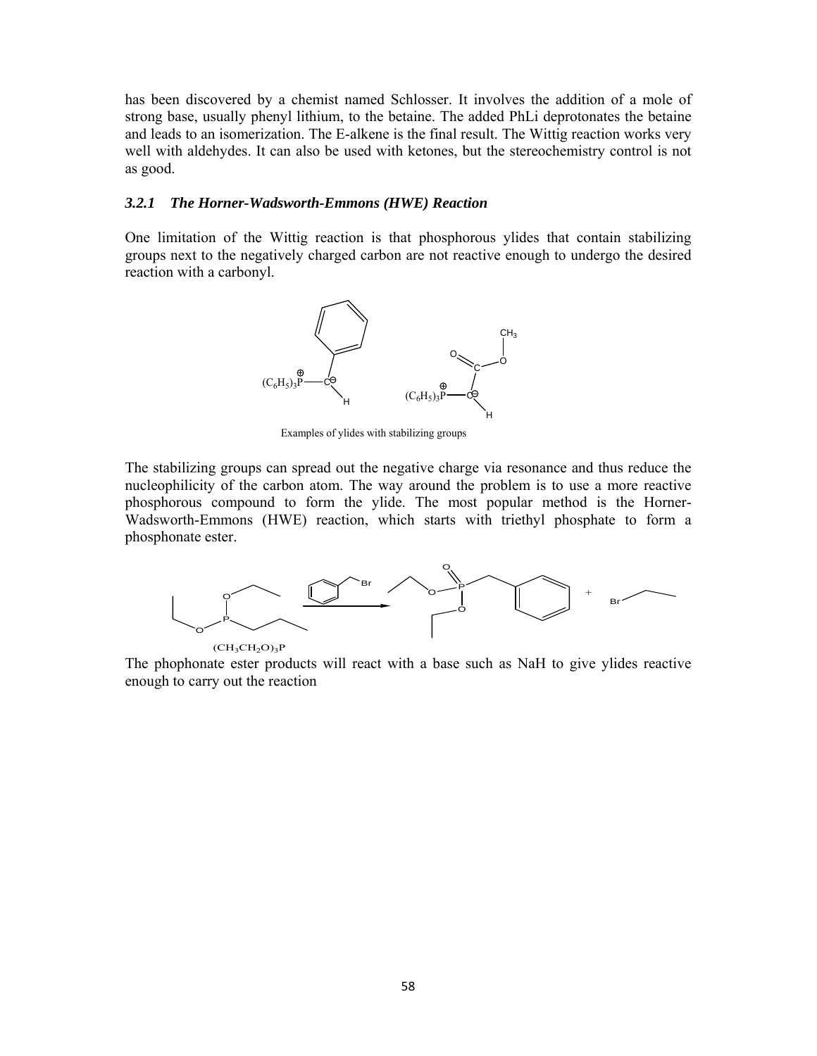has been discovered by a chemist named Schlosser. It involves the addition of a mole of strong base, usually phenyl lithium, to the betaine. The added PhLi deprotonates the betaine and leads to an isomerization. The E-alkene is the final result. The Wittig reaction works very well with aldehydes. It can also be used with ketones, but the stereochemistry control is not as good.

#### *3.2.1 The Horner-Wadsworth-Emmons (HWE) Reaction*

One limitation of the Wittig reaction is that phosphorous ylides that contain stabilizing groups next to the negatively charged carbon are not reactive enough to undergo the desired reaction with a carbonyl.



Examples of ylides with stabilizing groups

The stabilizing groups can spread out the negative charge via resonance and thus reduce the nucleophilicity of the carbon atom. The way around the problem is to use a more reactive phosphorous compound to form the ylide. The most popular method is the Horner-Wadsworth-Emmons (HWE) reaction, which starts with triethyl phosphate to form a phosphonate ester.



The phophonate ester products will react with a base such as NaH to give ylides reactive enough to carry out the reaction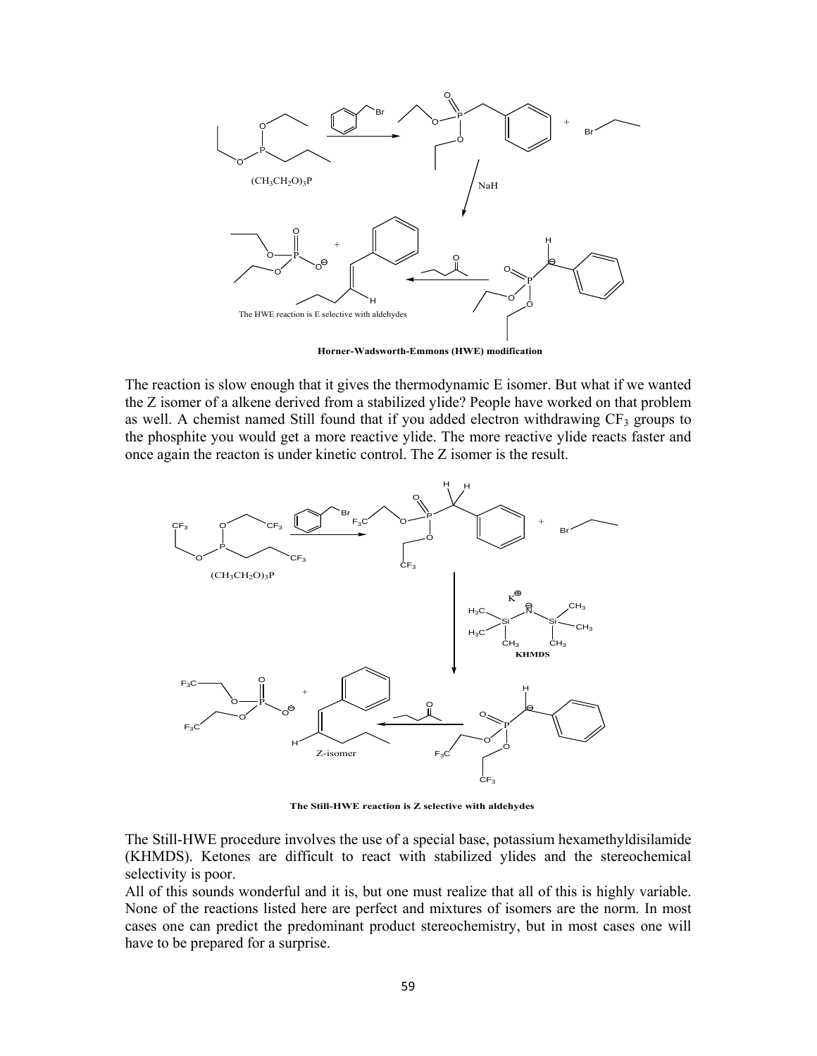

**Horner-Wadsworth-Emmons (HWE) modification**

The reaction is slow enough that it gives the thermodynamic E isomer. But what if we wanted the Z isomer of a alkene derived from a stabilized ylide? People have worked on that problem as well. A chemist named Still found that if you added electron withdrawing  $CF_3$  groups to the phosphite you would get a more reactive ylide. The more reactive ylide reacts faster and once again the reacton is under kinetic control. The Z isomer is the result.



**The Still-HWE reaction is Z selective with aldehydes**

The Still-HWE procedure involves the use of a special base, potassium hexamethyldisilamide (KHMDS). Ketones are difficult to react with stabilized ylides and the stereochemical selectivity is poor.

All of this sounds wonderful and it is, but one must realize that all of this is highly variable. None of the reactions listed here are perfect and mixtures of isomers are the norm. In most cases one can predict the predominant product stereochemistry, but in most cases one will have to be prepared for a surprise.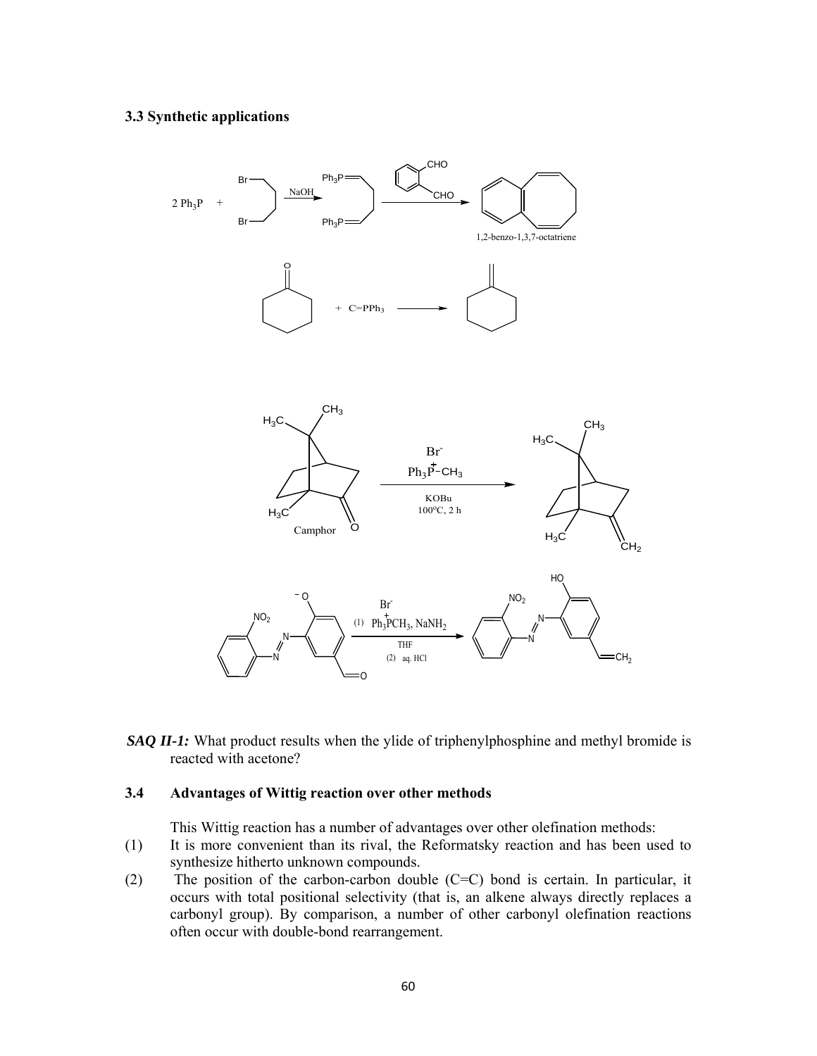### **3.3 Synthetic applications**



*SAQ II-1:* What product results when the ylide of triphenylphosphine and methyl bromide is reacted with acetone?

### **3.4 Advantages of Wittig reaction over other methods**

This Wittig reaction has a number of advantages over other olefination methods:

- (1) It is more convenient than its rival, the Reformatsky reaction and has been used to synthesize hitherto unknown compounds.
- (2) The position of the carbon-carbon double (C=C) bond is certain. In particular, it occurs with total positional selectivity (that is, an alkene always directly replaces a carbonyl group). By comparison, a number of other carbonyl olefination reactions often occur with double-bond rearrangement.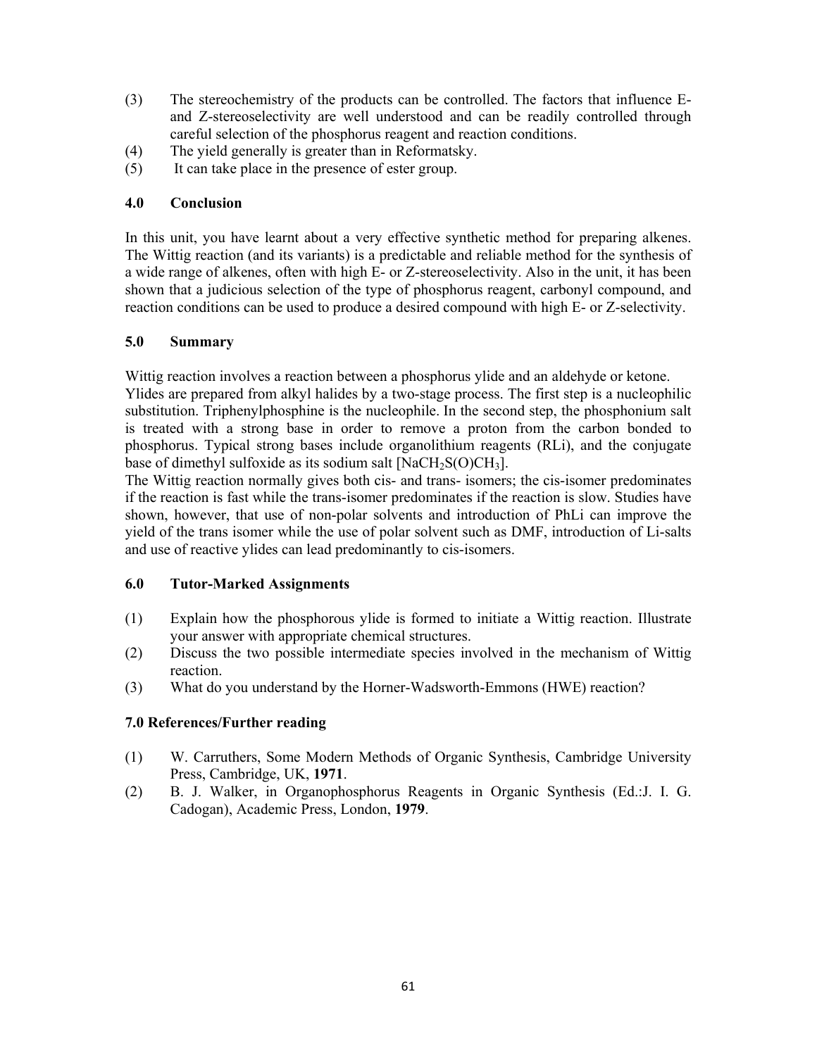- (3) The stereochemistry of the products can be controlled. The factors that influence Eand Z-stereoselectivity are well understood and can be readily controlled through careful selection of the phosphorus reagent and reaction conditions.
- (4) The yield generally is greater than in Reformatsky.
- (5) It can take place in the presence of ester group.

# **4.0 Conclusion**

In this unit, you have learnt about a very effective synthetic method for preparing alkenes. The Wittig reaction (and its variants) is a predictable and reliable method for the synthesis of a wide range of alkenes, often with high E- or Z-stereoselectivity. Also in the unit, it has been shown that a judicious selection of the type of phosphorus reagent, carbonyl compound, and reaction conditions can be used to produce a desired compound with high E- or Z-selectivity.

# **5.0 Summary**

Wittig reaction involves a reaction between a phosphorus ylide and an aldehyde or ketone.

Ylides are prepared from alkyl halides by a two-stage process. The first step is a nucleophilic substitution. Triphenylphosphine is the nucleophile. In the second step, the phosphonium salt is treated with a strong base in order to remove a proton from the carbon bonded to phosphorus. Typical strong bases include organolithium reagents (RLi), and the conjugate base of dimethyl sulfoxide as its sodium salt  $[NaCH<sub>2</sub>S(O)CH<sub>3</sub>]$ .

The Wittig reaction normally gives both cis- and trans- isomers; the cis-isomer predominates if the reaction is fast while the trans-isomer predominates if the reaction is slow. Studies have shown, however, that use of non-polar solvents and introduction of PhLi can improve the yield of the trans isomer while the use of polar solvent such as DMF, introduction of Li-salts and use of reactive ylides can lead predominantly to cis-isomers.

# **6.0 Tutor-Marked Assignments**

- (1) Explain how the phosphorous ylide is formed to initiate a Wittig reaction. Illustrate your answer with appropriate chemical structures.
- (2) Discuss the two possible intermediate species involved in the mechanism of Wittig reaction.
- (3) What do you understand by the Horner-Wadsworth-Emmons (HWE) reaction?

# **7.0 References/Further reading**

- (1) W. Carruthers, Some Modern Methods of Organic Synthesis, Cambridge University Press, Cambridge, UK, **1971**.
- (2) B. J. Walker, in Organophosphorus Reagents in Organic Synthesis (Ed.:J. I. G. Cadogan), Academic Press, London, **1979**.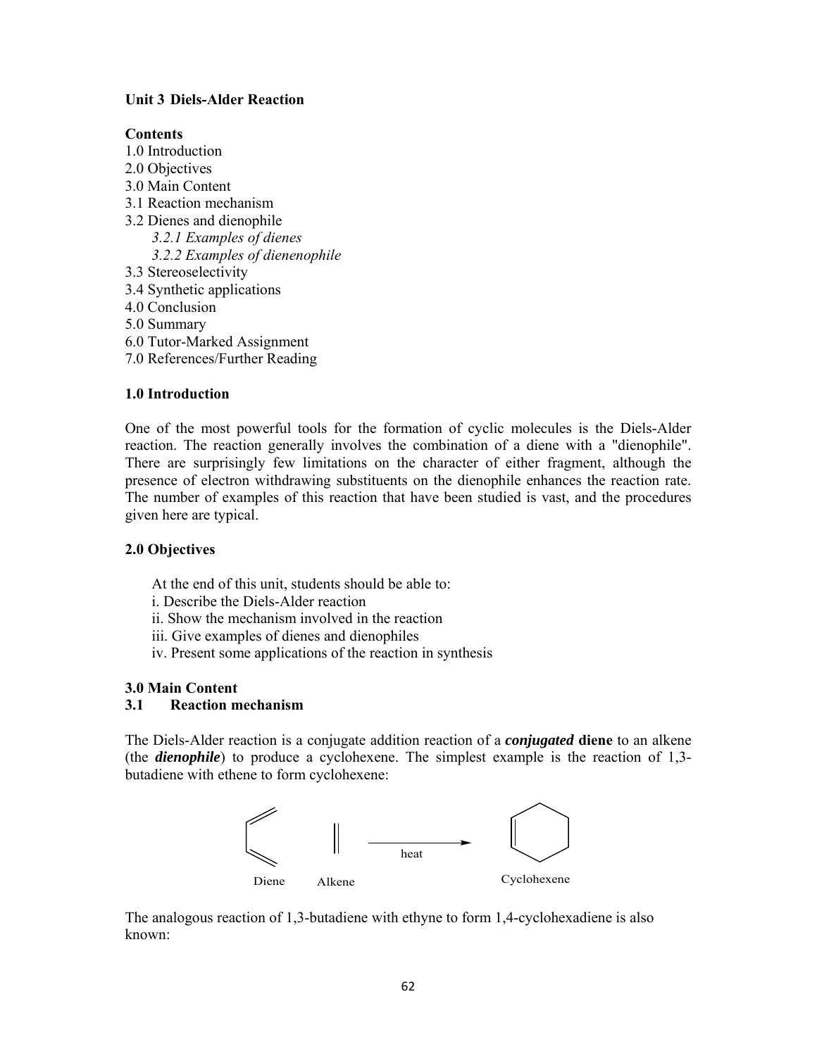# **Unit 3 Diels-Alder Reaction**

### **Contents**

- 1.0 Introduction
- 2.0 Objectives
- 3.0 Main Content
- 3.1 Reaction mechanism
- 3.2 Dienes and dienophile *3.2.1 Examples of dienes 3.2.2 Examples of dienenophile*
- 3.3 Stereoselectivity
- 3.4 Synthetic applications
- 4.0 Conclusion
- 5.0 Summary
- 6.0 Tutor-Marked Assignment
- 7.0 References/Further Reading

# **1.0 Introduction**

One of the most powerful tools for the formation of cyclic molecules is the Diels-Alder reaction. The reaction generally involves the combination of a diene with a "dienophile". There are surprisingly few limitations on the character of either fragment, although the presence of electron withdrawing substituents on the dienophile enhances the reaction rate. The number of examples of this reaction that have been studied is vast, and the procedures given here are typical.

# **2.0 Objectives**

At the end of this unit, students should be able to:

- i. Describe the Diels-Alder reaction
- ii. Show the mechanism involved in the reaction
- iii. Give examples of dienes and dienophiles
- iv. Present some applications of the reaction in synthesis

# **3.0 Main Content**

# **3.1 Reaction mechanism**

The Diels-Alder reaction is a conjugate addition reaction of a *conjugated* **diene** to an alkene (the *dienophile*) to produce a cyclohexene. The simplest example is the reaction of 1,3 butadiene with ethene to form cyclohexene:



The analogous reaction of 1,3-butadiene with ethyne to form 1,4-cyclohexadiene is also known: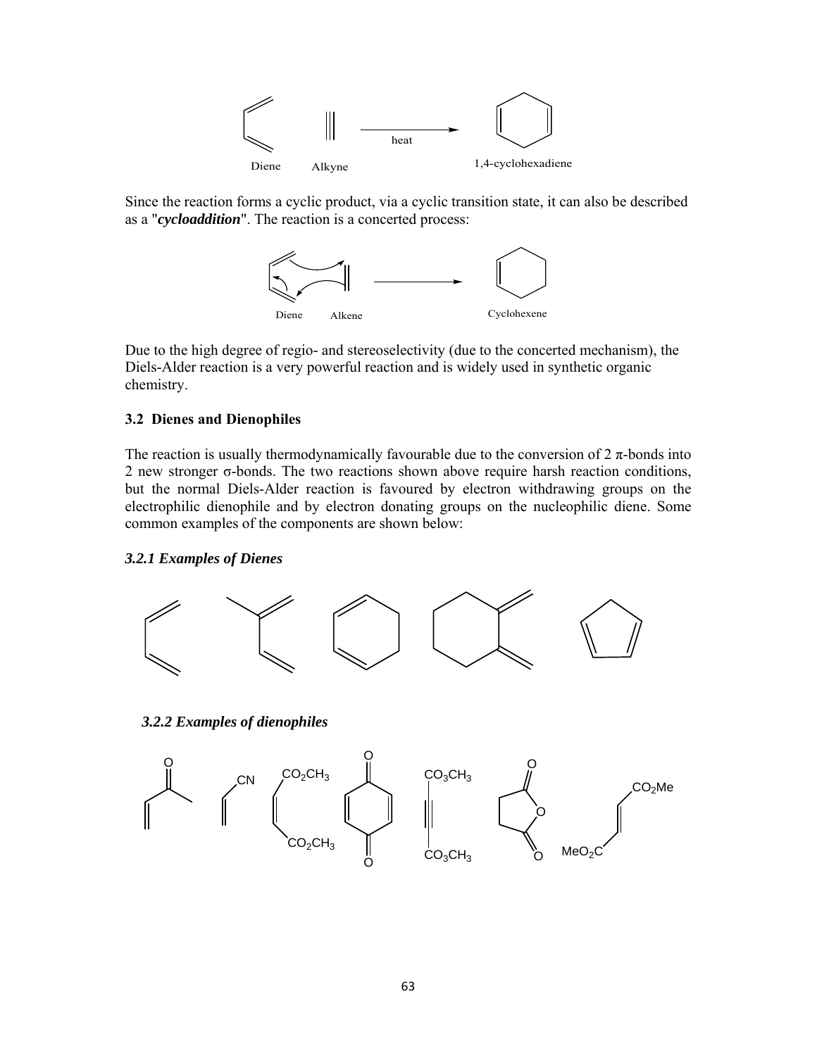

Since the reaction forms a cyclic product, via a cyclic transition state, it can also be described as a "*cycloaddition*". The reaction is a concerted process:



Due to the high degree of regio- and stereoselectivity (due to the concerted mechanism), the Diels-Alder reaction is a very powerful reaction and is widely used in synthetic organic chemistry.

### **3.2 Dienes and Dienophiles**

The reaction is usually thermodynamically favourable due to the conversion of  $2 \pi$ -bonds into 2 new stronger σ-bonds. The two reactions shown above require harsh reaction conditions, but the normal Diels-Alder reaction is favoured by electron withdrawing groups on the electrophilic dienophile and by electron donating groups on the nucleophilic diene. Some common examples of the components are shown below:

## *3.2.1 Examples of Dienes*



*3.2.2 Examples of dienophiles*

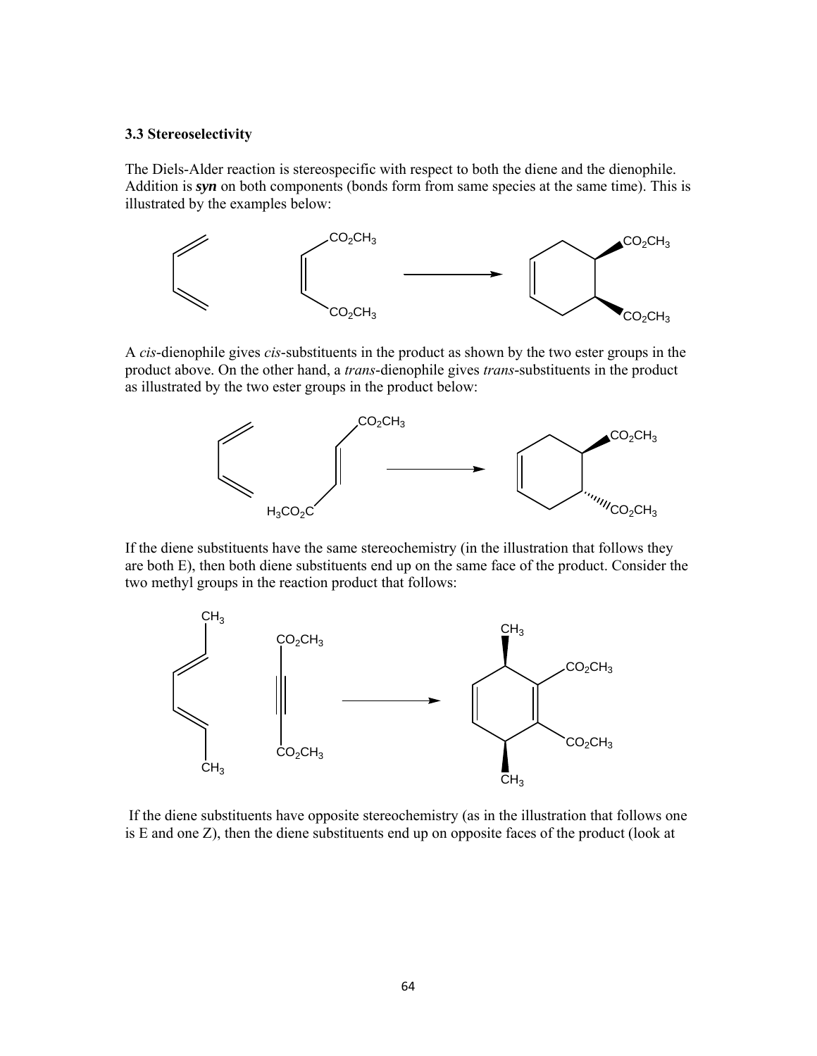### **3.3 Stereoselectivity**

The Diels-Alder reaction is stereospecific with respect to both the diene and the dienophile. Addition is *syn* on both components (bonds form from same species at the same time). This is illustrated by the examples below:



A *cis*-dienophile gives *cis*-substituents in the product as shown by the two ester groups in the product above. On the other hand, a *trans*-dienophile gives *trans*-substituents in the product as illustrated by the two ester groups in the product below:



If the diene substituents have the same stereochemistry (in the illustration that follows they are both E), then both diene substituents end up on the same face of the product. Consider the two methyl groups in the reaction product that follows:



 If the diene substituents have opposite stereochemistry (as in the illustration that follows one is E and one Z), then the diene substituents end up on opposite faces of the product (look at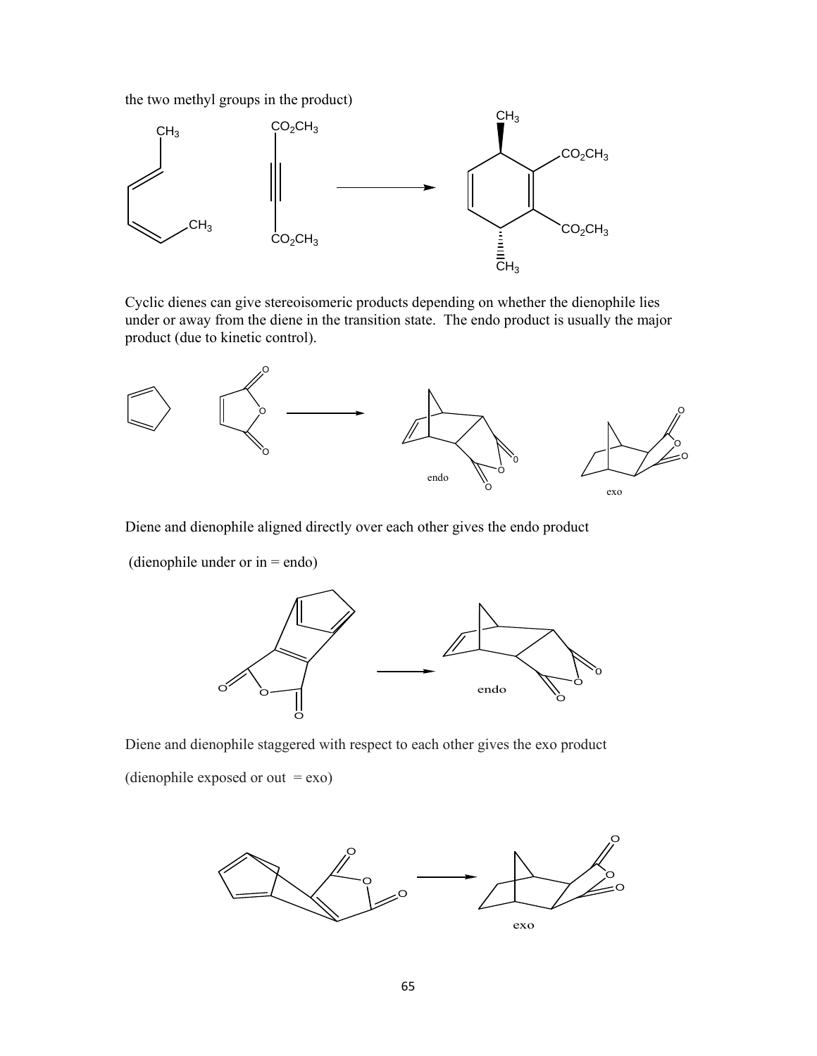the two methyl groups in the product)



Cyclic dienes can give stereoisomeric products depending on whether the dienophile lies under or away from the diene in the transition state. The endo product is usually the major product (due to kinetic control).



Diene and dienophile aligned directly over each other gives the endo product

(dienophile under or in = endo)



Diene and dienophile staggered with respect to each other gives the exo product (dienophile exposed or out  $=$  exo)

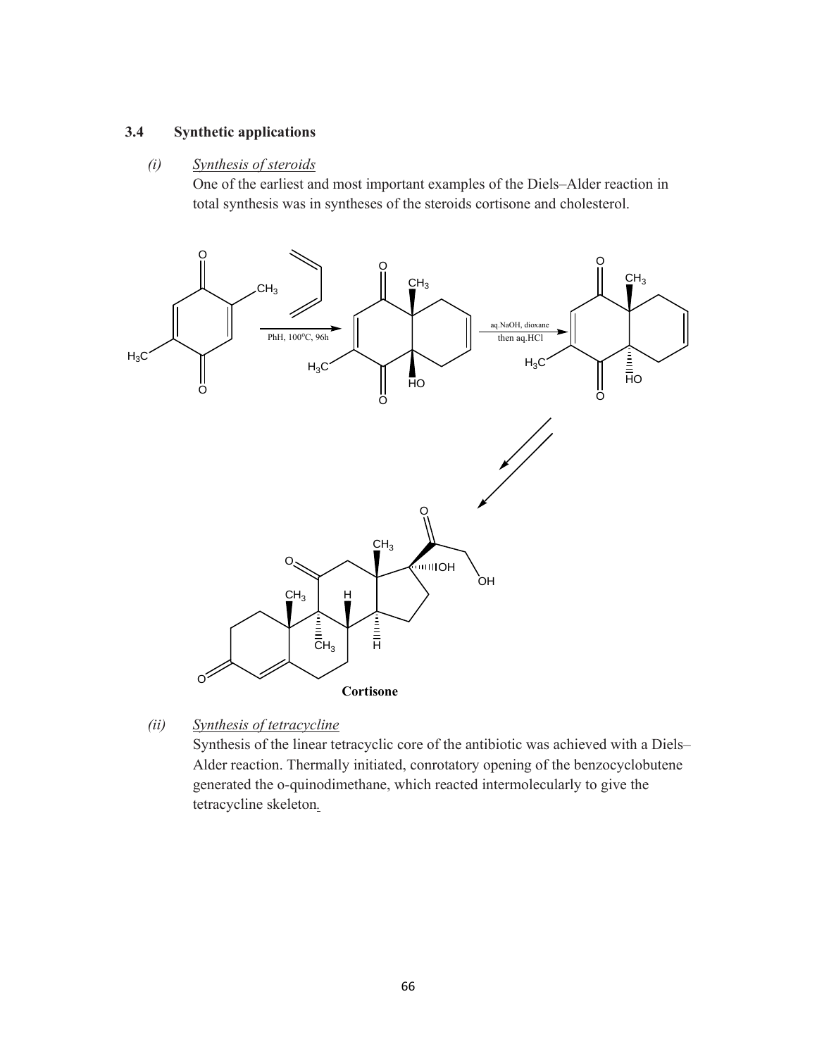# **3.4 Synthetic applications**

### *(i) Synthesis of steroids*

One of the earliest and most important examples of the Diels–Alder reaction in total synthesis was in syntheses of the steroids cortisone and cholesterol.



*(ii) Synthesis of tetracycline* 

Synthesis of the linear tetracyclic core of the antibiotic was achieved with a Diels– Alder reaction. Thermally initiated, conrotatory opening of the benzocyclobutene generated the o-quinodimethane, which reacted intermolecularly to give the tetracycline skeleton*.*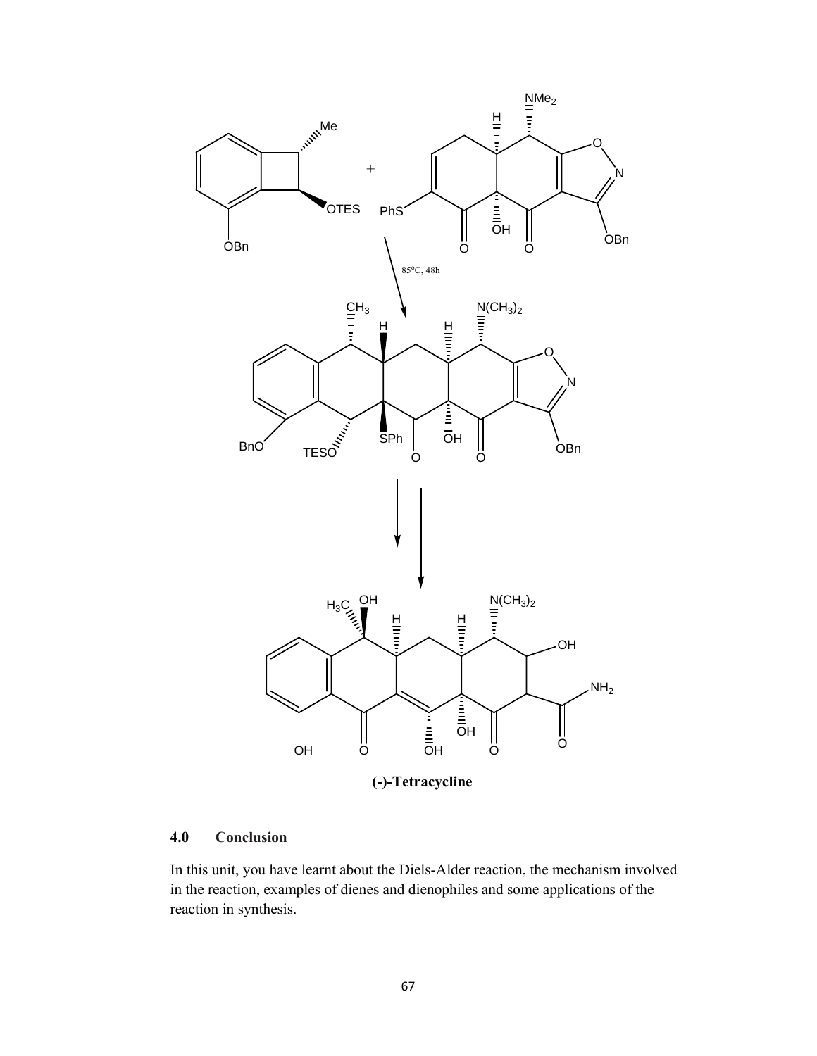

# **4.0 Conclusion**

In this unit, you have learnt about the Diels-Alder reaction, the mechanism involved in the reaction, examples of dienes and dienophiles and some applications of the reaction in synthesis.